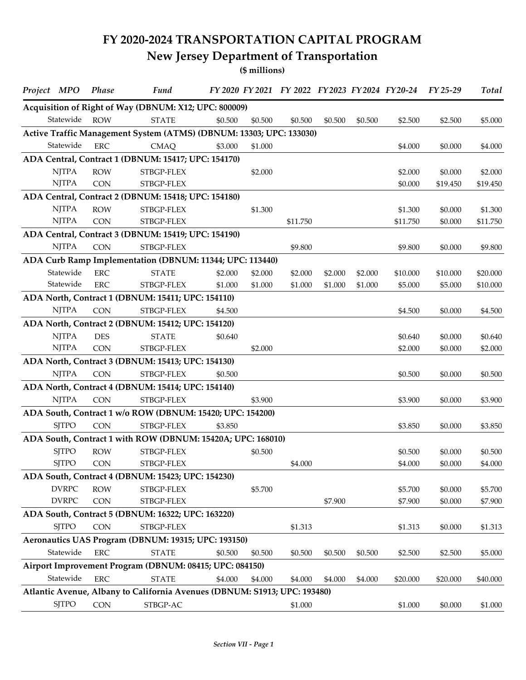## **FY 2020-2024 TRANSPORTATION CAPITAL PROGRAM New Jersey Department of Transportation**

**(\$ millions)**

| Project MPO  | <b>Phase</b> | Fund                                                                      |         |         | FY 2020 FY 2021 FY 2022 FY 2023 FY 2024 FY 20-24 |         |         |          | FY 25-29 | <b>Total</b> |
|--------------|--------------|---------------------------------------------------------------------------|---------|---------|--------------------------------------------------|---------|---------|----------|----------|--------------|
|              |              | Acquisition of Right of Way (DBNUM: X12; UPC: 800009)                     |         |         |                                                  |         |         |          |          |              |
| Statewide    | <b>ROW</b>   | <b>STATE</b>                                                              | \$0.500 | \$0.500 | \$0.500                                          | \$0.500 | \$0.500 | \$2.500  | \$2.500  | \$5.000      |
|              |              | Active Traffic Management System (ATMS) (DBNUM: 13303; UPC: 133030)       |         |         |                                                  |         |         |          |          |              |
| Statewide    | <b>ERC</b>   | <b>CMAQ</b>                                                               | \$3.000 | \$1.000 |                                                  |         |         | \$4.000  | \$0.000  | \$4.000      |
|              |              | ADA Central, Contract 1 (DBNUM: 15417; UPC: 154170)                       |         |         |                                                  |         |         |          |          |              |
| <b>NJTPA</b> | <b>ROW</b>   | STBGP-FLEX                                                                |         | \$2.000 |                                                  |         |         | \$2.000  | \$0.000  | \$2.000      |
| <b>NJTPA</b> | <b>CON</b>   | STBGP-FLEX                                                                |         |         |                                                  |         |         | \$0.000  | \$19.450 | \$19.450     |
|              |              | ADA Central, Contract 2 (DBNUM: 15418; UPC: 154180)                       |         |         |                                                  |         |         |          |          |              |
| <b>NJTPA</b> | <b>ROW</b>   | STBGP-FLEX                                                                |         | \$1.300 |                                                  |         |         | \$1.300  | \$0.000  | \$1.300      |
| <b>NJTPA</b> | <b>CON</b>   | STBGP-FLEX                                                                |         |         | \$11.750                                         |         |         | \$11.750 | \$0.000  | \$11.750     |
|              |              | ADA Central, Contract 3 (DBNUM: 15419; UPC: 154190)                       |         |         |                                                  |         |         |          |          |              |
| <b>NJTPA</b> | <b>CON</b>   | STBGP-FLEX                                                                |         |         | \$9.800                                          |         |         | \$9.800  | \$0.000  | \$9.800      |
|              |              | ADA Curb Ramp Implementation (DBNUM: 11344; UPC: 113440)                  |         |         |                                                  |         |         |          |          |              |
| Statewide    | <b>ERC</b>   | <b>STATE</b>                                                              | \$2.000 | \$2.000 | \$2.000                                          | \$2.000 | \$2.000 | \$10.000 | \$10.000 | \$20.000     |
| Statewide    | <b>ERC</b>   | STBGP-FLEX                                                                | \$1.000 | \$1.000 | \$1.000                                          | \$1.000 | \$1.000 | \$5.000  | \$5.000  | \$10.000     |
|              |              | ADA North, Contract 1 (DBNUM: 15411; UPC: 154110)                         |         |         |                                                  |         |         |          |          |              |
| <b>NJTPA</b> | <b>CON</b>   | STBGP-FLEX                                                                | \$4.500 |         |                                                  |         |         | \$4.500  | \$0.000  | \$4.500      |
|              |              | ADA North, Contract 2 (DBNUM: 15412; UPC: 154120)                         |         |         |                                                  |         |         |          |          |              |
| <b>NJTPA</b> | <b>DES</b>   | <b>STATE</b>                                                              | \$0.640 |         |                                                  |         |         | \$0.640  | \$0.000  | \$0.640      |
| <b>NJTPA</b> | <b>CON</b>   | STBGP-FLEX                                                                |         | \$2.000 |                                                  |         |         | \$2.000  | \$0.000  | \$2.000      |
|              |              | ADA North, Contract 3 (DBNUM: 15413; UPC: 154130)                         |         |         |                                                  |         |         |          |          |              |
| <b>NJTPA</b> | <b>CON</b>   | STBGP-FLEX                                                                | \$0.500 |         |                                                  |         |         | \$0.500  | \$0.000  | \$0.500      |
|              |              | ADA North, Contract 4 (DBNUM: 15414; UPC: 154140)                         |         |         |                                                  |         |         |          |          |              |
| <b>NJTPA</b> | <b>CON</b>   | STBGP-FLEX                                                                |         | \$3.900 |                                                  |         |         | \$3.900  | \$0.000  | \$3.900      |
|              |              | ADA South, Contract 1 w/o ROW (DBNUM: 15420; UPC: 154200)                 |         |         |                                                  |         |         |          |          |              |
| <b>SJTPO</b> | <b>CON</b>   | STBGP-FLEX                                                                | \$3.850 |         |                                                  |         |         | \$3.850  | \$0.000  | \$3.850      |
|              |              | ADA South, Contract 1 with ROW (DBNUM: 15420A; UPC: 168010)               |         |         |                                                  |         |         |          |          |              |
| <b>SJTPO</b> | <b>ROW</b>   | STBGP-FLEX                                                                |         | \$0.500 |                                                  |         |         | \$0.500  | \$0.000  | \$0.500      |
| <b>SJTPO</b> | <b>CON</b>   | STBGP-FLEX                                                                |         |         | \$4.000                                          |         |         | \$4.000  | \$0.000  | \$4.000      |
|              |              | ADA South, Contract 4 (DBNUM: 15423; UPC: 154230)                         |         |         |                                                  |         |         |          |          |              |
| <b>DVRPC</b> | <b>ROW</b>   | STBGP-FLEX                                                                |         | \$5.700 |                                                  |         |         | \$5.700  | \$0.000  | \$5.700      |
| <b>DVRPC</b> | CON          | STBGP-FLEX                                                                |         |         |                                                  | \$7.900 |         | \$7.900  | \$0.000  | \$7.900      |
|              |              | ADA South, Contract 5 (DBNUM: 16322; UPC: 163220)                         |         |         |                                                  |         |         |          |          |              |
| <b>SJTPO</b> | <b>CON</b>   | STBGP-FLEX                                                                |         |         | \$1.313                                          |         |         | \$1.313  | \$0.000  | \$1.313      |
|              |              | Aeronautics UAS Program (DBNUM: 19315; UPC: 193150)                       |         |         |                                                  |         |         |          |          |              |
| Statewide    | <b>ERC</b>   | <b>STATE</b>                                                              | \$0.500 | \$0.500 | \$0.500                                          | \$0.500 | \$0.500 | \$2.500  | \$2.500  | \$5.000      |
|              |              | Airport Improvement Program (DBNUM: 08415; UPC: 084150)                   |         |         |                                                  |         |         |          |          |              |
| Statewide    | <b>ERC</b>   | <b>STATE</b>                                                              | \$4.000 | \$4.000 | \$4.000                                          | \$4.000 | \$4.000 | \$20.000 | \$20.000 | \$40.000     |
|              |              | Atlantic Avenue, Albany to California Avenues (DBNUM: S1913; UPC: 193480) |         |         |                                                  |         |         |          |          |              |
| <b>SJTPO</b> | <b>CON</b>   | STBGP-AC                                                                  |         |         | \$1.000                                          |         |         | \$1.000  | \$0.000  | \$1.000      |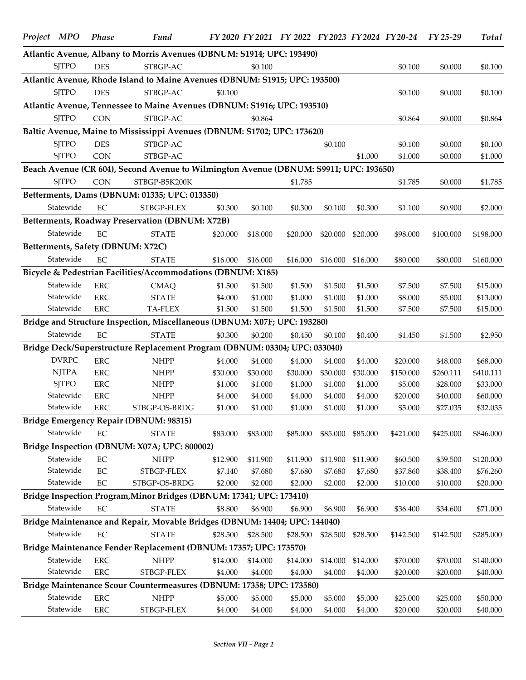| Project MPO |                              | <b>Phase</b>      | Fund                                                                                  |                     |                    | FY 2020 FY 2021 FY 2022 FY 2023 FY 2024 FY 20-24 |                    |                     |                      | $FY$ 25-29           | Total                |
|-------------|------------------------------|-------------------|---------------------------------------------------------------------------------------|---------------------|--------------------|--------------------------------------------------|--------------------|---------------------|----------------------|----------------------|----------------------|
|             |                              |                   | Atlantic Avenue, Albany to Morris Avenues (DBNUM: S1914; UPC: 193490)                 |                     |                    |                                                  |                    |                     |                      |                      |                      |
|             | <b>SJTPO</b>                 | <b>DES</b>        | STBGP-AC                                                                              |                     | \$0.100            |                                                  |                    |                     | \$0.100              | \$0.000              | \$0.100              |
|             |                              |                   | Atlantic Avenue, Rhode Island to Maine Avenues (DBNUM: S1915; UPC: 193500)            |                     |                    |                                                  |                    |                     |                      |                      |                      |
|             | <b>SJTPO</b>                 | <b>DES</b>        | STBGP-AC                                                                              | \$0.100             |                    |                                                  |                    |                     | \$0.100              | \$0.000              | \$0.100              |
|             |                              |                   | Atlantic Avenue, Tennessee to Maine Avenues (DBNUM: S1916; UPC: 193510)               |                     |                    |                                                  |                    |                     |                      |                      |                      |
|             | <b>SJTPO</b>                 | <b>CON</b>        | STBGP-AC                                                                              |                     | \$0.864            |                                                  |                    |                     | \$0.864              | \$0.000              | \$0.864              |
|             |                              |                   | Baltic Avenue, Maine to Mississippi Avenues (DBNUM: S1702; UPC: 173620)               |                     |                    |                                                  |                    |                     |                      |                      |                      |
|             | <b>SJTPO</b>                 | <b>DES</b>        | STBGP-AC                                                                              |                     |                    |                                                  | \$0.100            |                     | \$0.100              | \$0.000              | \$0.100              |
|             | <b>SJTPO</b>                 | <b>CON</b>        | STBGP-AC                                                                              |                     |                    |                                                  |                    | \$1.000             | \$1.000              | \$0.000              | \$1.000              |
|             |                              |                   | Beach Avenue (CR 604), Second Avenue to Wilmington Avenue (DBNUM: S9911; UPC: 193650) |                     |                    |                                                  |                    |                     |                      |                      |                      |
|             | <b>SJTPO</b>                 | <b>CON</b>        | STBGP-B5K200K                                                                         |                     |                    | \$1.785                                          |                    |                     | \$1.785              | \$0.000              | \$1.785              |
|             |                              |                   | Betterments, Dams (DBNUM: 01335; UPC: 013350)                                         |                     |                    |                                                  |                    |                     |                      |                      |                      |
|             | Statewide                    | EC                | STBGP-FLEX                                                                            | \$0.300             | \$0.100            | \$0.300                                          | \$0.100            | \$0.300             | \$1.100              | \$0.900              | \$2.000              |
|             |                              |                   | Betterments, Roadway Preservation (DBNUM: X72B)                                       |                     |                    |                                                  |                    |                     |                      |                      |                      |
|             | Statewide                    | EC                | <b>STATE</b>                                                                          | \$20.000            | \$18.000           | \$20.000                                         | \$20.000           | \$20.000            | \$98.000             | \$100.000            | \$198.000            |
|             |                              |                   | Betterments, Safety (DBNUM: X72C)                                                     |                     |                    |                                                  |                    |                     |                      |                      |                      |
|             | Statewide                    | EC                | <b>STATE</b>                                                                          | \$16.000            | \$16.000           | \$16.000                                         | \$16.000           | \$16.000            | \$80.000             | \$80.000             | \$160.000            |
|             |                              |                   | Bicycle & Pedestrian Facilities/Accommodations (DBNUM: X185)                          |                     |                    |                                                  |                    |                     |                      |                      |                      |
|             | Statewide                    | <b>ERC</b>        | <b>CMAQ</b>                                                                           | \$1.500             | \$1.500            | \$1.500                                          | \$1.500            | \$1.500             | \$7.500              | \$7.500              | \$15.000             |
|             | Statewide                    | <b>ERC</b>        | <b>STATE</b>                                                                          | \$4.000             | \$1.000            | \$1.000                                          | \$1.000            | \$1.000             | \$8.000              | \$5.000              | \$13.000             |
|             | Statewide                    | <b>ERC</b>        | TA-FLEX                                                                               | \$1.500             | \$1.500            | \$1.500                                          | \$1.500            | \$1.500             | \$7.500              | \$7.500              | \$15.000             |
|             |                              |                   | Bridge and Structure Inspection, Miscellaneous (DBNUM: X07F; UPC: 193280)             |                     |                    |                                                  |                    |                     |                      |                      |                      |
|             | Statewide                    | EC                | <b>STATE</b>                                                                          | \$0.300             | \$0.200            | \$0.450                                          | \$0.100            | \$0.400             | \$1.450              | \$1.500              | \$2.950              |
|             |                              |                   | Bridge Deck/Superstructure Replacement Program (DBNUM: 03304; UPC: 033040)            |                     |                    |                                                  |                    |                     |                      |                      |                      |
|             | <b>DVRPC</b>                 | <b>ERC</b>        | <b>NHPP</b>                                                                           | \$4.000             | \$4.000            | \$4.000                                          | \$4.000            | \$4.000             | \$20.000             | \$48.000             | \$68.000             |
|             | <b>NJTPA</b><br><b>SJTPO</b> | <b>ERC</b><br>ERC | <b>NHPP</b>                                                                           | \$30.000<br>\$1.000 | \$30.000           | \$30.000                                         | \$30.000           | \$30.000<br>\$1.000 | \$150.000<br>\$5.000 | \$260.111            | \$410.111            |
|             | Statewide                    | <b>ERC</b>        | <b>NHPP</b><br><b>NHPP</b>                                                            | \$4.000             | \$1.000<br>\$4.000 | \$1.000<br>\$4.000                               | \$1.000<br>\$4.000 | \$4.000             | \$20.000             | \$28.000<br>\$40.000 | \$33.000<br>\$60.000 |
|             | Statewide                    | ERC               | STBGP-OS-BRDG                                                                         | \$1.000             | \$1.000            | \$1.000                                          | \$1.000            | \$1.000             | \$5.000              | \$27.035             | \$32.035             |
|             |                              |                   | Bridge Emergency Repair (DBNUM: 98315)                                                |                     |                    |                                                  |                    |                     |                      |                      |                      |
|             | Statewide                    | EC                | <b>STATE</b>                                                                          | \$83.000            | \$83.000           | \$85.000                                         | \$85.000           | \$85.000            | \$421.000            | \$425.000            | \$846.000            |
|             |                              |                   | Bridge Inspection (DBNUM: X07A; UPC: 800002)                                          |                     |                    |                                                  |                    |                     |                      |                      |                      |
|             | Statewide                    | $\rm EC$          | <b>NHPP</b>                                                                           | \$12.900            | \$11.900           | \$11.900                                         | \$11.900           | \$11.900            | \$60.500             | \$59.500             | \$120.000            |
|             | Statewide                    | $\rm EC$          | STBGP-FLEX                                                                            | \$7.140             | \$7.680            | \$7.680                                          | \$7.680            | \$7.680             | \$37.860             | \$38.400             | \$76.260             |
|             | Statewide                    | $\rm EC$          | STBGP-OS-BRDG                                                                         | \$2.000             | \$2.000            | \$2.000                                          | \$2.000            | \$2.000             | \$10.000             | \$10.000             | \$20.000             |
|             |                              |                   | Bridge Inspection Program, Minor Bridges (DBNUM: 17341; UPC: 173410)                  |                     |                    |                                                  |                    |                     |                      |                      |                      |
|             | Statewide                    | EC                | <b>STATE</b>                                                                          | \$8.800             | \$6.900            | \$6.900                                          | \$6.900            | \$6.900             | \$36.400             | \$34.600             | \$71.000             |
|             |                              |                   | Bridge Maintenance and Repair, Movable Bridges (DBNUM: 14404; UPC: 144040)            |                     |                    |                                                  |                    |                     |                      |                      |                      |
|             | Statewide                    | $\rm EC$          | <b>STATE</b>                                                                          | \$28.500            | \$28.500           | \$28.500                                         | \$28.500           | \$28.500            | \$142.500            | \$142.500            | \$285.000            |
|             |                              |                   | Bridge Maintenance Fender Replacement (DBNUM: 17357; UPC: 173570)                     |                     |                    |                                                  |                    |                     |                      |                      |                      |
|             | Statewide                    | <b>ERC</b>        | <b>NHPP</b>                                                                           | \$14.000            | \$14.000           | \$14.000                                         | \$14.000           | \$14.000            | \$70.000             | \$70.000             | \$140.000            |
|             | Statewide                    | ${\rm ERC}$       | STBGP-FLEX                                                                            | \$4.000             | \$4.000            | \$4.000                                          | \$4.000            | \$4.000             | \$20.000             | \$20.000             | \$40.000             |
|             |                              |                   | Bridge Maintenance Scour Countermeasures (DBNUM: 17358; UPC: 173580)                  |                     |                    |                                                  |                    |                     |                      |                      |                      |
|             | Statewide                    | <b>ERC</b>        | <b>NHPP</b>                                                                           | \$5.000             | \$5.000            | \$5.000                                          | \$5.000            | \$5.000             | \$25.000             | \$25.000             | \$50.000             |
|             | Statewide                    | <b>ERC</b>        | STBGP-FLEX                                                                            | \$4.000             | \$4.000            | \$4.000                                          | \$4.000            | \$4.000             | \$20.000             | \$20.000             | \$40.000             |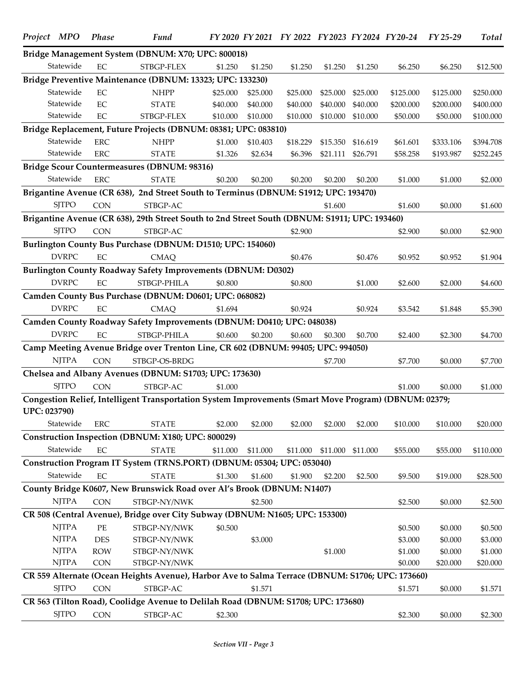| Bridge Management System (DBNUM: X70; UPC: 800018)<br>Statewide<br>EC<br>STBGP-FLEX<br>\$1.250<br>\$1.250<br>\$1.250<br>\$1.250<br>\$1.250<br>\$6.250<br>\$6.250<br>\$12.500<br>Bridge Preventive Maintenance (DBNUM: 13323; UPC: 133230)<br>Statewide<br>$\rm EC$<br><b>NHPP</b><br>\$250.000<br>\$25.000<br>\$25.000<br>\$25.000<br>\$25.000<br>\$25.000<br>\$125.000<br>\$125.000<br>Statewide<br>$\rm EC$<br><b>STATE</b><br>\$40.000<br>\$40.000<br>\$40.000<br>\$40.000<br>\$40.000<br>\$200.000<br>\$200.000<br>\$400.000<br>Statewide<br>$\rm EC$<br>STBGP-FLEX<br>\$10.000<br>\$10.000<br>\$10.000<br>\$10.000<br>\$10.000<br>\$50.000<br>\$50.000<br>\$100.000<br>Bridge Replacement, Future Projects (DBNUM: 08381; UPC: 083810)<br>Statewide<br><b>ERC</b><br><b>NHPP</b><br>\$1.000<br>\$10.403<br>\$18.229<br>\$15.350<br>\$16.619<br>\$61.601<br>\$333.106<br>\$394.708<br>Statewide<br><b>ERC</b><br><b>STATE</b><br>\$1.326<br>\$2.634<br>\$6.396<br>\$21.111<br>\$26.791<br>\$58.258<br>\$193.987<br>\$252.245<br>Bridge Scour Countermeasures (DBNUM: 98316)<br>Statewide<br><b>ERC</b><br><b>STATE</b><br>\$0.200<br>\$0.200<br>\$0.200<br>\$0.200<br>\$0.200<br>\$1.000<br>\$1.000<br>\$2.000<br>Brigantine Avenue (CR 638), 2nd Street South to Terminus (DBNUM: S1912; UPC: 193470)<br><b>SITPO</b><br><b>CON</b><br>STBGP-AC<br>\$1.600<br>\$1.600<br>\$0.000<br>\$1.600<br>Brigantine Avenue (CR 638), 29th Street South to 2nd Street South (DBNUM: S1911; UPC: 193460)<br><b>SJTPO</b><br><b>CON</b><br>STBGP-AC<br>\$2.900<br>\$2.900<br>\$0.000<br>\$2.900<br>Burlington County Bus Purchase (DBNUM: D1510; UPC: 154060)<br><b>DVRPC</b><br>EC<br><b>CMAQ</b><br>\$0.476<br>\$0.476<br>\$0.952<br>\$0.952<br>\$1.904<br><b>Burlington County Roadway Safety Improvements (DBNUM: D0302)</b><br><b>DVRPC</b><br>EC<br>STBGP-PHILA<br>\$0.800<br>\$0.800<br>\$1.000<br>\$2.600<br>\$2.000<br>\$4.600<br>Camden County Bus Purchase (DBNUM: D0601; UPC: 068082)<br><b>DVRPC</b><br>EC<br>\$1.694<br>\$0.924<br>\$0.924<br><b>CMAQ</b><br>\$3.542<br>\$1.848<br>\$5.390<br>Camden County Roadway Safety Improvements (DBNUM: D0410; UPC: 048038)<br><b>DVRPC</b><br>$\rm EC$<br>STBGP-PHILA<br>\$0.600<br>\$0.200<br>\$0.600<br>\$0.700<br>\$0.300<br>\$2.400<br>\$2.300<br>\$4.700<br>Camp Meeting Avenue Bridge over Trenton Line, CR 602 (DBNUM: 99405; UPC: 994050)<br><b>NJTPA</b><br><b>CON</b><br>STBGP-OS-BRDG<br>\$7.700<br>\$7.700<br>\$0.000<br>\$7.700<br>Chelsea and Albany Avenues (DBNUM: S1703; UPC: 173630)<br><b>SJTPO</b><br><b>CON</b><br>STBGP-AC<br>\$1.000<br>\$1.000<br>\$0.000<br>\$1.000<br>Congestion Relief, Intelligent Transportation System Improvements (Smart Move Program) (DBNUM: 02379;<br><b>UPC: 023790)</b> |
|-----------------------------------------------------------------------------------------------------------------------------------------------------------------------------------------------------------------------------------------------------------------------------------------------------------------------------------------------------------------------------------------------------------------------------------------------------------------------------------------------------------------------------------------------------------------------------------------------------------------------------------------------------------------------------------------------------------------------------------------------------------------------------------------------------------------------------------------------------------------------------------------------------------------------------------------------------------------------------------------------------------------------------------------------------------------------------------------------------------------------------------------------------------------------------------------------------------------------------------------------------------------------------------------------------------------------------------------------------------------------------------------------------------------------------------------------------------------------------------------------------------------------------------------------------------------------------------------------------------------------------------------------------------------------------------------------------------------------------------------------------------------------------------------------------------------------------------------------------------------------------------------------------------------------------------------------------------------------------------------------------------------------------------------------------------------------------------------------------------------------------------------------------------------------------------------------------------------------------------------------------------------------------------------------------------------------------------------------------------------------------------------------------------------------------------------------------------------------------------------------------------------------------------------------------------------------------------------------------------------------------------------------------------------------------------------------------------------------------------------------------------------------------|
|                                                                                                                                                                                                                                                                                                                                                                                                                                                                                                                                                                                                                                                                                                                                                                                                                                                                                                                                                                                                                                                                                                                                                                                                                                                                                                                                                                                                                                                                                                                                                                                                                                                                                                                                                                                                                                                                                                                                                                                                                                                                                                                                                                                                                                                                                                                                                                                                                                                                                                                                                                                                                                                                                                                                                                             |
|                                                                                                                                                                                                                                                                                                                                                                                                                                                                                                                                                                                                                                                                                                                                                                                                                                                                                                                                                                                                                                                                                                                                                                                                                                                                                                                                                                                                                                                                                                                                                                                                                                                                                                                                                                                                                                                                                                                                                                                                                                                                                                                                                                                                                                                                                                                                                                                                                                                                                                                                                                                                                                                                                                                                                                             |
|                                                                                                                                                                                                                                                                                                                                                                                                                                                                                                                                                                                                                                                                                                                                                                                                                                                                                                                                                                                                                                                                                                                                                                                                                                                                                                                                                                                                                                                                                                                                                                                                                                                                                                                                                                                                                                                                                                                                                                                                                                                                                                                                                                                                                                                                                                                                                                                                                                                                                                                                                                                                                                                                                                                                                                             |
|                                                                                                                                                                                                                                                                                                                                                                                                                                                                                                                                                                                                                                                                                                                                                                                                                                                                                                                                                                                                                                                                                                                                                                                                                                                                                                                                                                                                                                                                                                                                                                                                                                                                                                                                                                                                                                                                                                                                                                                                                                                                                                                                                                                                                                                                                                                                                                                                                                                                                                                                                                                                                                                                                                                                                                             |
|                                                                                                                                                                                                                                                                                                                                                                                                                                                                                                                                                                                                                                                                                                                                                                                                                                                                                                                                                                                                                                                                                                                                                                                                                                                                                                                                                                                                                                                                                                                                                                                                                                                                                                                                                                                                                                                                                                                                                                                                                                                                                                                                                                                                                                                                                                                                                                                                                                                                                                                                                                                                                                                                                                                                                                             |
|                                                                                                                                                                                                                                                                                                                                                                                                                                                                                                                                                                                                                                                                                                                                                                                                                                                                                                                                                                                                                                                                                                                                                                                                                                                                                                                                                                                                                                                                                                                                                                                                                                                                                                                                                                                                                                                                                                                                                                                                                                                                                                                                                                                                                                                                                                                                                                                                                                                                                                                                                                                                                                                                                                                                                                             |
|                                                                                                                                                                                                                                                                                                                                                                                                                                                                                                                                                                                                                                                                                                                                                                                                                                                                                                                                                                                                                                                                                                                                                                                                                                                                                                                                                                                                                                                                                                                                                                                                                                                                                                                                                                                                                                                                                                                                                                                                                                                                                                                                                                                                                                                                                                                                                                                                                                                                                                                                                                                                                                                                                                                                                                             |
|                                                                                                                                                                                                                                                                                                                                                                                                                                                                                                                                                                                                                                                                                                                                                                                                                                                                                                                                                                                                                                                                                                                                                                                                                                                                                                                                                                                                                                                                                                                                                                                                                                                                                                                                                                                                                                                                                                                                                                                                                                                                                                                                                                                                                                                                                                                                                                                                                                                                                                                                                                                                                                                                                                                                                                             |
|                                                                                                                                                                                                                                                                                                                                                                                                                                                                                                                                                                                                                                                                                                                                                                                                                                                                                                                                                                                                                                                                                                                                                                                                                                                                                                                                                                                                                                                                                                                                                                                                                                                                                                                                                                                                                                                                                                                                                                                                                                                                                                                                                                                                                                                                                                                                                                                                                                                                                                                                                                                                                                                                                                                                                                             |
|                                                                                                                                                                                                                                                                                                                                                                                                                                                                                                                                                                                                                                                                                                                                                                                                                                                                                                                                                                                                                                                                                                                                                                                                                                                                                                                                                                                                                                                                                                                                                                                                                                                                                                                                                                                                                                                                                                                                                                                                                                                                                                                                                                                                                                                                                                                                                                                                                                                                                                                                                                                                                                                                                                                                                                             |
|                                                                                                                                                                                                                                                                                                                                                                                                                                                                                                                                                                                                                                                                                                                                                                                                                                                                                                                                                                                                                                                                                                                                                                                                                                                                                                                                                                                                                                                                                                                                                                                                                                                                                                                                                                                                                                                                                                                                                                                                                                                                                                                                                                                                                                                                                                                                                                                                                                                                                                                                                                                                                                                                                                                                                                             |
|                                                                                                                                                                                                                                                                                                                                                                                                                                                                                                                                                                                                                                                                                                                                                                                                                                                                                                                                                                                                                                                                                                                                                                                                                                                                                                                                                                                                                                                                                                                                                                                                                                                                                                                                                                                                                                                                                                                                                                                                                                                                                                                                                                                                                                                                                                                                                                                                                                                                                                                                                                                                                                                                                                                                                                             |
|                                                                                                                                                                                                                                                                                                                                                                                                                                                                                                                                                                                                                                                                                                                                                                                                                                                                                                                                                                                                                                                                                                                                                                                                                                                                                                                                                                                                                                                                                                                                                                                                                                                                                                                                                                                                                                                                                                                                                                                                                                                                                                                                                                                                                                                                                                                                                                                                                                                                                                                                                                                                                                                                                                                                                                             |
|                                                                                                                                                                                                                                                                                                                                                                                                                                                                                                                                                                                                                                                                                                                                                                                                                                                                                                                                                                                                                                                                                                                                                                                                                                                                                                                                                                                                                                                                                                                                                                                                                                                                                                                                                                                                                                                                                                                                                                                                                                                                                                                                                                                                                                                                                                                                                                                                                                                                                                                                                                                                                                                                                                                                                                             |
|                                                                                                                                                                                                                                                                                                                                                                                                                                                                                                                                                                                                                                                                                                                                                                                                                                                                                                                                                                                                                                                                                                                                                                                                                                                                                                                                                                                                                                                                                                                                                                                                                                                                                                                                                                                                                                                                                                                                                                                                                                                                                                                                                                                                                                                                                                                                                                                                                                                                                                                                                                                                                                                                                                                                                                             |
|                                                                                                                                                                                                                                                                                                                                                                                                                                                                                                                                                                                                                                                                                                                                                                                                                                                                                                                                                                                                                                                                                                                                                                                                                                                                                                                                                                                                                                                                                                                                                                                                                                                                                                                                                                                                                                                                                                                                                                                                                                                                                                                                                                                                                                                                                                                                                                                                                                                                                                                                                                                                                                                                                                                                                                             |
|                                                                                                                                                                                                                                                                                                                                                                                                                                                                                                                                                                                                                                                                                                                                                                                                                                                                                                                                                                                                                                                                                                                                                                                                                                                                                                                                                                                                                                                                                                                                                                                                                                                                                                                                                                                                                                                                                                                                                                                                                                                                                                                                                                                                                                                                                                                                                                                                                                                                                                                                                                                                                                                                                                                                                                             |
|                                                                                                                                                                                                                                                                                                                                                                                                                                                                                                                                                                                                                                                                                                                                                                                                                                                                                                                                                                                                                                                                                                                                                                                                                                                                                                                                                                                                                                                                                                                                                                                                                                                                                                                                                                                                                                                                                                                                                                                                                                                                                                                                                                                                                                                                                                                                                                                                                                                                                                                                                                                                                                                                                                                                                                             |
|                                                                                                                                                                                                                                                                                                                                                                                                                                                                                                                                                                                                                                                                                                                                                                                                                                                                                                                                                                                                                                                                                                                                                                                                                                                                                                                                                                                                                                                                                                                                                                                                                                                                                                                                                                                                                                                                                                                                                                                                                                                                                                                                                                                                                                                                                                                                                                                                                                                                                                                                                                                                                                                                                                                                                                             |
|                                                                                                                                                                                                                                                                                                                                                                                                                                                                                                                                                                                                                                                                                                                                                                                                                                                                                                                                                                                                                                                                                                                                                                                                                                                                                                                                                                                                                                                                                                                                                                                                                                                                                                                                                                                                                                                                                                                                                                                                                                                                                                                                                                                                                                                                                                                                                                                                                                                                                                                                                                                                                                                                                                                                                                             |
|                                                                                                                                                                                                                                                                                                                                                                                                                                                                                                                                                                                                                                                                                                                                                                                                                                                                                                                                                                                                                                                                                                                                                                                                                                                                                                                                                                                                                                                                                                                                                                                                                                                                                                                                                                                                                                                                                                                                                                                                                                                                                                                                                                                                                                                                                                                                                                                                                                                                                                                                                                                                                                                                                                                                                                             |
|                                                                                                                                                                                                                                                                                                                                                                                                                                                                                                                                                                                                                                                                                                                                                                                                                                                                                                                                                                                                                                                                                                                                                                                                                                                                                                                                                                                                                                                                                                                                                                                                                                                                                                                                                                                                                                                                                                                                                                                                                                                                                                                                                                                                                                                                                                                                                                                                                                                                                                                                                                                                                                                                                                                                                                             |
|                                                                                                                                                                                                                                                                                                                                                                                                                                                                                                                                                                                                                                                                                                                                                                                                                                                                                                                                                                                                                                                                                                                                                                                                                                                                                                                                                                                                                                                                                                                                                                                                                                                                                                                                                                                                                                                                                                                                                                                                                                                                                                                                                                                                                                                                                                                                                                                                                                                                                                                                                                                                                                                                                                                                                                             |
|                                                                                                                                                                                                                                                                                                                                                                                                                                                                                                                                                                                                                                                                                                                                                                                                                                                                                                                                                                                                                                                                                                                                                                                                                                                                                                                                                                                                                                                                                                                                                                                                                                                                                                                                                                                                                                                                                                                                                                                                                                                                                                                                                                                                                                                                                                                                                                                                                                                                                                                                                                                                                                                                                                                                                                             |
|                                                                                                                                                                                                                                                                                                                                                                                                                                                                                                                                                                                                                                                                                                                                                                                                                                                                                                                                                                                                                                                                                                                                                                                                                                                                                                                                                                                                                                                                                                                                                                                                                                                                                                                                                                                                                                                                                                                                                                                                                                                                                                                                                                                                                                                                                                                                                                                                                                                                                                                                                                                                                                                                                                                                                                             |
|                                                                                                                                                                                                                                                                                                                                                                                                                                                                                                                                                                                                                                                                                                                                                                                                                                                                                                                                                                                                                                                                                                                                                                                                                                                                                                                                                                                                                                                                                                                                                                                                                                                                                                                                                                                                                                                                                                                                                                                                                                                                                                                                                                                                                                                                                                                                                                                                                                                                                                                                                                                                                                                                                                                                                                             |
|                                                                                                                                                                                                                                                                                                                                                                                                                                                                                                                                                                                                                                                                                                                                                                                                                                                                                                                                                                                                                                                                                                                                                                                                                                                                                                                                                                                                                                                                                                                                                                                                                                                                                                                                                                                                                                                                                                                                                                                                                                                                                                                                                                                                                                                                                                                                                                                                                                                                                                                                                                                                                                                                                                                                                                             |
|                                                                                                                                                                                                                                                                                                                                                                                                                                                                                                                                                                                                                                                                                                                                                                                                                                                                                                                                                                                                                                                                                                                                                                                                                                                                                                                                                                                                                                                                                                                                                                                                                                                                                                                                                                                                                                                                                                                                                                                                                                                                                                                                                                                                                                                                                                                                                                                                                                                                                                                                                                                                                                                                                                                                                                             |
|                                                                                                                                                                                                                                                                                                                                                                                                                                                                                                                                                                                                                                                                                                                                                                                                                                                                                                                                                                                                                                                                                                                                                                                                                                                                                                                                                                                                                                                                                                                                                                                                                                                                                                                                                                                                                                                                                                                                                                                                                                                                                                                                                                                                                                                                                                                                                                                                                                                                                                                                                                                                                                                                                                                                                                             |
| Statewide<br><b>ERC</b><br><b>STATE</b><br>\$2.000<br>\$2.000<br>\$10.000<br>\$10.000<br>\$20.000<br>\$2.000<br>\$2.000<br>\$2.000                                                                                                                                                                                                                                                                                                                                                                                                                                                                                                                                                                                                                                                                                                                                                                                                                                                                                                                                                                                                                                                                                                                                                                                                                                                                                                                                                                                                                                                                                                                                                                                                                                                                                                                                                                                                                                                                                                                                                                                                                                                                                                                                                                                                                                                                                                                                                                                                                                                                                                                                                                                                                                          |
| Construction Inspection (DBNUM: X180; UPC: 800029)                                                                                                                                                                                                                                                                                                                                                                                                                                                                                                                                                                                                                                                                                                                                                                                                                                                                                                                                                                                                                                                                                                                                                                                                                                                                                                                                                                                                                                                                                                                                                                                                                                                                                                                                                                                                                                                                                                                                                                                                                                                                                                                                                                                                                                                                                                                                                                                                                                                                                                                                                                                                                                                                                                                          |
| Statewide<br>EC<br><b>STATE</b><br>\$110.000<br>\$11.000<br>\$11.000<br>\$11.000<br>\$11.000<br>\$11.000<br>\$55.000<br>\$55.000                                                                                                                                                                                                                                                                                                                                                                                                                                                                                                                                                                                                                                                                                                                                                                                                                                                                                                                                                                                                                                                                                                                                                                                                                                                                                                                                                                                                                                                                                                                                                                                                                                                                                                                                                                                                                                                                                                                                                                                                                                                                                                                                                                                                                                                                                                                                                                                                                                                                                                                                                                                                                                            |
| Construction Program IT System (TRNS.PORT) (DBNUM: 05304; UPC: 053040)                                                                                                                                                                                                                                                                                                                                                                                                                                                                                                                                                                                                                                                                                                                                                                                                                                                                                                                                                                                                                                                                                                                                                                                                                                                                                                                                                                                                                                                                                                                                                                                                                                                                                                                                                                                                                                                                                                                                                                                                                                                                                                                                                                                                                                                                                                                                                                                                                                                                                                                                                                                                                                                                                                      |
| Statewide<br>EC<br><b>STATE</b><br>\$1.300<br>\$1.600<br>\$1.900<br>\$19.000<br>\$28.500<br>\$2.200<br>\$2.500<br>\$9.500                                                                                                                                                                                                                                                                                                                                                                                                                                                                                                                                                                                                                                                                                                                                                                                                                                                                                                                                                                                                                                                                                                                                                                                                                                                                                                                                                                                                                                                                                                                                                                                                                                                                                                                                                                                                                                                                                                                                                                                                                                                                                                                                                                                                                                                                                                                                                                                                                                                                                                                                                                                                                                                   |
| County Bridge K0607, New Brunswick Road over Al's Brook (DBNUM: N1407)                                                                                                                                                                                                                                                                                                                                                                                                                                                                                                                                                                                                                                                                                                                                                                                                                                                                                                                                                                                                                                                                                                                                                                                                                                                                                                                                                                                                                                                                                                                                                                                                                                                                                                                                                                                                                                                                                                                                                                                                                                                                                                                                                                                                                                                                                                                                                                                                                                                                                                                                                                                                                                                                                                      |
| <b>NJTPA</b><br><b>CON</b><br>STBGP-NY/NWK<br>\$2.500<br>\$2.500<br>\$2.500<br>\$0.000                                                                                                                                                                                                                                                                                                                                                                                                                                                                                                                                                                                                                                                                                                                                                                                                                                                                                                                                                                                                                                                                                                                                                                                                                                                                                                                                                                                                                                                                                                                                                                                                                                                                                                                                                                                                                                                                                                                                                                                                                                                                                                                                                                                                                                                                                                                                                                                                                                                                                                                                                                                                                                                                                      |
| CR 508 (Central Avenue), Bridge over City Subway (DBNUM: N1605; UPC: 153300)                                                                                                                                                                                                                                                                                                                                                                                                                                                                                                                                                                                                                                                                                                                                                                                                                                                                                                                                                                                                                                                                                                                                                                                                                                                                                                                                                                                                                                                                                                                                                                                                                                                                                                                                                                                                                                                                                                                                                                                                                                                                                                                                                                                                                                                                                                                                                                                                                                                                                                                                                                                                                                                                                                |
| <b>NJTPA</b><br>$\rm PE$<br>STBGP-NY/NWK<br>\$0.500<br>\$0.500<br>\$0.000<br>\$0.500                                                                                                                                                                                                                                                                                                                                                                                                                                                                                                                                                                                                                                                                                                                                                                                                                                                                                                                                                                                                                                                                                                                                                                                                                                                                                                                                                                                                                                                                                                                                                                                                                                                                                                                                                                                                                                                                                                                                                                                                                                                                                                                                                                                                                                                                                                                                                                                                                                                                                                                                                                                                                                                                                        |
| <b>NJTPA</b><br><b>DES</b><br>\$3.000<br>\$3.000<br>STBGP-NY/NWK<br>\$0.000<br>\$3.000                                                                                                                                                                                                                                                                                                                                                                                                                                                                                                                                                                                                                                                                                                                                                                                                                                                                                                                                                                                                                                                                                                                                                                                                                                                                                                                                                                                                                                                                                                                                                                                                                                                                                                                                                                                                                                                                                                                                                                                                                                                                                                                                                                                                                                                                                                                                                                                                                                                                                                                                                                                                                                                                                      |
| <b>NJTPA</b><br><b>ROW</b><br>\$1.000<br>\$1.000<br>\$0.000<br>STBGP-NY/NWK<br>\$1.000                                                                                                                                                                                                                                                                                                                                                                                                                                                                                                                                                                                                                                                                                                                                                                                                                                                                                                                                                                                                                                                                                                                                                                                                                                                                                                                                                                                                                                                                                                                                                                                                                                                                                                                                                                                                                                                                                                                                                                                                                                                                                                                                                                                                                                                                                                                                                                                                                                                                                                                                                                                                                                                                                      |
| <b>NJTPA</b><br><b>CON</b><br>STBGP-NY/NWK<br>\$0.000<br>\$20.000<br>\$20.000                                                                                                                                                                                                                                                                                                                                                                                                                                                                                                                                                                                                                                                                                                                                                                                                                                                                                                                                                                                                                                                                                                                                                                                                                                                                                                                                                                                                                                                                                                                                                                                                                                                                                                                                                                                                                                                                                                                                                                                                                                                                                                                                                                                                                                                                                                                                                                                                                                                                                                                                                                                                                                                                                               |
| CR 559 Alternate (Ocean Heights Avenue), Harbor Ave to Salma Terrace (DBNUM: S1706; UPC: 173660)                                                                                                                                                                                                                                                                                                                                                                                                                                                                                                                                                                                                                                                                                                                                                                                                                                                                                                                                                                                                                                                                                                                                                                                                                                                                                                                                                                                                                                                                                                                                                                                                                                                                                                                                                                                                                                                                                                                                                                                                                                                                                                                                                                                                                                                                                                                                                                                                                                                                                                                                                                                                                                                                            |
| <b>SJTPO</b><br><b>CON</b><br>STBGP-AC<br>\$1.571<br>\$1.571<br>\$0.000<br>\$1.571                                                                                                                                                                                                                                                                                                                                                                                                                                                                                                                                                                                                                                                                                                                                                                                                                                                                                                                                                                                                                                                                                                                                                                                                                                                                                                                                                                                                                                                                                                                                                                                                                                                                                                                                                                                                                                                                                                                                                                                                                                                                                                                                                                                                                                                                                                                                                                                                                                                                                                                                                                                                                                                                                          |
| CR 563 (Tilton Road), Coolidge Avenue to Delilah Road (DBNUM: S1708; UPC: 173680)                                                                                                                                                                                                                                                                                                                                                                                                                                                                                                                                                                                                                                                                                                                                                                                                                                                                                                                                                                                                                                                                                                                                                                                                                                                                                                                                                                                                                                                                                                                                                                                                                                                                                                                                                                                                                                                                                                                                                                                                                                                                                                                                                                                                                                                                                                                                                                                                                                                                                                                                                                                                                                                                                           |
| <b>SJTPO</b><br><b>CON</b><br>STBGP-AC<br>\$2.300<br>\$2.300<br>\$0.000<br>\$2.300                                                                                                                                                                                                                                                                                                                                                                                                                                                                                                                                                                                                                                                                                                                                                                                                                                                                                                                                                                                                                                                                                                                                                                                                                                                                                                                                                                                                                                                                                                                                                                                                                                                                                                                                                                                                                                                                                                                                                                                                                                                                                                                                                                                                                                                                                                                                                                                                                                                                                                                                                                                                                                                                                          |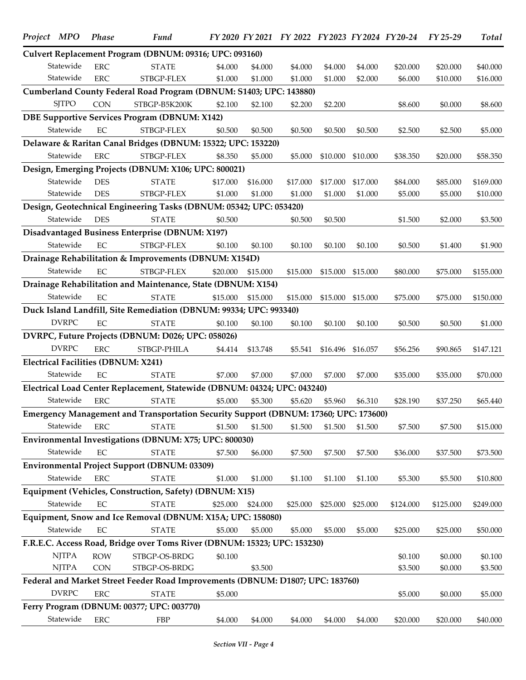| Project MPO  | <b>Phase</b> | Fund                                                                                 |          |          | FY 2020 FY 2021 FY 2022 FY 2023 FY 2024 FY 20-24 |          |          |           | $FY$ 25-29 | Total     |
|--------------|--------------|--------------------------------------------------------------------------------------|----------|----------|--------------------------------------------------|----------|----------|-----------|------------|-----------|
|              |              | Culvert Replacement Program (DBNUM: 09316; UPC: 093160)                              |          |          |                                                  |          |          |           |            |           |
| Statewide    | <b>ERC</b>   | <b>STATE</b>                                                                         | \$4.000  | \$4.000  | \$4.000                                          | \$4.000  | \$4.000  | \$20.000  | \$20.000   | \$40.000  |
| Statewide    | ${\rm ERC}$  | STBGP-FLEX                                                                           | \$1.000  | \$1.000  | \$1.000                                          | \$1.000  | \$2.000  | \$6.000   | \$10.000   | \$16.000  |
|              |              | Cumberland County Federal Road Program (DBNUM: S1403; UPC: 143880)                   |          |          |                                                  |          |          |           |            |           |
| <b>SJTPO</b> | <b>CON</b>   | STBGP-B5K200K                                                                        | \$2.100  | \$2.100  | \$2.200                                          | \$2.200  |          | \$8.600   | \$0.000    | \$8.600   |
|              |              | <b>DBE Supportive Services Program (DBNUM: X142)</b>                                 |          |          |                                                  |          |          |           |            |           |
| Statewide    | EC           | STBGP-FLEX                                                                           | \$0.500  | \$0.500  | \$0.500                                          | \$0.500  | \$0.500  | \$2.500   | \$2.500    | \$5.000   |
|              |              | Delaware & Raritan Canal Bridges (DBNUM: 15322; UPC: 153220)                         |          |          |                                                  |          |          |           |            |           |
| Statewide    | ${\rm ERC}$  | STBGP-FLEX                                                                           | \$8.350  | \$5.000  | \$5.000                                          | \$10.000 | \$10.000 | \$38.350  | \$20.000   | \$58.350  |
|              |              | Design, Emerging Projects (DBNUM: X106; UPC: 800021)                                 |          |          |                                                  |          |          |           |            |           |
| Statewide    | <b>DES</b>   | <b>STATE</b>                                                                         | \$17.000 | \$16.000 | \$17.000                                         | \$17,000 | \$17.000 | \$84.000  | \$85.000   | \$169.000 |
| Statewide    | <b>DES</b>   | STBGP-FLEX                                                                           | \$1.000  | \$1.000  | \$1.000                                          | \$1.000  | \$1.000  | \$5.000   | \$5.000    | \$10.000  |
|              |              | Design, Geotechnical Engineering Tasks (DBNUM: 05342; UPC: 053420)                   |          |          |                                                  |          |          |           |            |           |
| Statewide    | <b>DES</b>   | <b>STATE</b>                                                                         | \$0.500  |          | \$0.500                                          | \$0.500  |          | \$1.500   | \$2.000    | \$3.500   |
|              |              | Disadvantaged Business Enterprise (DBNUM: X197)                                      |          |          |                                                  |          |          |           |            |           |
| Statewide    | EC           | STBGP-FLEX                                                                           | \$0.100  | \$0.100  | \$0.100                                          | \$0.100  | \$0.100  | \$0.500   | \$1.400    | \$1.900   |
|              |              | Drainage Rehabilitation & Improvements (DBNUM: X154D)                                |          |          |                                                  |          |          |           |            |           |
| Statewide    | EC           | STBGP-FLEX                                                                           | \$20.000 | \$15.000 | \$15.000                                         | \$15.000 | \$15.000 | \$80.000  | \$75.000   | \$155.000 |
|              |              | Drainage Rehabilitation and Maintenance, State (DBNUM: X154)                         |          |          |                                                  |          |          |           |            |           |
| Statewide    | EC           | <b>STATE</b>                                                                         | \$15.000 | \$15.000 | \$15.000                                         | \$15.000 | \$15.000 | \$75.000  | \$75.000   | \$150.000 |
|              |              | Duck Island Landfill, Site Remediation (DBNUM: 99334; UPC: 993340)                   |          |          |                                                  |          |          |           |            |           |
| <b>DVRPC</b> | EC           | <b>STATE</b>                                                                         | \$0.100  | \$0.100  | \$0.100                                          | \$0.100  | \$0.100  | \$0.500   | \$0.500    | \$1.000   |
|              |              | DVRPC, Future Projects (DBNUM: D026; UPC: 058026)                                    |          |          |                                                  |          |          |           |            |           |
| <b>DVRPC</b> | ${\rm ERC}$  | STBGP-PHILA                                                                          | \$4.414  | \$13.748 | \$5.541                                          | \$16.496 | \$16.057 | \$56.256  | \$90.865   | \$147.121 |
|              |              | <b>Electrical Facilities (DBNUM: X241)</b>                                           |          |          |                                                  |          |          |           |            |           |
| Statewide    | EC           | <b>STATE</b>                                                                         | \$7.000  | \$7.000  | \$7.000                                          | \$7.000  | \$7.000  | \$35.000  | \$35.000   | \$70.000  |
|              |              | Electrical Load Center Replacement, Statewide (DBNUM: 04324; UPC: 043240)            |          |          |                                                  |          |          |           |            |           |
| Statewide    | <b>ERC</b>   | <b>STATE</b>                                                                         | \$5.000  | \$5.300  | \$5.620                                          | \$5.960  | \$6.310  | \$28.190  | \$37.250   | \$65.440  |
|              |              | Emergency Management and Transportation Security Support (DBNUM: 17360; UPC: 173600) |          |          |                                                  |          |          |           |            |           |
| Statewide    | <b>ERC</b>   | <b>STATE</b>                                                                         | \$1.500  | \$1.500  | \$1.500                                          | \$1.500  | \$1.500  | \$7.500   | \$7.500    | \$15.000  |
|              |              | Environmental Investigations (DBNUM: X75; UPC: 800030)                               |          |          |                                                  |          |          |           |            |           |
| Statewide    | EC           | <b>STATE</b>                                                                         | \$7.500  | \$6.000  | \$7.500                                          | \$7.500  | \$7.500  | \$36.000  | \$37.500   | \$73.500  |
|              |              | <b>Environmental Project Support (DBNUM: 03309)</b>                                  |          |          |                                                  |          |          |           |            |           |
| Statewide    | <b>ERC</b>   | <b>STATE</b>                                                                         | \$1.000  | \$1.000  | \$1.100                                          | \$1.100  | \$1.100  | \$5.300   | \$5.500    | \$10.800  |
|              |              | Equipment (Vehicles, Construction, Safety) (DBNUM: X15)                              |          |          |                                                  |          |          |           |            |           |
| Statewide    | $\rm EC$     | <b>STATE</b>                                                                         | \$25.000 | \$24.000 | \$25.000                                         | \$25.000 | \$25.000 | \$124.000 | \$125.000  | \$249.000 |
|              |              | Equipment, Snow and Ice Removal (DBNUM: X15A; UPC: 158080)                           |          |          |                                                  |          |          |           |            |           |
| Statewide    | $\rm EC$     | <b>STATE</b>                                                                         | \$5.000  | \$5.000  | \$5.000                                          | \$5.000  | \$5.000  | \$25.000  | \$25.000   | \$50.000  |
|              |              | F.R.E.C. Access Road, Bridge over Toms River (DBNUM: 15323; UPC: 153230)             |          |          |                                                  |          |          |           |            |           |
| <b>NJTPA</b> | <b>ROW</b>   | STBGP-OS-BRDG                                                                        | \$0.100  |          |                                                  |          |          | \$0.100   | \$0.000    | \$0.100   |
| <b>NJTPA</b> | <b>CON</b>   | STBGP-OS-BRDG                                                                        |          | \$3.500  |                                                  |          |          | \$3.500   | \$0.000    | \$3.500   |
|              |              | Federal and Market Street Feeder Road Improvements (DBNUM: D1807; UPC: 183760)       |          |          |                                                  |          |          |           |            |           |
| <b>DVRPC</b> | <b>ERC</b>   | <b>STATE</b>                                                                         | \$5.000  |          |                                                  |          |          | \$5.000   | \$0.000    | \$5.000   |
|              |              | Ferry Program (DBNUM: 00377; UPC: 003770)                                            |          |          |                                                  |          |          |           |            |           |
| Statewide    | ERC          | FBP                                                                                  | \$4.000  | \$4.000  | \$4.000                                          | \$4.000  | \$4.000  | \$20.000  | \$20.000   | \$40.000  |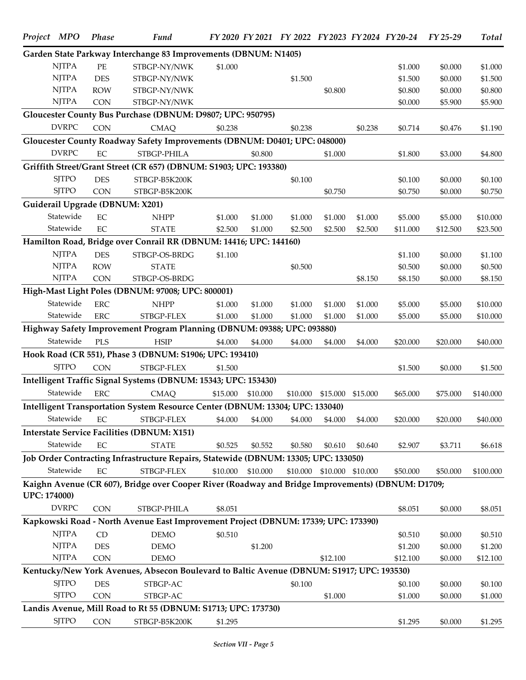| Project MPO         | Phase      | <b>Fund</b>                                                                                       |          |          | FY 2020 FY 2021 FY 2022 FY 2023 FY 2024 FY 20-24 |          |                   |          | $FY$ 25-29 | <b>Total</b> |
|---------------------|------------|---------------------------------------------------------------------------------------------------|----------|----------|--------------------------------------------------|----------|-------------------|----------|------------|--------------|
|                     |            | Garden State Parkway Interchange 83 Improvements (DBNUM: N1405)                                   |          |          |                                                  |          |                   |          |            |              |
| <b>NJTPA</b>        | $\rm PE$   | STBGP-NY/NWK                                                                                      | \$1.000  |          |                                                  |          |                   | \$1.000  | \$0.000    | \$1.000      |
| <b>NJTPA</b>        | <b>DES</b> | STBGP-NY/NWK                                                                                      |          |          | \$1.500                                          |          |                   | \$1.500  | \$0.000    | \$1.500      |
| <b>NJTPA</b>        | <b>ROW</b> | STBGP-NY/NWK                                                                                      |          |          |                                                  | \$0.800  |                   | \$0.800  | \$0.000    | \$0.800      |
| <b>NJTPA</b>        | <b>CON</b> | STBGP-NY/NWK                                                                                      |          |          |                                                  |          |                   | \$0.000  | \$5.900    | \$5.900      |
|                     |            | Gloucester County Bus Purchase (DBNUM: D9807; UPC: 950795)                                        |          |          |                                                  |          |                   |          |            |              |
| <b>DVRPC</b>        | <b>CON</b> | <b>CMAQ</b>                                                                                       | \$0.238  |          | \$0.238                                          |          | \$0.238           | \$0.714  | \$0.476    | \$1.190      |
|                     |            | Gloucester County Roadway Safety Improvements (DBNUM: D0401; UPC: 048000)                         |          |          |                                                  |          |                   |          |            |              |
| <b>DVRPC</b>        | $\rm EC$   | STBGP-PHILA                                                                                       |          | \$0.800  |                                                  | \$1.000  |                   | \$1.800  | \$3.000    | \$4.800      |
|                     |            | Griffith Street/Grant Street (CR 657) (DBNUM: S1903; UPC: 193380)                                 |          |          |                                                  |          |                   |          |            |              |
| <b>SJTPO</b>        | <b>DES</b> | STBGP-B5K200K                                                                                     |          |          | \$0.100                                          |          |                   | \$0.100  | \$0.000    | \$0.100      |
| <b>SJTPO</b>        | CON        | STBGP-B5K200K                                                                                     |          |          |                                                  | \$0.750  |                   | \$0.750  | \$0.000    | \$0.750      |
|                     |            | Guiderail Upgrade (DBNUM: X201)                                                                   |          |          |                                                  |          |                   |          |            |              |
| Statewide           | EC         | <b>NHPP</b>                                                                                       | \$1.000  | \$1.000  | \$1.000                                          | \$1.000  | \$1.000           | \$5.000  | \$5.000    | \$10.000     |
| Statewide           | EC         | <b>STATE</b>                                                                                      | \$2.500  | \$1.000  | \$2.500                                          | \$2.500  | \$2.500           | \$11.000 | \$12.500   | \$23.500     |
|                     |            | Hamilton Road, Bridge over Conrail RR (DBNUM: 14416; UPC: 144160)                                 |          |          |                                                  |          |                   |          |            |              |
| <b>NJTPA</b>        | <b>DES</b> | STBGP-OS-BRDG                                                                                     | \$1.100  |          |                                                  |          |                   | \$1.100  | \$0.000    | \$1.100      |
| <b>NJTPA</b>        | <b>ROW</b> | <b>STATE</b>                                                                                      |          |          | \$0.500                                          |          |                   | \$0.500  | \$0.000    | \$0.500      |
| <b>NJTPA</b>        | <b>CON</b> | STBGP-OS-BRDG                                                                                     |          |          |                                                  |          | \$8.150           | \$8.150  | \$0.000    | \$8.150      |
|                     |            | High-Mast Light Poles (DBNUM: 97008; UPC: 800001)                                                 |          |          |                                                  |          |                   |          |            |              |
| Statewide           | <b>ERC</b> | <b>NHPP</b>                                                                                       | \$1.000  | \$1.000  | \$1.000                                          | \$1.000  | \$1.000           | \$5.000  | \$5.000    | \$10.000     |
| Statewide           | <b>ERC</b> | STBGP-FLEX                                                                                        | \$1.000  | \$1.000  | \$1.000                                          | \$1.000  | \$1.000           | \$5.000  | \$5.000    | \$10.000     |
|                     |            | Highway Safety Improvement Program Planning (DBNUM: 09388; UPC: 093880)                           |          |          |                                                  |          |                   |          |            |              |
| Statewide           | PLS        | <b>HSIP</b>                                                                                       | \$4.000  | \$4.000  | \$4.000                                          | \$4.000  | \$4.000           | \$20.000 | \$20.000   | \$40.000     |
|                     |            | Hook Road (CR 551), Phase 3 (DBNUM: S1906; UPC: 193410)                                           |          |          |                                                  |          |                   |          |            |              |
| <b>SITPO</b>        | <b>CON</b> | STBGP-FLEX                                                                                        | \$1.500  |          |                                                  |          |                   | \$1.500  | \$0.000    | \$1.500      |
|                     |            | Intelligent Traffic Signal Systems (DBNUM: 15343; UPC: 153430)                                    |          |          |                                                  |          |                   |          |            |              |
| Statewide           | <b>ERC</b> | <b>CMAQ</b>                                                                                       | \$15.000 | \$10.000 | \$10.000                                         | \$15.000 | \$15.000          | \$65.000 | \$75.000   | \$140.000    |
|                     |            | Intelligent Transportation System Resource Center (DBNUM: 13304; UPC: 133040)                     |          |          |                                                  |          |                   |          |            |              |
| Statewide           | $\rm EC$   | STBGP-FLEX                                                                                        | \$4.000  | \$4.000  | \$4.000                                          | \$4.000  | \$4.000           | \$20.000 | \$20.000   | \$40.000     |
|                     |            | <b>Interstate Service Facilities (DBNUM: X151)</b>                                                |          |          |                                                  |          |                   |          |            |              |
| Statewide           | $\rm EC$   | <b>STATE</b>                                                                                      | \$0.525  | \$0.552  | \$0.580                                          | \$0.610  | \$0.640           | \$2.907  | \$3.711    | \$6.618      |
|                     |            | Job Order Contracting Infrastructure Repairs, Statewide (DBNUM: 13305; UPC: 133050)               |          |          |                                                  |          |                   |          |            |              |
| Statewide           | EC         | STBGP-FLEX                                                                                        | \$10.000 | \$10.000 | \$10.000                                         |          | \$10.000 \$10.000 | \$50.000 | \$50.000   | \$100.000    |
|                     |            | Kaighn Avenue (CR 607), Bridge over Cooper River (Roadway and Bridge Improvements) (DBNUM: D1709; |          |          |                                                  |          |                   |          |            |              |
| <b>UPC: 174000)</b> |            |                                                                                                   |          |          |                                                  |          |                   |          |            |              |
| <b>DVRPC</b>        | <b>CON</b> | STBGP-PHILA                                                                                       | \$8.051  |          |                                                  |          |                   | \$8.051  | \$0.000    | \$8.051      |
|                     |            | Kapkowski Road - North Avenue East Improvement Project (DBNUM: 17339; UPC: 173390)                |          |          |                                                  |          |                   |          |            |              |
| <b>NJTPA</b>        | CD         | <b>DEMO</b>                                                                                       | \$0.510  |          |                                                  |          |                   | \$0.510  | \$0.000    | \$0.510      |
| <b>NJTPA</b>        | <b>DES</b> | <b>DEMO</b>                                                                                       |          | \$1.200  |                                                  |          |                   | \$1.200  | \$0.000    | \$1.200      |
| <b>NJTPA</b>        | <b>CON</b> | <b>DEMO</b>                                                                                       |          |          |                                                  | \$12.100 |                   | \$12.100 | \$0.000    | \$12.100     |
|                     |            | Kentucky/New York Avenues, Absecon Boulevard to Baltic Avenue (DBNUM: S1917; UPC: 193530)         |          |          |                                                  |          |                   |          |            |              |
| <b>SJTPO</b>        | <b>DES</b> | STBGP-AC                                                                                          |          |          | \$0.100                                          |          |                   | \$0.100  | \$0.000    | \$0.100      |
| <b>SJTPO</b>        | <b>CON</b> | STBGP-AC                                                                                          |          |          |                                                  | \$1.000  |                   | \$1.000  | \$0.000    | \$1.000      |
|                     |            | Landis Avenue, Mill Road to Rt 55 (DBNUM: S1713; UPC: 173730)                                     |          |          |                                                  |          |                   |          |            |              |
| <b>SJTPO</b>        | CON        | STBGP-B5K200K                                                                                     | \$1.295  |          |                                                  |          |                   | \$1.295  | \$0.000    | \$1.295      |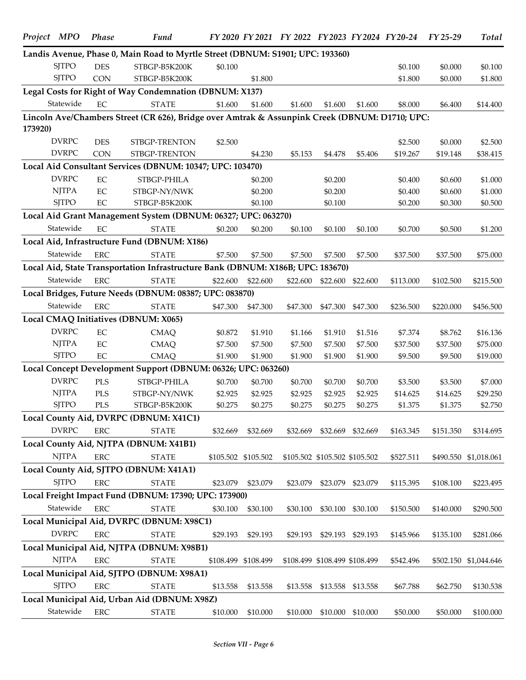| Project MPO |              | <b>Phase</b> | Fund                                                                                           |          |                     | FY 2020 FY 2021 FY 2022 FY 2023 FY 2024 FY 20-24 |                               |          |           | $FY$ 25-29 | <b>Total</b>          |
|-------------|--------------|--------------|------------------------------------------------------------------------------------------------|----------|---------------------|--------------------------------------------------|-------------------------------|----------|-----------|------------|-----------------------|
|             |              |              | Landis Avenue, Phase 0, Main Road to Myrtle Street (DBNUM: S1901; UPC: 193360)                 |          |                     |                                                  |                               |          |           |            |                       |
|             | <b>SITPO</b> | <b>DES</b>   | STBGP-B5K200K                                                                                  | \$0.100  |                     |                                                  |                               |          | \$0.100   | \$0.000    | \$0.100               |
|             | <b>SJTPO</b> | <b>CON</b>   | STBGP-B5K200K                                                                                  |          | \$1.800             |                                                  |                               |          | \$1.800   | \$0.000    | \$1.800               |
|             |              |              | Legal Costs for Right of Way Condemnation (DBNUM: X137)                                        |          |                     |                                                  |                               |          |           |            |                       |
|             | Statewide    | EC           | <b>STATE</b>                                                                                   | \$1.600  | \$1.600             | \$1.600                                          | \$1.600                       | \$1.600  | \$8.000   | \$6.400    | \$14.400              |
|             |              |              | Lincoln Ave/Chambers Street (CR 626), Bridge over Amtrak & Assunpink Creek (DBNUM: D1710; UPC: |          |                     |                                                  |                               |          |           |            |                       |
| 173920)     |              |              |                                                                                                |          |                     |                                                  |                               |          |           |            |                       |
|             | <b>DVRPC</b> | <b>DES</b>   | STBGP-TRENTON                                                                                  | \$2.500  |                     |                                                  |                               |          | \$2.500   | \$0.000    | \$2.500               |
|             | <b>DVRPC</b> | <b>CON</b>   | STBGP-TRENTON                                                                                  |          | \$4.230             | \$5.153                                          | \$4.478                       | \$5.406  | \$19.267  | \$19.148   | \$38.415              |
|             |              |              | Local Aid Consultant Services (DBNUM: 10347; UPC: 103470)                                      |          |                     |                                                  |                               |          |           |            |                       |
|             | <b>DVRPC</b> | $\rm EC$     | STBGP-PHILA                                                                                    |          | \$0.200             |                                                  | \$0.200                       |          | \$0.400   | \$0.600    | \$1.000               |
|             | <b>NJTPA</b> | $\rm EC$     | STBGP-NY/NWK                                                                                   |          | \$0.200             |                                                  | \$0.200                       |          | \$0.400   | \$0.600    | \$1.000               |
|             | <b>SJTPO</b> | EC           | STBGP-B5K200K                                                                                  |          | \$0.100             |                                                  | \$0.100                       |          | \$0.200   | \$0.300    | \$0.500               |
|             |              |              | Local Aid Grant Management System (DBNUM: 06327; UPC: 063270)                                  |          |                     |                                                  |                               |          |           |            |                       |
|             | Statewide    | EC           | <b>STATE</b>                                                                                   | \$0.200  | \$0.200             | \$0.100                                          | \$0.100                       | \$0.100  | \$0.700   | \$0.500    | \$1.200               |
|             |              |              | Local Aid, Infrastructure Fund (DBNUM: X186)                                                   |          |                     |                                                  |                               |          |           |            |                       |
|             | Statewide    | <b>ERC</b>   | <b>STATE</b>                                                                                   | \$7.500  | \$7.500             | \$7.500                                          | \$7.500                       | \$7.500  | \$37.500  | \$37.500   | \$75.000              |
|             |              |              | Local Aid, State Transportation Infrastructure Bank (DBNUM: X186B; UPC: 183670)                |          |                     |                                                  |                               |          |           |            |                       |
|             | Statewide    | <b>ERC</b>   | <b>STATE</b>                                                                                   |          |                     |                                                  |                               |          |           |            |                       |
|             |              |              |                                                                                                | \$22.600 | \$22.600            | \$22.600                                         | \$22,600                      | \$22,600 | \$113.000 | \$102.500  | \$215.500             |
|             |              |              | Local Bridges, Future Needs (DBNUM: 08387; UPC: 083870)                                        |          |                     |                                                  |                               |          |           |            |                       |
|             | Statewide    | <b>ERC</b>   | <b>STATE</b>                                                                                   | \$47.300 | \$47.300            | \$47.300                                         | \$47.300                      | \$47.300 | \$236.500 | \$220.000  | \$456.500             |
|             |              |              | Local CMAQ Initiatives (DBNUM: X065)                                                           |          |                     |                                                  |                               |          |           |            |                       |
|             | <b>DVRPC</b> | $\rm EC$     | <b>CMAQ</b>                                                                                    | \$0.872  | \$1.910             | \$1.166                                          | \$1.910                       | \$1.516  | \$7.374   | \$8.762    | \$16.136              |
|             | <b>NJTPA</b> | EC           | <b>CMAQ</b>                                                                                    | \$7.500  | \$7.500             | \$7.500                                          | \$7.500                       | \$7.500  | \$37.500  | \$37.500   | \$75.000              |
|             | <b>SJTPO</b> | $\rm EC$     | <b>CMAQ</b>                                                                                    | \$1.900  | \$1.900             | \$1.900                                          | \$1.900                       | \$1.900  | \$9.500   | \$9.500    | \$19.000              |
|             |              |              | Local Concept Development Support (DBNUM: 06326; UPC: 063260)                                  |          |                     |                                                  |                               |          |           |            |                       |
|             | <b>DVRPC</b> | PLS          | STBGP-PHILA                                                                                    | \$0.700  | \$0.700             | \$0.700                                          | \$0.700                       | \$0.700  | \$3.500   | \$3.500    | \$7.000               |
|             | <b>NJTPA</b> | PLS          | STBGP-NY/NWK                                                                                   | \$2.925  | \$2.925             | \$2.925                                          | \$2.925                       | \$2.925  | \$14.625  | \$14.625   | \$29.250              |
|             | <b>SJTPO</b> | PLS          | STBGP-B5K200K                                                                                  | \$0.275  | \$0.275             | \$0.275                                          | \$0.275                       | \$0.275  | \$1.375   | \$1.375    | \$2.750               |
|             |              |              | Local County Aid, DVRPC (DBNUM: X41C1)                                                         |          |                     |                                                  |                               |          |           |            |                       |
|             | <b>DVRPC</b> | <b>ERC</b>   | <b>STATE</b>                                                                                   | \$32.669 | \$32.669            | \$32.669                                         | \$32.669 \$32.669             |          | \$163.345 | \$151.350  | \$314.695             |
|             |              |              | Local County Aid, NJTPA (DBNUM: X41B1)                                                         |          |                     |                                                  |                               |          |           |            |                       |
|             | <b>NJTPA</b> | ERC          | <b>STATE</b>                                                                                   |          | \$105.502 \$105.502 |                                                  | \$105.502 \$105.502 \$105.502 |          | \$527.511 |            | \$490.550 \$1,018.061 |
|             |              |              | Local County Aid, SJTPO (DBNUM: X41A1)                                                         |          |                     |                                                  |                               |          |           |            |                       |
|             | <b>SJTPO</b> | <b>ERC</b>   | <b>STATE</b>                                                                                   | \$23.079 | \$23.079            | \$23.079                                         | \$23.079                      | \$23.079 | \$115.395 | \$108.100  | \$223.495             |
|             |              |              | Local Freight Impact Fund (DBNUM: 17390; UPC: 173900)                                          |          |                     |                                                  |                               |          |           |            |                       |
|             | Statewide    | ERC          | <b>STATE</b>                                                                                   | \$30.100 | \$30.100            | \$30.100                                         | \$30.100                      | \$30.100 | \$150.500 | \$140.000  | \$290.500             |
|             |              |              | Local Municipal Aid, DVRPC (DBNUM: X98C1)                                                      |          |                     |                                                  |                               |          |           |            |                       |
|             | <b>DVRPC</b> | <b>ERC</b>   | <b>STATE</b>                                                                                   | \$29.193 | \$29.193            | \$29.193                                         | \$29.193 \$29.193             |          | \$145.966 | \$135.100  | \$281.066             |
|             |              |              | Local Municipal Aid, NJTPA (DBNUM: X98B1)                                                      |          |                     |                                                  |                               |          |           |            |                       |
|             | <b>NJTPA</b> | ERC          |                                                                                                |          |                     |                                                  |                               |          |           |            |                       |
|             |              |              | <b>STATE</b>                                                                                   |          | \$108.499 \$108.499 |                                                  | \$108.499 \$108.499 \$108.499 |          | \$542.496 |            | \$502.150 \$1,044.646 |
|             |              |              | Local Municipal Aid, SJTPO (DBNUM: X98A1)                                                      |          |                     |                                                  |                               |          |           |            |                       |
|             | <b>SJTPO</b> | <b>ERC</b>   | <b>STATE</b>                                                                                   | \$13.558 | \$13.558            | \$13.558                                         | \$13.558                      | \$13.558 | \$67.788  | \$62.750   | \$130.538             |
|             |              |              | Local Municipal Aid, Urban Aid (DBNUM: X98Z)                                                   |          |                     |                                                  |                               |          |           |            |                       |
|             | Statewide    | ERC          | <b>STATE</b>                                                                                   | \$10.000 | \$10.000            | \$10.000                                         | \$10.000                      | \$10.000 | \$50.000  | \$50.000   | \$100.000             |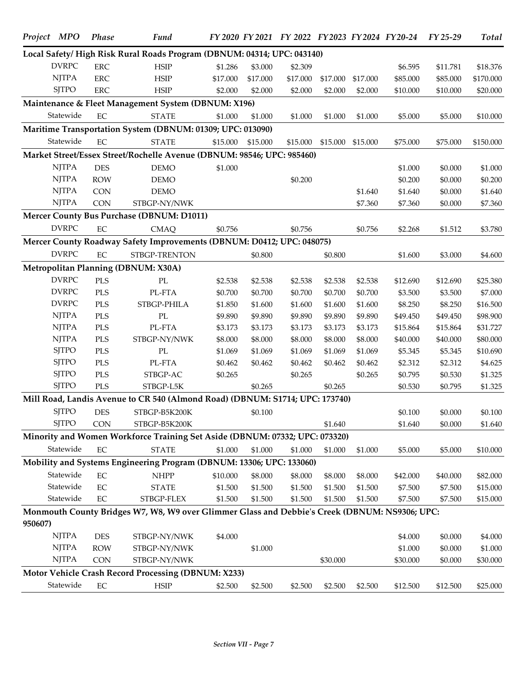|         | Project MPO  | <b>Phase</b> | Fund                                                                                          |          |          | FY 2020 FY 2021 FY 2022 FY 2023 FY 2024 FY 20-24 |          |          |          | FY 25-29 | Total     |
|---------|--------------|--------------|-----------------------------------------------------------------------------------------------|----------|----------|--------------------------------------------------|----------|----------|----------|----------|-----------|
|         |              |              | Local Safety/High Risk Rural Roads Program (DBNUM: 04314; UPC: 043140)                        |          |          |                                                  |          |          |          |          |           |
|         | <b>DVRPC</b> | <b>ERC</b>   | <b>HSIP</b>                                                                                   | \$1.286  | \$3.000  | \$2.309                                          |          |          | \$6.595  | \$11.781 | \$18.376  |
|         | <b>NJTPA</b> | <b>ERC</b>   | $\operatorname{HSIP}$                                                                         | \$17.000 | \$17.000 | \$17.000                                         | \$17.000 | \$17.000 | \$85.000 | \$85.000 | \$170.000 |
|         | <b>SJTPO</b> | <b>ERC</b>   | <b>HSIP</b>                                                                                   | \$2.000  | \$2.000  | \$2.000                                          | \$2.000  | \$2.000  | \$10.000 | \$10.000 | \$20.000  |
|         |              |              | Maintenance & Fleet Management System (DBNUM: X196)                                           |          |          |                                                  |          |          |          |          |           |
|         | Statewide    | EC           | <b>STATE</b>                                                                                  | \$1.000  | \$1.000  | \$1.000                                          | \$1.000  | \$1.000  | \$5.000  | \$5.000  | \$10.000  |
|         |              |              | Maritime Transportation System (DBNUM: 01309; UPC: 013090)                                    |          |          |                                                  |          |          |          |          |           |
|         | Statewide    | $\rm EC$     | <b>STATE</b>                                                                                  | \$15.000 | \$15.000 | \$15.000                                         | \$15.000 | \$15.000 | \$75.000 | \$75.000 | \$150.000 |
|         |              |              | Market Street/Essex Street/Rochelle Avenue (DBNUM: 98546; UPC: 985460)                        |          |          |                                                  |          |          |          |          |           |
|         | <b>NJTPA</b> | <b>DES</b>   | <b>DEMO</b>                                                                                   | \$1.000  |          |                                                  |          |          | \$1.000  | \$0.000  | \$1.000   |
|         | <b>NJTPA</b> | <b>ROW</b>   | <b>DEMO</b>                                                                                   |          |          | \$0.200                                          |          |          | \$0.200  | \$0.000  | \$0.200   |
|         | <b>NJTPA</b> | <b>CON</b>   | <b>DEMO</b>                                                                                   |          |          |                                                  |          | \$1.640  | \$1.640  | \$0.000  | \$1.640   |
|         | <b>NJTPA</b> | <b>CON</b>   | STBGP-NY/NWK                                                                                  |          |          |                                                  |          | \$7.360  | \$7.360  | \$0.000  | \$7.360   |
|         |              |              | Mercer County Bus Purchase (DBNUM: D1011)                                                     |          |          |                                                  |          |          |          |          |           |
|         | <b>DVRPC</b> | $\rm EC$     | <b>CMAQ</b>                                                                                   | \$0.756  |          | \$0.756                                          |          | \$0.756  | \$2.268  | \$1.512  | \$3.780   |
|         |              |              | Mercer County Roadway Safety Improvements (DBNUM: D0412; UPC: 048075)                         |          |          |                                                  |          |          |          |          |           |
|         | <b>DVRPC</b> | $\rm EC$     | STBGP-TRENTON                                                                                 |          | \$0.800  |                                                  | \$0.800  |          | \$1.600  | \$3.000  | \$4.600   |
|         |              |              | Metropolitan Planning (DBNUM: X30A)                                                           |          |          |                                                  |          |          |          |          |           |
|         | <b>DVRPC</b> | PLS          | $\rm PL$                                                                                      | \$2.538  | \$2.538  | \$2.538                                          | \$2.538  | \$2.538  | \$12.690 | \$12.690 | \$25.380  |
|         | <b>DVRPC</b> | PLS          | PL-FTA                                                                                        | \$0.700  | \$0.700  | \$0.700                                          | \$0.700  | \$0.700  | \$3.500  | \$3.500  | \$7.000   |
|         | <b>DVRPC</b> | PLS          | STBGP-PHILA                                                                                   | \$1.850  | \$1.600  | \$1.600                                          | \$1.600  | \$1.600  | \$8.250  | \$8.250  | \$16.500  |
|         | <b>NJTPA</b> | PLS          | $\rm PL$                                                                                      | \$9.890  | \$9.890  | \$9.890                                          | \$9.890  | \$9.890  | \$49.450 | \$49.450 | \$98.900  |
|         | <b>NJTPA</b> | PLS          | PL-FTA                                                                                        | \$3.173  | \$3.173  | \$3.173                                          | \$3.173  | \$3.173  | \$15.864 | \$15.864 | \$31.727  |
|         | <b>NJTPA</b> | PLS          | STBGP-NY/NWK                                                                                  | \$8.000  | \$8.000  | \$8.000                                          | \$8.000  | \$8.000  | \$40.000 | \$40.000 | \$80.000  |
|         | <b>SJTPO</b> | <b>PLS</b>   | $\rm PL$                                                                                      | \$1.069  | \$1.069  | \$1.069                                          | \$1.069  | \$1.069  | \$5.345  | \$5.345  | \$10.690  |
|         | <b>SJTPO</b> | <b>PLS</b>   | PL-FTA                                                                                        | \$0.462  | \$0.462  | \$0.462                                          | \$0.462  | \$0.462  | \$2.312  | \$2.312  | \$4.625   |
|         | <b>SJTPO</b> | PLS          | STBGP-AC                                                                                      | \$0.265  |          | \$0.265                                          |          | \$0.265  | \$0.795  | \$0.530  | \$1.325   |
|         | <b>SJTPO</b> | PLS          | STBGP-L5K                                                                                     |          | \$0.265  |                                                  | \$0.265  |          | \$0.530  | \$0.795  | \$1.325   |
|         |              |              | Mill Road, Landis Avenue to CR 540 (Almond Road) (DBNUM: S1714; UPC: 173740)                  |          |          |                                                  |          |          |          |          |           |
|         | <b>SJTPO</b> | <b>DES</b>   | STBGP-B5K200K                                                                                 |          | \$0.100  |                                                  |          |          | \$0.100  | \$0.000  | \$0.100   |
|         | <b>SJTPO</b> | <b>CON</b>   | STBGP-B5K200K                                                                                 |          |          |                                                  | \$1.640  |          | \$1.640  | \$0.000  | \$1.640   |
|         |              |              | Minority and Women Workforce Training Set Aside (DBNUM: 07332; UPC: 073320)                   |          |          |                                                  |          |          |          |          |           |
|         | Statewide    | $\rm EC$     | <b>STATE</b>                                                                                  | \$1.000  | \$1.000  | \$1.000                                          | \$1.000  | \$1.000  | \$5.000  | \$5.000  | \$10.000  |
|         |              |              | Mobility and Systems Engineering Program (DBNUM: 13306; UPC: 133060)                          |          |          |                                                  |          |          |          |          |           |
|         | Statewide    | $\rm EC$     | <b>NHPP</b>                                                                                   | \$10.000 | \$8.000  | \$8.000                                          | \$8.000  | \$8.000  | \$42.000 | \$40.000 | \$82.000  |
|         | Statewide    | $\rm EC$     | <b>STATE</b>                                                                                  | \$1.500  | \$1.500  | \$1.500                                          | \$1.500  | \$1.500  | \$7.500  | \$7.500  | \$15.000  |
|         | Statewide    | $\rm EC$     | STBGP-FLEX                                                                                    | \$1.500  | \$1.500  | \$1.500                                          | \$1.500  | \$1.500  | \$7.500  | \$7.500  | \$15.000  |
| 950607) |              |              | Monmouth County Bridges W7, W8, W9 over Glimmer Glass and Debbie's Creek (DBNUM: NS9306; UPC: |          |          |                                                  |          |          |          |          |           |
|         | <b>NJTPA</b> | <b>DES</b>   | STBGP-NY/NWK                                                                                  | \$4.000  |          |                                                  |          |          | \$4.000  | \$0.000  | \$4.000   |
|         | <b>NJTPA</b> | <b>ROW</b>   | STBGP-NY/NWK                                                                                  |          | \$1.000  |                                                  |          |          | \$1.000  | \$0.000  | \$1.000   |
|         | <b>NJTPA</b> | CON          | STBGP-NY/NWK                                                                                  |          |          |                                                  | \$30.000 |          | \$30.000 | \$0.000  | \$30.000  |
|         |              |              | Motor Vehicle Crash Record Processing (DBNUM: X233)                                           |          |          |                                                  |          |          |          |          |           |
|         | Statewide    | $\rm EC$     | $\operatorname{HSIP}$                                                                         | \$2.500  | \$2.500  | \$2.500                                          | \$2.500  | \$2.500  | \$12.500 | \$12.500 | \$25.000  |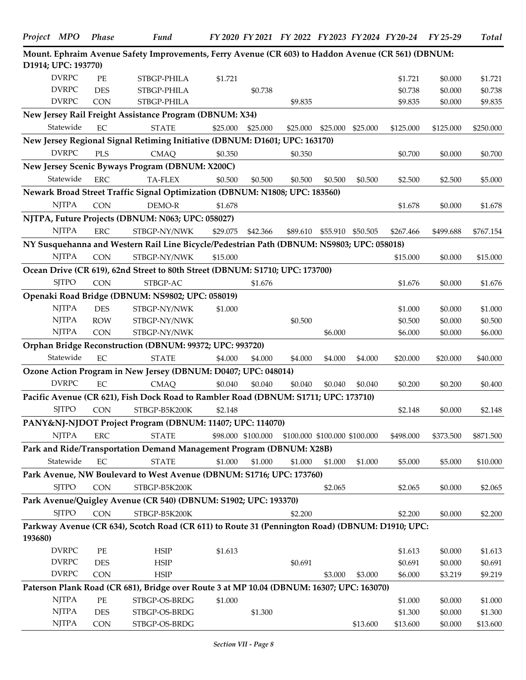|         | Project MPO         | Phase      | Fund                                                                                               |          |                    | FY 2020 FY 2021 FY 2022 FY 2023 FY 2024 FY 20-24 |                               |          |           | FY 25-29  | <b>Total</b> |
|---------|---------------------|------------|----------------------------------------------------------------------------------------------------|----------|--------------------|--------------------------------------------------|-------------------------------|----------|-----------|-----------|--------------|
|         |                     |            | Mount. Ephraim Avenue Safety Improvements, Ferry Avenue (CR 603) to Haddon Avenue (CR 561) (DBNUM: |          |                    |                                                  |                               |          |           |           |              |
|         | D1914; UPC: 193770) |            |                                                                                                    |          |                    |                                                  |                               |          |           |           |              |
|         | <b>DVRPC</b>        | <b>PE</b>  | STBGP-PHILA                                                                                        | \$1.721  |                    |                                                  |                               |          | \$1.721   | \$0.000   | \$1.721      |
|         | <b>DVRPC</b>        | <b>DES</b> | STBGP-PHILA                                                                                        |          | \$0.738            |                                                  |                               |          | \$0.738   | \$0.000   | \$0.738      |
|         | <b>DVRPC</b>        | <b>CON</b> | STBGP-PHILA                                                                                        |          |                    | \$9.835                                          |                               |          | \$9.835   | \$0.000   | \$9.835      |
|         |                     |            | New Jersey Rail Freight Assistance Program (DBNUM: X34)                                            |          |                    |                                                  |                               |          |           |           |              |
|         | Statewide           | EC         | <b>STATE</b>                                                                                       | \$25.000 | \$25.000           | \$25.000                                         | \$25.000                      | \$25,000 | \$125.000 | \$125.000 | \$250.000    |
|         |                     |            | New Jersey Regional Signal Retiming Initiative (DBNUM: D1601; UPC: 163170)                         |          |                    |                                                  |                               |          |           |           |              |
|         | <b>DVRPC</b>        | <b>PLS</b> | <b>CMAQ</b>                                                                                        | \$0.350  |                    | \$0.350                                          |                               |          | \$0.700   | \$0.000   | \$0.700      |
|         |                     |            | New Jersey Scenic Byways Program (DBNUM: X200C)                                                    |          |                    |                                                  |                               |          |           |           |              |
|         | Statewide           | <b>ERC</b> | <b>TA-FLEX</b>                                                                                     | \$0.500  | \$0.500            | \$0.500                                          | \$0.500                       | \$0.500  | \$2.500   | \$2.500   | \$5.000      |
|         |                     |            | Newark Broad Street Traffic Signal Optimization (DBNUM: N1808; UPC: 183560)                        |          |                    |                                                  |                               |          |           |           |              |
|         | <b>NJTPA</b>        | <b>CON</b> | DEMO-R                                                                                             | \$1.678  |                    |                                                  |                               |          | \$1.678   | \$0.000   | \$1.678      |
|         |                     |            | NJTPA, Future Projects (DBNUM: N063; UPC: 058027)                                                  |          |                    |                                                  |                               |          |           |           |              |
|         | <b>NJTPA</b>        | <b>ERC</b> | STBGP-NY/NWK                                                                                       | \$29.075 | \$42.366           | \$89.610                                         | \$55.910                      | \$50.505 | \$267.466 | \$499.688 | \$767.154    |
|         |                     |            | NY Susquehanna and Western Rail Line Bicycle/Pedestrian Path (DBNUM: NS9803; UPC: 058018)          |          |                    |                                                  |                               |          |           |           |              |
|         | <b>NJTPA</b>        | <b>CON</b> | STBGP-NY/NWK                                                                                       | \$15.000 |                    |                                                  |                               |          | \$15.000  |           | \$15.000     |
|         |                     |            |                                                                                                    |          |                    |                                                  |                               |          |           | \$0.000   |              |
|         |                     |            | Ocean Drive (CR 619), 62nd Street to 80th Street (DBNUM: S1710; UPC: 173700)                       |          |                    |                                                  |                               |          |           |           |              |
|         | <b>SJTPO</b>        | <b>CON</b> | STBGP-AC                                                                                           |          | \$1.676            |                                                  |                               |          | \$1.676   | \$0.000   | \$1.676      |
|         |                     |            | Openaki Road Bridge (DBNUM: NS9802; UPC: 058019)                                                   |          |                    |                                                  |                               |          |           |           |              |
|         | <b>NJTPA</b>        | <b>DES</b> | STBGP-NY/NWK                                                                                       | \$1.000  |                    |                                                  |                               |          | \$1.000   | \$0.000   | \$1.000      |
|         | <b>NJTPA</b>        | <b>ROW</b> | STBGP-NY/NWK                                                                                       |          |                    | \$0.500                                          |                               |          | \$0.500   | \$0.000   | \$0.500      |
|         | <b>NJTPA</b>        | <b>CON</b> | STBGP-NY/NWK                                                                                       |          |                    |                                                  | \$6.000                       |          | \$6.000   | \$0.000   | \$6.000      |
|         |                     |            | Orphan Bridge Reconstruction (DBNUM: 99372; UPC: 993720)                                           |          |                    |                                                  |                               |          |           |           |              |
|         | Statewide           | EC         | <b>STATE</b>                                                                                       | \$4.000  | \$4.000            | \$4.000                                          | \$4.000                       | \$4.000  | \$20.000  | \$20.000  | \$40.000     |
|         |                     |            | Ozone Action Program in New Jersey (DBNUM: D0407; UPC: 048014)                                     |          |                    |                                                  |                               |          |           |           |              |
|         | <b>DVRPC</b>        | EC         | <b>CMAQ</b>                                                                                        | \$0.040  | \$0.040            | \$0.040                                          | \$0.040                       | \$0.040  | \$0.200   | \$0.200   | \$0.400      |
|         |                     |            | Pacific Avenue (CR 621), Fish Dock Road to Rambler Road (DBNUM: S1711; UPC: 173710)                |          |                    |                                                  |                               |          |           |           |              |
|         | <b>SJTPO</b>        | <b>CON</b> | STBGP-B5K200K                                                                                      | \$2.148  |                    |                                                  |                               |          | \$2.148   | \$0.000   | \$2.148      |
|         |                     |            | PANY&NJ-NJDOT Project Program (DBNUM: 11407; UPC: 114070)                                          |          |                    |                                                  |                               |          |           |           |              |
|         | <b>NJTPA</b>        | <b>ERC</b> | <b>STATE</b>                                                                                       |          | \$98.000 \$100.000 |                                                  | \$100.000 \$100.000 \$100.000 |          | \$498.000 | \$373.500 | \$871.500    |
|         |                     |            | Park and Ride/Transportation Demand Management Program (DBNUM: X28B)                               |          |                    |                                                  |                               |          |           |           |              |
|         | Statewide           | $\rm EC$   | <b>STATE</b>                                                                                       | \$1.000  | \$1.000            | \$1.000                                          | \$1.000                       | \$1.000  | \$5.000   | \$5.000   | \$10.000     |
|         |                     |            | Park Avenue, NW Boulevard to West Avenue (DBNUM: S1716; UPC: 173760)                               |          |                    |                                                  |                               |          |           |           |              |
|         | <b>SJTPO</b>        | <b>CON</b> | STBGP-B5K200K                                                                                      |          |                    |                                                  | \$2.065                       |          | \$2.065   | \$0.000   | \$2.065      |
|         |                     |            | Park Avenue/Quigley Avenue (CR 540) (DBNUM: S1902; UPC: 193370)                                    |          |                    |                                                  |                               |          |           |           |              |
|         | <b>SJTPO</b>        | CON        | STBGP-B5K200K                                                                                      |          |                    | \$2.200                                          |                               |          | \$2.200   | \$0.000   | \$2.200      |
|         |                     |            | Parkway Avenue (CR 634), Scotch Road (CR 611) to Route 31 (Pennington Road) (DBNUM: D1910; UPC:    |          |                    |                                                  |                               |          |           |           |              |
| 193680) |                     |            |                                                                                                    |          |                    |                                                  |                               |          |           |           |              |
|         | <b>DVRPC</b>        | PE         | <b>HSIP</b>                                                                                        | \$1.613  |                    |                                                  |                               |          | \$1.613   | \$0.000   | \$1.613      |
|         | <b>DVRPC</b>        | DES        | <b>HSIP</b>                                                                                        |          |                    | \$0.691                                          |                               |          | \$0.691   | \$0.000   | \$0.691      |
|         | <b>DVRPC</b>        | <b>CON</b> | <b>HSIP</b>                                                                                        |          |                    |                                                  | \$3.000                       | \$3.000  | \$6.000   | \$3.219   | \$9.219      |
|         |                     |            | Paterson Plank Road (CR 681), Bridge over Route 3 at MP 10.04 (DBNUM: 16307; UPC: 163070)          |          |                    |                                                  |                               |          |           |           |              |
|         | <b>NJTPA</b>        | $\rm PE$   | STBGP-OS-BRDG                                                                                      | \$1.000  |                    |                                                  |                               |          | \$1.000   | \$0.000   | \$1.000      |
|         | <b>NJTPA</b>        | DES        | STBGP-OS-BRDG                                                                                      |          | \$1.300            |                                                  |                               |          | \$1.300   | \$0.000   | \$1.300      |
|         | <b>NJTPA</b>        | CON        | STBGP-OS-BRDG                                                                                      |          |                    |                                                  |                               | \$13.600 | \$13.600  | \$0.000   | \$13.600     |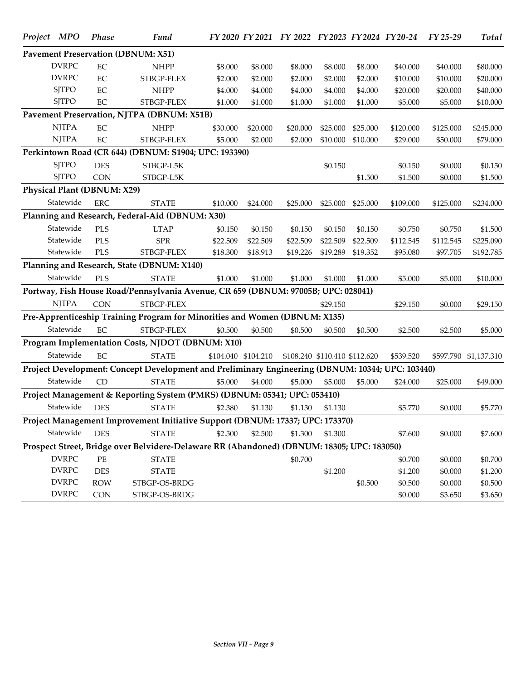| Project MPO                 | <b>Phase</b> | Fund                                                                                             |          |                     | FY 2020 FY 2021 FY 2022 FY 2023 FY 2024 FY 20-24 |                               |          |           | $FY$ 25-29 | <b>Total</b>          |
|-----------------------------|--------------|--------------------------------------------------------------------------------------------------|----------|---------------------|--------------------------------------------------|-------------------------------|----------|-----------|------------|-----------------------|
|                             |              | <b>Pavement Preservation (DBNUM: X51)</b>                                                        |          |                     |                                                  |                               |          |           |            |                       |
| <b>DVRPC</b>                | EC           | <b>NHPP</b>                                                                                      | \$8.000  | \$8.000             | \$8.000                                          | \$8.000                       | \$8.000  | \$40.000  | \$40.000   | \$80.000              |
| <b>DVRPC</b>                | EC           | STBGP-FLEX                                                                                       | \$2.000  | \$2.000             | \$2.000                                          | \$2.000                       | \$2.000  | \$10.000  | \$10.000   | \$20.000              |
| <b>SJTPO</b>                | EC           | <b>NHPP</b>                                                                                      | \$4.000  | \$4.000             | \$4.000                                          | \$4.000                       | \$4.000  | \$20.000  | \$20.000   | \$40.000              |
| <b>SJTPO</b>                | $\rm EC$     | STBGP-FLEX                                                                                       | \$1.000  | \$1.000             | \$1.000                                          | \$1.000                       | \$1.000  | \$5.000   | \$5.000    | \$10.000              |
|                             |              | Pavement Preservation, NJTPA (DBNUM: X51B)                                                       |          |                     |                                                  |                               |          |           |            |                       |
| <b>NJTPA</b>                | EC           | <b>NHPP</b>                                                                                      | \$30.000 | \$20.000            | \$20.000                                         | \$25.000                      | \$25.000 | \$120.000 | \$125.000  | \$245.000             |
| <b>NJTPA</b>                | EC           | STBGP-FLEX                                                                                       | \$5.000  | \$2.000             | \$2.000                                          | \$10.000                      | \$10.000 | \$29.000  | \$50.000   | \$79.000              |
|                             |              | Perkintown Road (CR 644) (DBNUM: S1904; UPC: 193390)                                             |          |                     |                                                  |                               |          |           |            |                       |
| <b>SJTPO</b>                | <b>DES</b>   | STBGP-L5K                                                                                        |          |                     |                                                  | \$0.150                       |          | \$0.150   | \$0.000    | \$0.150               |
| <b>SJTPO</b>                | <b>CON</b>   | STBGP-L5K                                                                                        |          |                     |                                                  |                               | \$1.500  | \$1.500   | \$0.000    | \$1.500               |
| Physical Plant (DBNUM: X29) |              |                                                                                                  |          |                     |                                                  |                               |          |           |            |                       |
| Statewide                   | <b>ERC</b>   | <b>STATE</b>                                                                                     | \$10.000 | \$24.000            | \$25.000                                         | \$25.000                      | \$25.000 | \$109.000 | \$125.000  | \$234.000             |
|                             |              | Planning and Research, Federal-Aid (DBNUM: X30)                                                  |          |                     |                                                  |                               |          |           |            |                       |
| Statewide                   | PLS          | <b>LTAP</b>                                                                                      | \$0.150  | \$0.150             | \$0.150                                          | \$0.150                       | \$0.150  | \$0.750   | \$0.750    | \$1.500               |
| Statewide                   | PLS          | <b>SPR</b>                                                                                       | \$22.509 | \$22.509            | \$22.509                                         | \$22,509                      | \$22.509 | \$112.545 | \$112.545  | \$225.090             |
| Statewide                   | PLS          | STBGP-FLEX                                                                                       | \$18.300 | \$18.913            | \$19.226                                         | \$19.289                      | \$19.352 | \$95.080  | \$97.705   | \$192.785             |
|                             |              | Planning and Research, State (DBNUM: X140)                                                       |          |                     |                                                  |                               |          |           |            |                       |
| Statewide                   | PLS          | <b>STATE</b>                                                                                     | \$1.000  | \$1.000             | \$1.000                                          | \$1.000                       | \$1.000  | \$5.000   | \$5.000    | \$10.000              |
|                             |              | Portway, Fish House Road/Pennsylvania Avenue, CR 659 (DBNUM: 97005B; UPC: 028041)                |          |                     |                                                  |                               |          |           |            |                       |
| <b>NJTPA</b>                | <b>CON</b>   | STBGP-FLEX                                                                                       |          |                     |                                                  | \$29.150                      |          | \$29.150  | \$0.000    | \$29.150              |
|                             |              | Pre-Apprenticeship Training Program for Minorities and Women (DBNUM: X135)                       |          |                     |                                                  |                               |          |           |            |                       |
| Statewide                   | EC           | STBGP-FLEX                                                                                       | \$0.500  | \$0.500             | \$0.500                                          | \$0.500                       | \$0.500  | \$2.500   | \$2.500    | \$5.000               |
|                             |              | Program Implementation Costs, NJDOT (DBNUM: X10)                                                 |          |                     |                                                  |                               |          |           |            |                       |
| Statewide                   | EC           | <b>STATE</b>                                                                                     |          | \$104.040 \$104.210 |                                                  | \$108.240 \$110.410 \$112.620 |          | \$539.520 |            | \$597.790 \$1,137.310 |
|                             |              | Project Development: Concept Development and Preliminary Engineering (DBNUM: 10344; UPC: 103440) |          |                     |                                                  |                               |          |           |            |                       |
| Statewide                   | CD           | <b>STATE</b>                                                                                     | \$5.000  | \$4.000             | \$5.000                                          | \$5.000                       | \$5.000  | \$24.000  | \$25.000   | \$49.000              |
|                             |              | Project Management & Reporting System (PMRS) (DBNUM: 05341; UPC: 053410)                         |          |                     |                                                  |                               |          |           |            |                       |
| Statewide                   | <b>DES</b>   | <b>STATE</b>                                                                                     | \$2.380  | \$1.130             | \$1.130                                          | \$1.130                       |          | \$5.770   | \$0.000    | \$5.770               |
|                             |              | Project Management Improvement Initiative Support (DBNUM: 17337; UPC: 173370)                    |          |                     |                                                  |                               |          |           |            |                       |
| Statewide                   | <b>DES</b>   | <b>STATE</b>                                                                                     | \$2.500  | \$2.500             | \$1.300                                          | \$1.300                       |          | \$7.600   | \$0.000    | \$7.600               |
|                             |              | Prospect Street, Bridge over Belvidere-Delaware RR (Abandoned) (DBNUM: 18305; UPC: 183050)       |          |                     |                                                  |                               |          |           |            |                       |
| <b>DVRPC</b>                | PE           | <b>STATE</b>                                                                                     |          |                     | \$0.700                                          |                               |          | \$0.700   | \$0.000    | \$0.700               |
| <b>DVRPC</b>                | <b>DES</b>   | <b>STATE</b>                                                                                     |          |                     |                                                  | \$1.200                       |          | \$1.200   | \$0.000    | \$1.200               |
| <b>DVRPC</b>                | <b>ROW</b>   | STBGP-OS-BRDG                                                                                    |          |                     |                                                  |                               | \$0.500  | \$0.500   | \$0.000    | \$0.500               |
| <b>DVRPC</b>                | CON          | STBGP-OS-BRDG                                                                                    |          |                     |                                                  |                               |          | \$0.000   | \$3.650    | \$3.650               |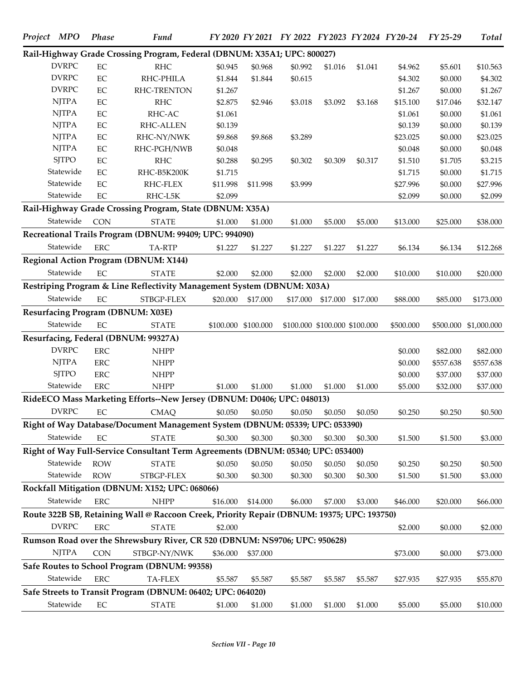|                                          |             | Rail-Highway Grade Crossing Program, Federal (DBNUM: X35A1; UPC: 800027)                   |          |                     |          |                               |          |           |           |                       |
|------------------------------------------|-------------|--------------------------------------------------------------------------------------------|----------|---------------------|----------|-------------------------------|----------|-----------|-----------|-----------------------|
| <b>DVRPC</b>                             | $\rm EC$    | <b>RHC</b>                                                                                 | \$0.945  | \$0.968             | \$0.992  | \$1.016                       | \$1.041  | \$4.962   | \$5.601   | \$10.563              |
| <b>DVRPC</b>                             | $\rm EC$    | RHC-PHILA                                                                                  | \$1.844  | \$1.844             | \$0.615  |                               |          | \$4.302   | \$0.000   | \$4.302               |
| <b>DVRPC</b>                             | $\rm EC$    | RHC-TRENTON                                                                                | \$1.267  |                     |          |                               |          | \$1.267   | \$0.000   | \$1.267               |
| <b>NJTPA</b>                             | $\rm EC$    | <b>RHC</b>                                                                                 | \$2.875  | \$2.946             | \$3.018  | \$3.092                       | \$3.168  | \$15.100  | \$17.046  | \$32.147              |
| <b>NJTPA</b>                             | $\rm EC$    | RHC-AC                                                                                     | \$1.061  |                     |          |                               |          | \$1.061   | \$0.000   | \$1.061               |
| <b>NJTPA</b>                             | $\rm EC$    | RHC-ALLEN                                                                                  | \$0.139  |                     |          |                               |          | \$0.139   | \$0.000   | \$0.139               |
| <b>NJTPA</b>                             | $\rm EC$    | RHC-NY/NWK                                                                                 | \$9.868  | \$9.868             | \$3.289  |                               |          | \$23.025  | \$0.000   | \$23.025              |
| <b>NJTPA</b>                             | $\rm EC$    | RHC-PGH/NWB                                                                                | \$0.048  |                     |          |                               |          | \$0.048   | \$0.000   | \$0.048               |
| <b>SJTPO</b>                             | $\rm EC$    | <b>RHC</b>                                                                                 | \$0.288  | \$0.295             | \$0.302  | \$0.309                       | \$0.317  | \$1.510   | \$1.705   | \$3.215               |
| Statewide                                | $\rm EC$    | RHC-B5K200K                                                                                | \$1.715  |                     |          |                               |          | \$1.715   | \$0.000   | \$1.715               |
| Statewide                                | EC          | RHC-FLEX                                                                                   | \$11.998 | \$11.998            | \$3.999  |                               |          | \$27.996  | \$0.000   | \$27.996              |
| Statewide                                | $\rm EC$    | RHC-L5K                                                                                    | \$2.099  |                     |          |                               |          | \$2.099   | \$0.000   | \$2.099               |
|                                          |             | Rail-Highway Grade Crossing Program, State (DBNUM: X35A)                                   |          |                     |          |                               |          |           |           |                       |
| Statewide                                | <b>CON</b>  | <b>STATE</b>                                                                               | \$1.000  | \$1.000             | \$1.000  | \$5.000                       | \$5.000  | \$13.000  | \$25.000  | \$38.000              |
|                                          |             | Recreational Trails Program (DBNUM: 99409; UPC: 994090)                                    |          |                     |          |                               |          |           |           |                       |
| Statewide                                | ${\rm ERC}$ | TA-RTP                                                                                     | \$1.227  | \$1.227             | \$1.227  | \$1.227                       | \$1.227  | \$6.134   | \$6.134   | \$12.268              |
|                                          |             | <b>Regional Action Program (DBNUM: X144)</b>                                               |          |                     |          |                               |          |           |           |                       |
| Statewide                                | EC          | <b>STATE</b>                                                                               | \$2.000  | \$2.000             | \$2.000  | \$2.000                       | \$2.000  | \$10.000  | \$10.000  | \$20.000              |
|                                          |             | Restriping Program & Line Reflectivity Management System (DBNUM: X03A)                     |          |                     |          |                               |          |           |           |                       |
| Statewide                                | $\rm EC$    | STBGP-FLEX                                                                                 | \$20.000 | \$17.000            | \$17.000 | \$17.000                      | \$17.000 | \$88.000  | \$85.000  | \$173.000             |
| <b>Resurfacing Program (DBNUM: X03E)</b> |             |                                                                                            |          |                     |          |                               |          |           |           |                       |
| Statewide                                | EC          | <b>STATE</b>                                                                               |          | \$100.000 \$100.000 |          | \$100.000 \$100.000 \$100.000 |          | \$500.000 |           | \$500.000 \$1,000.000 |
|                                          |             | Resurfacing, Federal (DBNUM: 99327A)                                                       |          |                     |          |                               |          |           |           |                       |
| <b>DVRPC</b>                             | ${\rm ERC}$ | <b>NHPP</b>                                                                                |          |                     |          |                               |          | \$0.000   | \$82.000  | \$82.000              |
| <b>NJTPA</b>                             | ${\rm ERC}$ | <b>NHPP</b>                                                                                |          |                     |          |                               |          | \$0.000   | \$557.638 | \$557.638             |
| <b>SJTPO</b>                             | ERC         | <b>NHPP</b>                                                                                |          |                     |          |                               |          | \$0.000   | \$37.000  | \$37.000              |
| Statewide                                | ${\rm ERC}$ | <b>NHPP</b>                                                                                | \$1.000  | \$1.000             | \$1.000  | \$1.000                       | \$1.000  | \$5.000   | \$32.000  | \$37.000              |
|                                          |             | RideECO Mass Marketing Efforts--New Jersey (DBNUM: D0406; UPC: 048013)                     |          |                     |          |                               |          |           |           |                       |
| <b>DVRPC</b>                             | EC          | <b>CMAQ</b>                                                                                | \$0.050  | \$0.050             | \$0.050  | \$0.050                       | \$0.050  | \$0.250   | \$0.250   | \$0.500               |
|                                          |             | Right of Way Database/Document Management System (DBNUM: 05339; UPC: 053390)               |          |                     |          |                               |          |           |           |                       |
| Statewide                                | EC          | <b>STATE</b>                                                                               | \$0.300  | \$0.300             | \$0.300  | \$0.300                       | \$0.300  | \$1.500   | \$1.500   | \$3.000               |
|                                          |             | Right of Way Full-Service Consultant Term Agreements (DBNUM: 05340; UPC: 053400)           |          |                     |          |                               |          |           |           |                       |
| Statewide                                | <b>ROW</b>  | <b>STATE</b>                                                                               | \$0.050  | \$0.050             | \$0.050  | \$0.050                       | \$0.050  | \$0.250   | \$0.250   | \$0.500               |
| Statewide                                | <b>ROW</b>  | STBGP-FLEX                                                                                 | \$0.300  | \$0.300             | \$0.300  | \$0.300                       | \$0.300  | \$1.500   | \$1.500   | \$3.000               |
|                                          |             | Rockfall Mitigation (DBNUM: X152; UPC: 068066)                                             |          |                     |          |                               |          |           |           |                       |
| Statewide                                | <b>ERC</b>  | <b>NHPP</b>                                                                                | \$16.000 | \$14.000            | \$6.000  | \$7.000                       | \$3.000  | \$46.000  | \$20.000  | \$66.000              |
|                                          |             | Route 322B SB, Retaining Wall @ Raccoon Creek, Priority Repair (DBNUM: 19375; UPC: 193750) |          |                     |          |                               |          |           |           |                       |
| <b>DVRPC</b>                             | ${\rm ERC}$ | <b>STATE</b>                                                                               | \$2.000  |                     |          |                               |          | \$2.000   | \$0.000   | \$2.000               |
|                                          |             | Rumson Road over the Shrewsbury River, CR 520 (DBNUM: NS9706; UPC: 950628)                 |          |                     |          |                               |          |           |           |                       |
| <b>NJTPA</b>                             | <b>CON</b>  | STBGP-NY/NWK                                                                               | \$36.000 | \$37.000            |          |                               |          | \$73.000  | \$0.000   | \$73.000              |
|                                          |             | Safe Routes to School Program (DBNUM: 99358)                                               |          |                     |          |                               |          |           |           |                       |
| Statewide                                | <b>ERC</b>  | <b>TA-FLEX</b>                                                                             | \$5.587  | \$5.587             | \$5.587  | \$5.587                       | \$5.587  | \$27.935  | \$27.935  | \$55.870              |
|                                          |             | Safe Streets to Transit Program (DBNUM: 06402; UPC: 064020)                                |          |                     |          |                               |          |           |           |                       |
| Statewide                                | $\rm EC$    | <b>STATE</b>                                                                               | \$1.000  | \$1.000             | \$1.000  | \$1.000                       | \$1.000  | \$5.000   | \$5.000   | \$10.000              |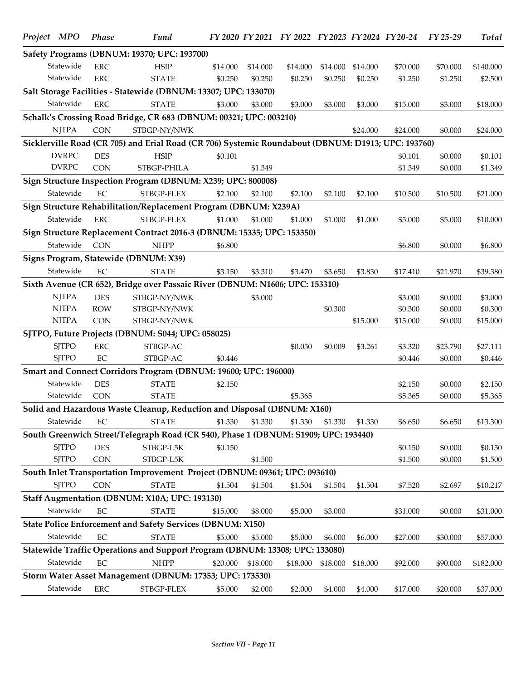| Project MPO  | <b>Phase</b> | Fund                                                                                               |          |          | FY 2020 FY 2021 FY 2022 FY 2023 FY 2024 FY 20-24 |          |          |                    | FY 25-29           | <b>Total</b>       |
|--------------|--------------|----------------------------------------------------------------------------------------------------|----------|----------|--------------------------------------------------|----------|----------|--------------------|--------------------|--------------------|
|              |              | Safety Programs (DBNUM: 19370; UPC: 193700)                                                        |          |          |                                                  |          |          |                    |                    |                    |
| Statewide    | <b>ERC</b>   | <b>HSIP</b>                                                                                        | \$14.000 | \$14.000 | \$14.000                                         | \$14.000 | \$14.000 | \$70.000           | \$70.000           | \$140.000          |
| Statewide    | <b>ERC</b>   | <b>STATE</b>                                                                                       | \$0.250  | \$0.250  | \$0.250                                          | \$0.250  | \$0.250  | \$1.250            | \$1.250            | \$2.500            |
|              |              | Salt Storage Facilities - Statewide (DBNUM: 13307; UPC: 133070)                                    |          |          |                                                  |          |          |                    |                    |                    |
| Statewide    | <b>ERC</b>   | <b>STATE</b>                                                                                       | \$3.000  | \$3.000  | \$3.000                                          | \$3.000  | \$3.000  | \$15.000           | \$3.000            | \$18.000           |
|              |              | Schalk's Crossing Road Bridge, CR 683 (DBNUM: 00321; UPC: 003210)                                  |          |          |                                                  |          |          |                    |                    |                    |
| <b>NJTPA</b> | <b>CON</b>   | STBGP-NY/NWK                                                                                       |          |          |                                                  |          | \$24.000 | \$24.000           | \$0.000            | \$24.000           |
|              |              | Sicklerville Road (CR 705) and Erial Road (CR 706) Systemic Roundabout (DBNUM: D1913; UPC: 193760) |          |          |                                                  |          |          |                    |                    |                    |
| <b>DVRPC</b> | <b>DES</b>   | <b>HSIP</b>                                                                                        | \$0.101  |          |                                                  |          |          | \$0.101            | \$0.000            | \$0.101            |
| <b>DVRPC</b> | <b>CON</b>   | STBGP-PHILA                                                                                        |          | \$1.349  |                                                  |          |          | \$1.349            | \$0.000            | \$1.349            |
|              |              | Sign Structure Inspection Program (DBNUM: X239; UPC: 800008)                                       |          |          |                                                  |          |          |                    |                    |                    |
| Statewide    | EC           | STBGP-FLEX                                                                                         | \$2.100  | \$2.100  | \$2.100                                          | \$2.100  | \$2.100  | \$10.500           | \$10.500           | \$21.000           |
|              |              | Sign Structure Rehabilitation/Replacement Program (DBNUM: X239A)                                   |          |          |                                                  |          |          |                    |                    |                    |
| Statewide    | <b>ERC</b>   | STBGP-FLEX                                                                                         | \$1.000  | \$1.000  | \$1.000                                          | \$1.000  | \$1.000  | \$5.000            | \$5.000            | \$10.000           |
|              |              | Sign Structure Replacement Contract 2016-3 (DBNUM: 15335; UPC: 153350)                             |          |          |                                                  |          |          |                    |                    |                    |
| Statewide    | <b>CON</b>   | <b>NHPP</b>                                                                                        | \$6.800  |          |                                                  |          |          | \$6.800            | \$0.000            | \$6.800            |
|              |              | Signs Program, Statewide (DBNUM: X39)                                                              |          |          |                                                  |          |          |                    |                    |                    |
| Statewide    | EC           | <b>STATE</b>                                                                                       | \$3.150  | \$3.310  | \$3.470                                          | \$3.650  | \$3.830  | \$17.410           | \$21.970           | \$39.380           |
|              |              | Sixth Avenue (CR 652), Bridge over Passaic River (DBNUM: N1606; UPC: 153310)                       |          |          |                                                  |          |          |                    |                    |                    |
| <b>NJTPA</b> | <b>DES</b>   |                                                                                                    |          |          |                                                  |          |          |                    |                    |                    |
| <b>NJTPA</b> | <b>ROW</b>   | STBGP-NY/NWK<br>STBGP-NY/NWK                                                                       |          | \$3.000  |                                                  | \$0.300  |          | \$3.000<br>\$0.300 | \$0.000            | \$3.000<br>\$0.300 |
| <b>NJTPA</b> | <b>CON</b>   | STBGP-NY/NWK                                                                                       |          |          |                                                  |          | \$15.000 | \$15.000           | \$0.000<br>\$0.000 | \$15.000           |
|              |              | SJTPO, Future Projects (DBNUM: S044; UPC: 058025)                                                  |          |          |                                                  |          |          |                    |                    |                    |
| <b>SJTPO</b> |              |                                                                                                    |          |          |                                                  |          |          |                    |                    |                    |
|              | <b>ERC</b>   | STBGP-AC                                                                                           |          |          | \$0.050                                          | \$0.009  | \$3.261  | \$3.320            | \$23.790           | \$27.111           |
| <b>SJTPO</b> | $\rm EC$     | STBGP-AC                                                                                           | \$0.446  |          |                                                  |          |          | \$0.446            | \$0.000            | \$0.446            |
|              |              | Smart and Connect Corridors Program (DBNUM: 19600; UPC: 196000)                                    |          |          |                                                  |          |          |                    |                    |                    |
| Statewide    | <b>DES</b>   | <b>STATE</b>                                                                                       | \$2.150  |          |                                                  |          |          | \$2.150            | \$0.000            | \$2.150            |
| Statewide    | <b>CON</b>   | <b>STATE</b>                                                                                       |          |          | \$5.365                                          |          |          | \$5.365            | \$0.000            | \$5.365            |
|              |              | Solid and Hazardous Waste Cleanup, Reduction and Disposal (DBNUM: X160)                            |          |          |                                                  |          |          |                    |                    |                    |
| Statewide    | EC           | <b>STATE</b>                                                                                       | \$1.330  | \$1.330  | \$1.330                                          | \$1.330  | \$1.330  | \$6.650            | \$6.650            | \$13.300           |
|              |              | South Greenwich Street/Telegraph Road (CR 540), Phase 1 (DBNUM: S1909; UPC: 193440)                |          |          |                                                  |          |          |                    |                    |                    |
| <b>SJTPO</b> | <b>DES</b>   | STBGP-L5K                                                                                          | \$0.150  |          |                                                  |          |          | \$0.150            | \$0.000            | \$0.150            |
| <b>SJTPO</b> | <b>CON</b>   | STBGP-L5K                                                                                          |          | \$1.500  |                                                  |          |          | \$1.500            | \$0.000            | \$1.500            |
|              |              | South Inlet Transportation Improvement Project (DBNUM: 09361; UPC: 093610)                         |          |          |                                                  |          |          |                    |                    |                    |
| <b>SJTPO</b> | <b>CON</b>   | <b>STATE</b>                                                                                       | \$1.504  | \$1.504  | \$1.504                                          | \$1.504  | \$1.504  | \$7.520            | \$2.697            | \$10.217           |
|              |              | Staff Augmentation (DBNUM: X10A; UPC: 193130)                                                      |          |          |                                                  |          |          |                    |                    |                    |
| Statewide    | $\rm EC$     | <b>STATE</b>                                                                                       | \$15.000 | \$8.000  | \$5.000                                          | \$3.000  |          | \$31.000           | \$0.000            | \$31.000           |
|              |              | State Police Enforcement and Safety Services (DBNUM: X150)                                         |          |          |                                                  |          |          |                    |                    |                    |
| Statewide    | $\rm EC$     | <b>STATE</b>                                                                                       | \$5.000  | \$5.000  | \$5.000                                          | \$6.000  | \$6.000  | \$27.000           | \$30.000           | \$57.000           |
|              |              | Statewide Traffic Operations and Support Program (DBNUM: 13308; UPC: 133080)                       |          |          |                                                  |          |          |                    |                    |                    |
| Statewide    | $\rm EC$     | <b>NHPP</b>                                                                                        | \$20.000 | \$18.000 | \$18.000                                         | \$18.000 | \$18.000 | \$92.000           | \$90.000           | \$182.000          |
|              |              | Storm Water Asset Management (DBNUM: 17353; UPC: 173530)                                           |          |          |                                                  |          |          |                    |                    |                    |
| Statewide    | ${\rm ERC}$  | STBGP-FLEX                                                                                         | \$5.000  | \$2.000  | \$2.000                                          | \$4.000  | \$4.000  | \$17.000           | \$20.000           | \$37.000           |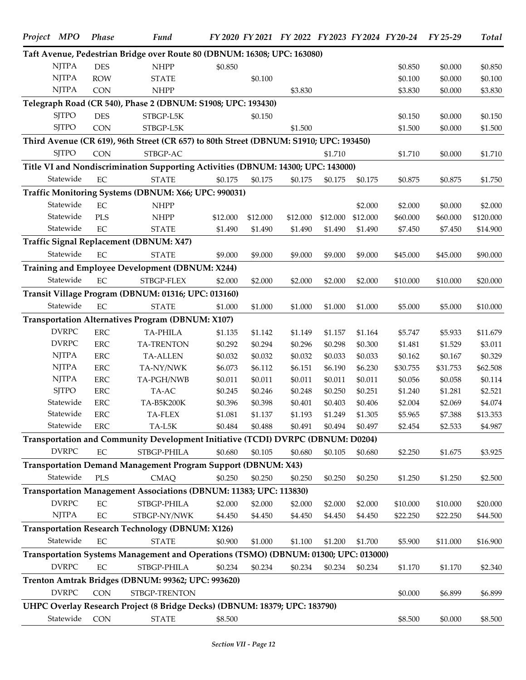| Project MPO |              | <b>Phase</b> | <b>Fund</b>                                                                            |          |          |          |          |          | FY 2020 FY 2021 FY 2022 FY 2023 FY 2024 FY 20-24 FY 25-29 |          | Total     |
|-------------|--------------|--------------|----------------------------------------------------------------------------------------|----------|----------|----------|----------|----------|-----------------------------------------------------------|----------|-----------|
|             |              |              | Taft Avenue, Pedestrian Bridge over Route 80 (DBNUM: 16308; UPC: 163080)               |          |          |          |          |          |                                                           |          |           |
|             | <b>NJTPA</b> | <b>DES</b>   | <b>NHPP</b>                                                                            | \$0.850  |          |          |          |          | \$0.850                                                   | \$0.000  | \$0.850   |
|             | <b>NJTPA</b> | <b>ROW</b>   | <b>STATE</b>                                                                           |          | \$0.100  |          |          |          | \$0.100                                                   | \$0.000  | \$0.100   |
|             | <b>NJTPA</b> | <b>CON</b>   | <b>NHPP</b>                                                                            |          |          | \$3.830  |          |          | \$3.830                                                   | \$0.000  | \$3.830   |
|             |              |              | Telegraph Road (CR 540), Phase 2 (DBNUM: S1908; UPC: 193430)                           |          |          |          |          |          |                                                           |          |           |
|             | <b>SJTPO</b> | <b>DES</b>   | STBGP-L5K                                                                              |          | \$0.150  |          |          |          | \$0.150                                                   | \$0.000  | \$0.150   |
|             | <b>SJTPO</b> | <b>CON</b>   | STBGP-L5K                                                                              |          |          | \$1.500  |          |          | \$1.500                                                   | \$0.000  | \$1.500   |
|             |              |              | Third Avenue (CR 619), 96th Street (CR 657) to 80th Street (DBNUM: S1910; UPC: 193450) |          |          |          |          |          |                                                           |          |           |
|             | <b>SJTPO</b> | <b>CON</b>   | STBGP-AC                                                                               |          |          |          | \$1.710  |          | \$1.710                                                   | \$0.000  | \$1.710   |
|             |              |              | Title VI and Nondiscrimination Supporting Activities (DBNUM: 14300; UPC: 143000)       |          |          |          |          |          |                                                           |          |           |
|             | Statewide    | $\rm EC$     | <b>STATE</b>                                                                           | \$0.175  | \$0.175  | \$0.175  | \$0.175  | \$0.175  | \$0.875                                                   | \$0.875  | \$1.750   |
|             |              |              | Traffic Monitoring Systems (DBNUM: X66; UPC: 990031)                                   |          |          |          |          |          |                                                           |          |           |
|             | Statewide    | EC           | <b>NHPP</b>                                                                            |          |          |          |          | \$2.000  | \$2.000                                                   | \$0.000  | \$2.000   |
|             | Statewide    | <b>PLS</b>   | <b>NHPP</b>                                                                            | \$12.000 | \$12.000 | \$12.000 | \$12.000 | \$12.000 | \$60.000                                                  | \$60.000 | \$120.000 |
|             | Statewide    | EC           | <b>STATE</b>                                                                           | \$1.490  | \$1.490  | \$1.490  | \$1.490  | \$1.490  | \$7.450                                                   | \$7.450  | \$14.900  |
|             |              |              | Traffic Signal Replacement (DBNUM: X47)                                                |          |          |          |          |          |                                                           |          |           |
|             | Statewide    | $\rm EC$     | <b>STATE</b>                                                                           | \$9.000  | \$9.000  | \$9.000  | \$9.000  | \$9.000  | \$45.000                                                  | \$45.000 | \$90.000  |
|             |              |              | Training and Employee Development (DBNUM: X244)                                        |          |          |          |          |          |                                                           |          |           |
|             | Statewide    | EC           | STBGP-FLEX                                                                             | \$2.000  | \$2.000  | \$2.000  | \$2.000  | \$2.000  | \$10.000                                                  | \$10.000 | \$20.000  |
|             |              |              | Transit Village Program (DBNUM: 01316; UPC: 013160)                                    |          |          |          |          |          |                                                           |          |           |
|             | Statewide    | $\rm EC$     | <b>STATE</b>                                                                           | \$1.000  | \$1.000  | \$1.000  | \$1.000  | \$1.000  | \$5.000                                                   | \$5.000  | \$10.000  |
|             |              |              | Transportation Alternatives Program (DBNUM: X107)                                      |          |          |          |          |          |                                                           |          |           |
|             | <b>DVRPC</b> | ERC          | <b>TA-PHILA</b>                                                                        | \$1.135  | \$1.142  | \$1.149  | \$1.157  | \$1.164  | \$5.747                                                   | \$5.933  | \$11.679  |
|             | <b>DVRPC</b> | ERC          | <b>TA-TRENTON</b>                                                                      | \$0.292  | \$0.294  | \$0.296  | \$0.298  | \$0.300  | \$1.481                                                   | \$1.529  | \$3.011   |
|             | <b>NJTPA</b> | ERC          | <b>TA-ALLEN</b>                                                                        | \$0.032  | \$0.032  | \$0.032  | \$0.033  | \$0.033  | \$0.162                                                   | \$0.167  | \$0.329   |
|             | <b>NJTPA</b> | ERC          | TA-NY/NWK                                                                              | \$6.073  | \$6.112  | \$6.151  | \$6.190  | \$6.230  | \$30.755                                                  | \$31.753 | \$62.508  |
|             | <b>NJTPA</b> | ERC          | TA-PGH/NWB                                                                             | \$0.011  | \$0.011  | \$0.011  | \$0.011  | \$0.011  | \$0.056                                                   | \$0.058  | \$0.114   |
|             | <b>SJTPO</b> | ERC          | TA-AC                                                                                  | \$0.245  | \$0.246  | \$0.248  | \$0.250  | \$0.251  | \$1.240                                                   | \$1.281  | \$2.521   |
|             | Statewide    | <b>ERC</b>   | TA-B5K200K                                                                             | \$0.396  | \$0.398  | \$0.401  | \$0.403  | \$0.406  | \$2.004                                                   | \$2.069  | \$4.074   |
|             | Statewide    | <b>ERC</b>   | TA-FLEX                                                                                | \$1.081  | \$1.137  | \$1.193  | \$1.249  | \$1.305  | \$5.965                                                   | \$7.388  | \$13.353  |
|             | Statewide    | <b>ERC</b>   | TA-L5K                                                                                 | \$0.484  | \$0.488  | \$0.491  | \$0.494  | \$0.497  | \$2.454                                                   | \$2.533  | \$4.987   |
|             |              |              | Transportation and Community Development Initiative (TCDI) DVRPC (DBNUM: D0204)        |          |          |          |          |          |                                                           |          |           |
|             | <b>DVRPC</b> | EC           | STBGP-PHILA                                                                            | \$0.680  | \$0.105  | \$0.680  | \$0.105  | \$0.680  | \$2.250                                                   | \$1.675  | \$3.925   |
|             |              |              | Transportation Demand Management Program Support (DBNUM: X43)                          |          |          |          |          |          |                                                           |          |           |
|             | Statewide    | <b>PLS</b>   | <b>CMAQ</b>                                                                            | \$0.250  | \$0.250  | \$0.250  | \$0.250  | \$0.250  | \$1.250                                                   | \$1.250  | \$2.500   |
|             |              |              | Transportation Management Associations (DBNUM: 11383; UPC: 113830)                     |          |          |          |          |          |                                                           |          |           |
|             | <b>DVRPC</b> | EC           | STBGP-PHILA                                                                            | \$2.000  | \$2.000  | \$2.000  | \$2.000  | \$2.000  | \$10.000                                                  | \$10.000 | \$20.000  |
|             | <b>NJTPA</b> | $\rm EC$     | STBGP-NY/NWK                                                                           | \$4.450  | \$4.450  | \$4.450  | \$4.450  | \$4.450  | \$22.250                                                  | \$22.250 | \$44.500  |
|             |              |              | <b>Transportation Research Technology (DBNUM: X126)</b>                                |          |          |          |          |          |                                                           |          |           |
|             | Statewide    | $\rm EC$     | <b>STATE</b>                                                                           | \$0.900  | \$1.000  | \$1.100  | \$1.200  | \$1.700  | \$5.900                                                   | \$11.000 | \$16.900  |
|             |              |              | Transportation Systems Management and Operations (TSMO) (DBNUM: 01300; UPC: 013000)    |          |          |          |          |          |                                                           |          |           |
|             | <b>DVRPC</b> | $\rm EC$     | STBGP-PHILA                                                                            | \$0.234  | \$0.234  | \$0.234  | \$0.234  | \$0.234  | \$1.170                                                   | \$1.170  | \$2.340   |
|             |              |              | Trenton Amtrak Bridges (DBNUM: 99362; UPC: 993620)                                     |          |          |          |          |          |                                                           |          |           |
|             | <b>DVRPC</b> | <b>CON</b>   | STBGP-TRENTON                                                                          |          |          |          |          |          | \$0.000                                                   | \$6.899  | \$6.899   |
|             |              |              | UHPC Overlay Research Project (8 Bridge Decks) (DBNUM: 18379; UPC: 183790)             |          |          |          |          |          |                                                           |          |           |
|             | Statewide    | <b>CON</b>   | <b>STATE</b>                                                                           | \$8.500  |          |          |          |          | \$8.500                                                   | \$0.000  | \$8.500   |
|             |              |              |                                                                                        |          |          |          |          |          |                                                           |          |           |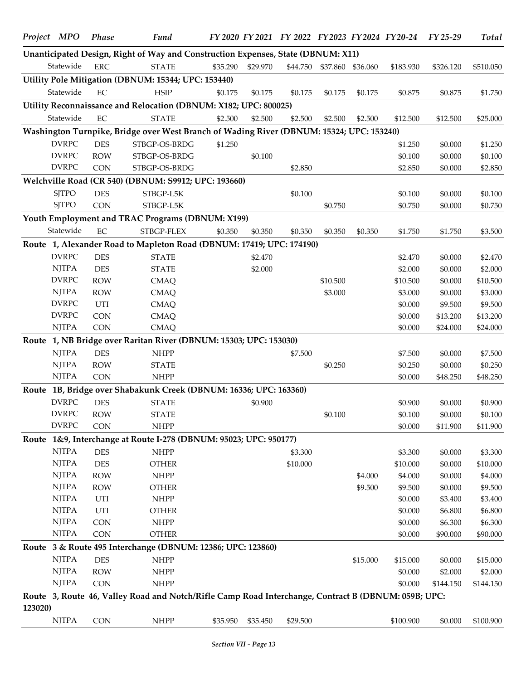|         | Project MPO  | <b>Phase</b> | <b>Fund</b>                                                                                         |          |                   |          |          |                   | FY 2020 FY 2021 FY 2022 FY 2023 FY 2024 FY 20-24 | FY 25-29  | Total     |
|---------|--------------|--------------|-----------------------------------------------------------------------------------------------------|----------|-------------------|----------|----------|-------------------|--------------------------------------------------|-----------|-----------|
|         |              |              | Unanticipated Design, Right of Way and Construction Expenses, State (DBNUM: X11)                    |          |                   |          |          |                   |                                                  |           |           |
|         | Statewide    | <b>ERC</b>   | <b>STATE</b>                                                                                        | \$35.290 | \$29.970          | \$44.750 |          | \$37.860 \$36.060 | \$183.930                                        | \$326.120 | \$510.050 |
|         |              |              | Utility Pole Mitigation (DBNUM: 15344; UPC: 153440)                                                 |          |                   |          |          |                   |                                                  |           |           |
|         | Statewide    | EC           | <b>HSIP</b>                                                                                         | \$0.175  | \$0.175           | \$0.175  | \$0.175  | \$0.175           | \$0.875                                          | \$0.875   | \$1.750   |
|         |              |              | Utility Reconnaissance and Relocation (DBNUM: X182; UPC: 800025)                                    |          |                   |          |          |                   |                                                  |           |           |
|         | Statewide    | EC           | <b>STATE</b>                                                                                        | \$2.500  | \$2.500           | \$2.500  | \$2.500  | \$2.500           | \$12.500                                         | \$12.500  | \$25.000  |
|         |              |              | Washington Turnpike, Bridge over West Branch of Wading River (DBNUM: 15324; UPC: 153240)            |          |                   |          |          |                   |                                                  |           |           |
|         | <b>DVRPC</b> | <b>DES</b>   | STBGP-OS-BRDG                                                                                       | \$1.250  |                   |          |          |                   | \$1.250                                          | \$0.000   | \$1.250   |
|         | <b>DVRPC</b> | <b>ROW</b>   | STBGP-OS-BRDG                                                                                       |          | \$0.100           |          |          |                   | \$0.100                                          | \$0.000   | \$0.100   |
|         | <b>DVRPC</b> | <b>CON</b>   | STBGP-OS-BRDG                                                                                       |          |                   | \$2.850  |          |                   | \$2.850                                          | \$0.000   | \$2.850   |
|         |              |              | Welchville Road (CR 540) (DBNUM: S9912; UPC: 193660)                                                |          |                   |          |          |                   |                                                  |           |           |
|         | <b>SJTPO</b> | <b>DES</b>   | STBGP-L5K                                                                                           |          |                   | \$0.100  |          |                   | \$0.100                                          | \$0.000   | \$0.100   |
|         | <b>SJTPO</b> | <b>CON</b>   | STBGP-L5K                                                                                           |          |                   |          | \$0.750  |                   | \$0.750                                          | \$0.000   | \$0.750   |
|         |              |              | Youth Employment and TRAC Programs (DBNUM: X199)                                                    |          |                   |          |          |                   |                                                  |           |           |
|         | Statewide    | EC           | STBGP-FLEX                                                                                          | \$0.350  | \$0.350           | \$0.350  | \$0.350  | \$0.350           | \$1.750                                          | \$1.750   | \$3.500   |
|         |              |              | Route 1, Alexander Road to Mapleton Road (DBNUM: 17419; UPC: 174190)                                |          |                   |          |          |                   |                                                  |           |           |
|         | <b>DVRPC</b> | <b>DES</b>   | <b>STATE</b>                                                                                        |          | \$2.470           |          |          |                   | \$2.470                                          | \$0.000   | \$2.470   |
|         | <b>NJTPA</b> | <b>DES</b>   | <b>STATE</b>                                                                                        |          | \$2.000           |          |          |                   | \$2.000                                          | \$0.000   | \$2.000   |
|         | <b>DVRPC</b> | <b>ROW</b>   | <b>CMAQ</b>                                                                                         |          |                   |          | \$10.500 |                   | \$10.500                                         | \$0.000   | \$10.500  |
|         | <b>NJTPA</b> | <b>ROW</b>   | <b>CMAQ</b>                                                                                         |          |                   |          | \$3.000  |                   | \$3.000                                          | \$0.000   | \$3.000   |
|         | <b>DVRPC</b> | UTI          | <b>CMAQ</b>                                                                                         |          |                   |          |          |                   | \$0.000                                          | \$9.500   | \$9.500   |
|         | <b>DVRPC</b> | <b>CON</b>   | <b>CMAQ</b>                                                                                         |          |                   |          |          |                   | \$0.000                                          | \$13.200  | \$13.200  |
|         | <b>NJTPA</b> | <b>CON</b>   | <b>CMAQ</b>                                                                                         |          |                   |          |          |                   | \$0.000                                          | \$24.000  | \$24.000  |
|         |              |              | Route 1, NB Bridge over Raritan River (DBNUM: 15303; UPC: 153030)                                   |          |                   |          |          |                   |                                                  |           |           |
|         | <b>NJTPA</b> | <b>DES</b>   | <b>NHPP</b>                                                                                         |          |                   | \$7.500  |          |                   | \$7.500                                          | \$0.000   | \$7.500   |
|         | <b>NJTPA</b> | <b>ROW</b>   | <b>STATE</b>                                                                                        |          |                   |          | \$0.250  |                   | \$0.250                                          | \$0.000   | \$0.250   |
|         | <b>NJTPA</b> | <b>CON</b>   | <b>NHPP</b>                                                                                         |          |                   |          |          |                   | \$0.000                                          | \$48.250  | \$48.250  |
|         |              |              | Route 1B, Bridge over Shabakunk Creek (DBNUM: 16336; UPC: 163360)                                   |          |                   |          |          |                   |                                                  |           |           |
|         | <b>DVRPC</b> | <b>DES</b>   | <b>STATE</b>                                                                                        |          | \$0.900           |          |          |                   | \$0.900                                          | \$0.000   | \$0.900   |
|         | <b>DVRPC</b> | ROW          | <b>STATE</b>                                                                                        |          |                   |          | \$0.100  |                   | \$0.100                                          | \$0.000   | \$0.100   |
|         | <b>DVRPC</b> | <b>CON</b>   | <b>NHPP</b>                                                                                         |          |                   |          |          |                   | \$0.000                                          | \$11.900  | \$11.900  |
|         |              |              | Route 1&9, Interchange at Route I-278 (DBNUM: 95023; UPC: 950177)                                   |          |                   |          |          |                   |                                                  |           |           |
|         | <b>NJTPA</b> | <b>DES</b>   | <b>NHPP</b>                                                                                         |          |                   | \$3.300  |          |                   | \$3.300                                          | \$0.000   | \$3.300   |
|         | <b>NJTPA</b> | <b>DES</b>   | <b>OTHER</b>                                                                                        |          |                   | \$10.000 |          |                   | \$10.000                                         | \$0.000   | \$10.000  |
|         | <b>NJTPA</b> | <b>ROW</b>   | <b>NHPP</b>                                                                                         |          |                   |          |          | \$4.000           | \$4.000                                          | \$0.000   | \$4.000   |
|         | <b>NJTPA</b> | <b>ROW</b>   | <b>OTHER</b>                                                                                        |          |                   |          |          | \$9.500           | \$9.500                                          | \$0.000   | \$9.500   |
|         | <b>NJTPA</b> | UTI          | <b>NHPP</b>                                                                                         |          |                   |          |          |                   | \$0.000                                          | \$3.400   | \$3.400   |
|         | <b>NJTPA</b> | UTI          | <b>OTHER</b>                                                                                        |          |                   |          |          |                   | \$0.000                                          | \$6.800   | \$6.800   |
|         | <b>NJTPA</b> | <b>CON</b>   | <b>NHPP</b>                                                                                         |          |                   |          |          |                   | \$0.000                                          | \$6.300   | \$6.300   |
|         | <b>NJTPA</b> | <b>CON</b>   | <b>OTHER</b>                                                                                        |          |                   |          |          |                   | \$0.000                                          | \$90.000  | \$90.000  |
|         |              |              | Route 3 & Route 495 Interchange (DBNUM: 12386; UPC: 123860)                                         |          |                   |          |          |                   |                                                  |           |           |
|         | <b>NJTPA</b> | <b>DES</b>   | <b>NHPP</b>                                                                                         |          |                   |          |          | \$15.000          | \$15.000                                         | \$0.000   | \$15.000  |
|         | <b>NJTPA</b> | <b>ROW</b>   | <b>NHPP</b>                                                                                         |          |                   |          |          |                   | \$0.000                                          | \$2.000   | \$2.000   |
|         | <b>NJTPA</b> | CON          | <b>NHPP</b>                                                                                         |          |                   |          |          |                   | \$0.000                                          | \$144.150 | \$144.150 |
|         |              |              | Route 3, Route 46, Valley Road and Notch/Rifle Camp Road Interchange, Contract B (DBNUM: 059B; UPC: |          |                   |          |          |                   |                                                  |           |           |
| 123020) |              |              |                                                                                                     |          |                   |          |          |                   |                                                  |           |           |
|         | <b>NJTPA</b> | CON          | <b>NHPP</b>                                                                                         |          | \$35.950 \$35.450 | \$29.500 |          |                   | \$100.900                                        | \$0.000   | \$100.900 |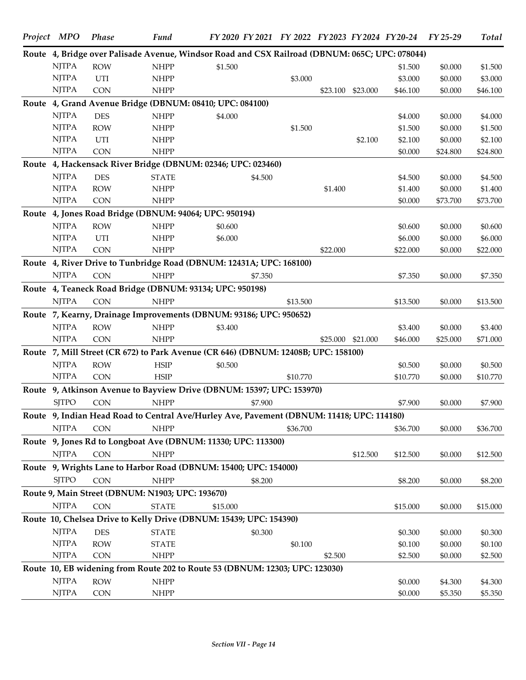| Project MPO                                                 | <b>Phase</b> | <b>Fund</b>                                                                                    | FY 2020 FY 2021 FY 2022 FY 2023 FY 2024 FY 20-24 |         |          |          |          |          | FY 25-29 | Total    |
|-------------------------------------------------------------|--------------|------------------------------------------------------------------------------------------------|--------------------------------------------------|---------|----------|----------|----------|----------|----------|----------|
|                                                             |              | Route 4, Bridge over Palisade Avenue, Windsor Road and CSX Railroad (DBNUM: 065C; UPC: 078044) |                                                  |         |          |          |          |          |          |          |
| <b>NJTPA</b>                                                | <b>ROW</b>   | <b>NHPP</b>                                                                                    | \$1.500                                          |         |          |          |          | \$1.500  | \$0.000  | \$1.500  |
| <b>NJTPA</b>                                                | UTI          | <b>NHPP</b>                                                                                    |                                                  |         | \$3.000  |          |          | \$3.000  | \$0.000  | \$3.000  |
| <b>NJTPA</b>                                                | <b>CON</b>   | <b>NHPP</b>                                                                                    |                                                  |         |          | \$23.100 | \$23.000 | \$46.100 | \$0.000  | \$46.100 |
|                                                             |              | Route 4, Grand Avenue Bridge (DBNUM: 08410; UPC: 084100)                                       |                                                  |         |          |          |          |          |          |          |
| <b>NJTPA</b>                                                | <b>DES</b>   | <b>NHPP</b>                                                                                    | \$4.000                                          |         |          |          |          | \$4.000  | \$0.000  | \$4.000  |
| <b>NJTPA</b>                                                | <b>ROW</b>   | <b>NHPP</b>                                                                                    |                                                  |         | \$1.500  |          |          | \$1.500  | \$0.000  | \$1.500  |
| <b>NJTPA</b>                                                | UTI          | <b>NHPP</b>                                                                                    |                                                  |         |          |          | \$2.100  | \$2.100  | \$0.000  | \$2.100  |
| <b>NJTPA</b>                                                | <b>CON</b>   | <b>NHPP</b>                                                                                    |                                                  |         |          |          |          | \$0.000  | \$24.800 | \$24.800 |
|                                                             |              | Route 4, Hackensack River Bridge (DBNUM: 02346; UPC: 023460)                                   |                                                  |         |          |          |          |          |          |          |
| <b>NJTPA</b>                                                | <b>DES</b>   | <b>STATE</b>                                                                                   |                                                  | \$4.500 |          |          |          | \$4.500  | \$0.000  | \$4.500  |
| <b>NJTPA</b>                                                | <b>ROW</b>   | <b>NHPP</b>                                                                                    |                                                  |         |          | \$1.400  |          | \$1.400  | \$0.000  | \$1.400  |
| <b>NJTPA</b>                                                | CON          | <b>NHPP</b>                                                                                    |                                                  |         |          |          |          | \$0.000  | \$73.700 | \$73.700 |
|                                                             |              | Route 4, Jones Road Bridge (DBNUM: 94064; UPC: 950194)                                         |                                                  |         |          |          |          |          |          |          |
| <b>NJTPA</b>                                                | <b>ROW</b>   | <b>NHPP</b>                                                                                    | \$0.600                                          |         |          |          |          | \$0.600  | \$0.000  | \$0.600  |
| <b>NJTPA</b>                                                | UTI          | <b>NHPP</b>                                                                                    | \$6.000                                          |         |          |          |          | \$6.000  | \$0.000  | \$6.000  |
| <b>NJTPA</b>                                                | <b>CON</b>   | <b>NHPP</b>                                                                                    |                                                  |         |          | \$22.000 |          | \$22.000 | \$0.000  | \$22.000 |
|                                                             |              | Route 4, River Drive to Tunbridge Road (DBNUM: 12431A; UPC: 168100)                            |                                                  |         |          |          |          |          |          |          |
| <b>NJTPA</b>                                                | <b>CON</b>   | <b>NHPP</b>                                                                                    |                                                  | \$7.350 |          |          |          | \$7.350  | \$0.000  | \$7.350  |
|                                                             |              | Route 4, Teaneck Road Bridge (DBNUM: 93134; UPC: 950198)                                       |                                                  |         |          |          |          |          |          |          |
| <b>NJTPA</b>                                                | CON          | <b>NHPP</b>                                                                                    |                                                  |         | \$13.500 |          |          | \$13.500 | \$0.000  | \$13.500 |
|                                                             |              | Route 7, Kearny, Drainage Improvements (DBNUM: 93186; UPC: 950652)                             |                                                  |         |          |          |          |          |          |          |
| <b>NJTPA</b>                                                | <b>ROW</b>   | <b>NHPP</b>                                                                                    | \$3.400                                          |         |          |          |          | \$3.400  | \$0.000  | \$3.400  |
| <b>NJTPA</b>                                                | CON          | <b>NHPP</b>                                                                                    |                                                  |         |          | \$25.000 | \$21.000 | \$46.000 | \$25.000 | \$71.000 |
|                                                             |              | Route 7, Mill Street (CR 672) to Park Avenue (CR 646) (DBNUM: 12408B; UPC: 158100)             |                                                  |         |          |          |          |          |          |          |
| <b>NJTPA</b>                                                | <b>ROW</b>   | <b>HSIP</b>                                                                                    | \$0.500                                          |         |          |          |          | \$0.500  | \$0.000  | \$0.500  |
| $\ensuremath{\text{N} \text{J} \text{T} \text{P} \text{A}}$ | <b>CON</b>   | <b>HSIP</b>                                                                                    |                                                  |         | \$10.770 |          |          | \$10.770 | \$0.000  | \$10.770 |
|                                                             |              | Route 9, Atkinson Avenue to Bayview Drive (DBNUM: 15397; UPC: 153970)                          |                                                  |         |          |          |          |          |          |          |
| <b>SJTPO</b>                                                | CON          | $\ensuremath{\mathsf{NHPP}}$                                                                   |                                                  | \$7.900 |          |          |          | \$7.900  | \$0.000  | \$7.900  |
|                                                             |              | Route 9, Indian Head Road to Central Ave/Hurley Ave, Pavement (DBNUM: 11418; UPC: 114180)      |                                                  |         |          |          |          |          |          |          |
| <b>NJTPA</b>                                                | <b>CON</b>   | <b>NHPP</b>                                                                                    |                                                  |         | \$36.700 |          |          | \$36.700 | \$0.000  | \$36.700 |
|                                                             |              | Route 9, Jones Rd to Longboat Ave (DBNUM: 11330; UPC: 113300)                                  |                                                  |         |          |          |          |          |          |          |
| <b>NJTPA</b>                                                | CON          | <b>NHPP</b>                                                                                    |                                                  |         |          |          | \$12.500 | \$12.500 | \$0.000  | \$12.500 |
|                                                             |              | Route 9, Wrights Lane to Harbor Road (DBNUM: 15400; UPC: 154000)                               |                                                  |         |          |          |          |          |          |          |
| <b>SJTPO</b>                                                | CON          | <b>NHPP</b>                                                                                    |                                                  | \$8.200 |          |          |          | \$8.200  | \$0.000  | \$8.200  |
|                                                             |              | Route 9, Main Street (DBNUM: N1903; UPC: 193670)                                               |                                                  |         |          |          |          |          |          |          |
| <b>NJTPA</b>                                                | <b>CON</b>   | <b>STATE</b>                                                                                   | \$15.000                                         |         |          |          |          | \$15.000 | \$0.000  | \$15.000 |
|                                                             |              | Route 10, Chelsea Drive to Kelly Drive (DBNUM: 15439; UPC: 154390)                             |                                                  |         |          |          |          |          |          |          |
| <b>NJTPA</b>                                                | <b>DES</b>   | <b>STATE</b>                                                                                   |                                                  | \$0.300 |          |          |          | \$0.300  | \$0.000  | \$0.300  |
| <b>NJTPA</b>                                                | <b>ROW</b>   | <b>STATE</b>                                                                                   |                                                  |         | \$0.100  |          |          | \$0.100  | \$0.000  | \$0.100  |
| <b>NJTPA</b>                                                | CON          | <b>NHPP</b>                                                                                    |                                                  |         |          | \$2.500  |          | \$2.500  | \$0.000  | \$2.500  |
|                                                             |              | Route 10, EB widening from Route 202 to Route 53 (DBNUM: 12303; UPC: 123030)                   |                                                  |         |          |          |          |          |          |          |
| <b>NJTPA</b>                                                | <b>ROW</b>   | <b>NHPP</b>                                                                                    |                                                  |         |          |          |          | \$0.000  | \$4.300  | \$4.300  |
| <b>NJTPA</b>                                                | CON          | <b>NHPP</b>                                                                                    |                                                  |         |          |          |          | \$0.000  | \$5.350  | \$5.350  |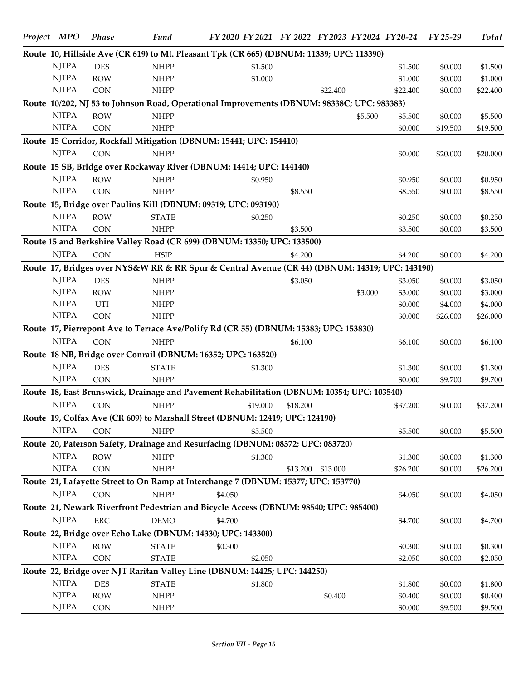| Project MPO  | Phase      | <b>Fund</b>                                                                                    | FY 2020 FY 2021 FY 2022 FY 2023 FY 2024 FY 20-24 |          |          |         |                    | FY 25-29           | Total              |
|--------------|------------|------------------------------------------------------------------------------------------------|--------------------------------------------------|----------|----------|---------|--------------------|--------------------|--------------------|
|              |            | Route 10, Hillside Ave (CR 619) to Mt. Pleasant Tpk (CR 665) (DBNUM: 11339; UPC: 113390)       |                                                  |          |          |         |                    |                    |                    |
| <b>NJTPA</b> | <b>DES</b> | <b>NHPP</b>                                                                                    | \$1.500                                          |          |          |         | \$1.500            | \$0.000            | \$1.500            |
| <b>NJTPA</b> | <b>ROW</b> | <b>NHPP</b>                                                                                    | \$1.000                                          |          |          |         | \$1.000            | \$0.000            | \$1.000            |
| <b>NJTPA</b> | <b>CON</b> | <b>NHPP</b>                                                                                    |                                                  |          | \$22,400 |         | \$22.400           | \$0.000            | \$22.400           |
|              |            | Route 10/202, NJ 53 to Johnson Road, Operational Improvements (DBNUM: 98338C; UPC: 983383)     |                                                  |          |          |         |                    |                    |                    |
| <b>NJTPA</b> | <b>ROW</b> | <b>NHPP</b>                                                                                    |                                                  |          |          | \$5.500 | \$5.500            | \$0.000            | \$5.500            |
| <b>NJTPA</b> | <b>CON</b> | <b>NHPP</b>                                                                                    |                                                  |          |          |         | \$0.000            | \$19.500           | \$19.500           |
|              |            | Route 15 Corridor, Rockfall Mitigation (DBNUM: 15441; UPC: 154410)                             |                                                  |          |          |         |                    |                    |                    |
| <b>NJTPA</b> | CON        | <b>NHPP</b>                                                                                    |                                                  |          |          |         | \$0.000            | \$20.000           | \$20.000           |
|              |            | Route 15 SB, Bridge over Rockaway River (DBNUM: 14414; UPC: 144140)                            |                                                  |          |          |         |                    |                    |                    |
| <b>NJTPA</b> | <b>ROW</b> | <b>NHPP</b>                                                                                    | \$0.950                                          |          |          |         | \$0.950            | \$0.000            | \$0.950            |
| <b>NJTPA</b> | <b>CON</b> | <b>NHPP</b>                                                                                    |                                                  | \$8.550  |          |         | \$8.550            | \$0.000            | \$8.550            |
|              |            | Route 15, Bridge over Paulins Kill (DBNUM: 09319; UPC: 093190)                                 |                                                  |          |          |         |                    |                    |                    |
| <b>NJTPA</b> | <b>ROW</b> | <b>STATE</b>                                                                                   | \$0.250                                          |          |          |         | \$0.250            | \$0.000            | \$0.250            |
| <b>NJTPA</b> | <b>CON</b> | <b>NHPP</b>                                                                                    |                                                  | \$3.500  |          |         | \$3.500            | \$0.000            | \$3.500            |
|              |            | Route 15 and Berkshire Valley Road (CR 699) (DBNUM: 13350; UPC: 133500)                        |                                                  |          |          |         |                    |                    |                    |
| <b>NJTPA</b> | <b>CON</b> | <b>HSIP</b>                                                                                    |                                                  | \$4.200  |          |         | \$4.200            | \$0.000            | \$4.200            |
|              |            | Route 17, Bridges over NYS&W RR & RR Spur & Central Avenue (CR 44) (DBNUM: 14319; UPC: 143190) |                                                  |          |          |         |                    |                    |                    |
| <b>NJTPA</b> | <b>DES</b> | <b>NHPP</b>                                                                                    |                                                  |          |          |         |                    |                    |                    |
| <b>NJTPA</b> | <b>ROW</b> |                                                                                                |                                                  | \$3.050  |          |         | \$3.050            | \$0.000<br>\$0.000 | \$3.050            |
| <b>NJTPA</b> | UTI        | <b>NHPP</b><br><b>NHPP</b>                                                                     |                                                  |          |          | \$3.000 | \$3.000<br>\$0.000 | \$4.000            | \$3.000<br>\$4.000 |
| <b>NJTPA</b> | <b>CON</b> | <b>NHPP</b>                                                                                    |                                                  |          |          |         | \$0.000            | \$26.000           | \$26.000           |
|              |            |                                                                                                |                                                  |          |          |         |                    |                    |                    |
| <b>NJTPA</b> |            | Route 17, Pierrepont Ave to Terrace Ave/Polify Rd (CR 55) (DBNUM: 15383; UPC: 153830)          |                                                  |          |          |         |                    |                    |                    |
|              | <b>CON</b> | <b>NHPP</b>                                                                                    |                                                  | \$6.100  |          |         | \$6.100            | \$0.000            | \$6.100            |
|              |            | Route 18 NB, Bridge over Conrail (DBNUM: 16352; UPC: 163520)                                   |                                                  |          |          |         |                    |                    |                    |
| <b>NJTPA</b> | <b>DES</b> | <b>STATE</b>                                                                                   | \$1.300                                          |          |          |         | \$1.300            | \$0.000            | \$1.300            |
| <b>NJTPA</b> | <b>CON</b> | <b>NHPP</b>                                                                                    |                                                  |          |          |         | \$0.000            | \$9.700            | \$9.700            |
|              |            | Route 18, East Brunswick, Drainage and Pavement Rehabilitation (DBNUM: 10354; UPC: 103540)     |                                                  |          |          |         |                    |                    |                    |
| <b>NJTPA</b> | CON        | <b>NHPP</b>                                                                                    | \$19.000                                         | \$18.200 |          |         | \$37.200           | \$0.000            | \$37.200           |
|              |            | Route 19, Colfax Ave (CR 609) to Marshall Street (DBNUM: 12419; UPC: 124190)                   |                                                  |          |          |         |                    |                    |                    |
| <b>NJTPA</b> | <b>CON</b> | <b>NHPP</b>                                                                                    | \$5.500                                          |          |          |         | \$5.500            | \$0.000            | \$5.500            |
|              |            | Route 20, Paterson Safety, Drainage and Resurfacing (DBNUM: 08372; UPC: 083720)                |                                                  |          |          |         |                    |                    |                    |
| <b>NJTPA</b> | <b>ROW</b> | <b>NHPP</b>                                                                                    | \$1.300                                          |          |          |         | \$1.300            | \$0.000            | \$1.300            |
| <b>NJTPA</b> | CON        | <b>NHPP</b>                                                                                    |                                                  | \$13.200 | \$13.000 |         | \$26.200           | \$0.000            | \$26.200           |
|              |            | Route 21, Lafayette Street to On Ramp at Interchange 7 (DBNUM: 15377; UPC: 153770)             |                                                  |          |          |         |                    |                    |                    |
| <b>NJTPA</b> | <b>CON</b> | <b>NHPP</b>                                                                                    | \$4.050                                          |          |          |         | \$4.050            | \$0.000            | \$4.050            |
|              |            | Route 21, Newark Riverfront Pedestrian and Bicycle Access (DBNUM: 98540; UPC: 985400)          |                                                  |          |          |         |                    |                    |                    |
| <b>NJTPA</b> | ERC        | <b>DEMO</b>                                                                                    | \$4.700                                          |          |          |         | \$4.700            | \$0.000            | \$4.700            |
|              |            | Route 22, Bridge over Echo Lake (DBNUM: 14330; UPC: 143300)                                    |                                                  |          |          |         |                    |                    |                    |
| <b>NJTPA</b> | <b>ROW</b> | <b>STATE</b>                                                                                   | \$0.300                                          |          |          |         | \$0.300            | \$0.000            | \$0.300            |
| <b>NJTPA</b> | CON        | <b>STATE</b>                                                                                   | \$2.050                                          |          |          |         | \$2.050            | \$0.000            | \$2.050            |
|              |            | Route 22, Bridge over NJT Raritan Valley Line (DBNUM: 14425; UPC: 144250)                      |                                                  |          |          |         |                    |                    |                    |
| <b>NJTPA</b> | <b>DES</b> | <b>STATE</b>                                                                                   | \$1.800                                          |          |          |         | \$1.800            | \$0.000            | \$1.800            |
| <b>NJTPA</b> | <b>ROW</b> | <b>NHPP</b>                                                                                    |                                                  |          | \$0.400  |         | \$0.400            | \$0.000            | \$0.400            |
| <b>NJTPA</b> | CON        | <b>NHPP</b>                                                                                    |                                                  |          |          |         | \$0.000            | \$9.500            | \$9.500            |
|              |            |                                                                                                |                                                  |          |          |         |                    |                    |                    |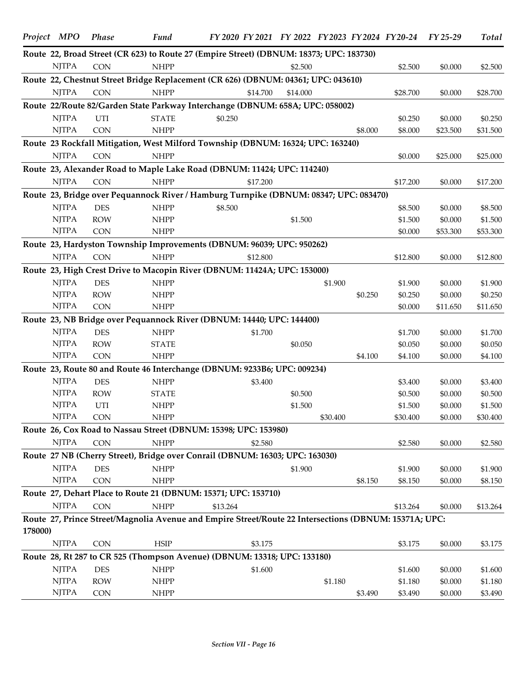|         | Project MPO  | Phase      | Fund                                                                                                  | FY 2020 FY 2021 FY 2022 FY 2023 FY 2024 FY 20-24 FY 25-29 |          |          |         |          |          | Total    |
|---------|--------------|------------|-------------------------------------------------------------------------------------------------------|-----------------------------------------------------------|----------|----------|---------|----------|----------|----------|
|         |              |            | Route 22, Broad Street (CR 623) to Route 27 (Empire Street) (DBNUM: 18373; UPC: 183730)               |                                                           |          |          |         |          |          |          |
|         | <b>NJTPA</b> | <b>CON</b> | <b>NHPP</b>                                                                                           |                                                           | \$2.500  |          |         | \$2.500  | \$0.000  | \$2.500  |
|         |              |            | Route 22, Chestnut Street Bridge Replacement (CR 626) (DBNUM: 04361; UPC: 043610)                     |                                                           |          |          |         |          |          |          |
|         | <b>NJTPA</b> | <b>CON</b> | <b>NHPP</b>                                                                                           | \$14.700                                                  | \$14.000 |          |         | \$28.700 | \$0.000  | \$28.700 |
|         |              |            | Route 22/Route 82/Garden State Parkway Interchange (DBNUM: 658A; UPC: 058002)                         |                                                           |          |          |         |          |          |          |
|         | <b>NJTPA</b> | UTI        | <b>STATE</b>                                                                                          | \$0.250                                                   |          |          |         | \$0.250  | \$0.000  | \$0.250  |
|         | <b>NJTPA</b> | <b>CON</b> | <b>NHPP</b>                                                                                           |                                                           |          |          | \$8.000 | \$8.000  | \$23.500 | \$31.500 |
|         |              |            | Route 23 Rockfall Mitigation, West Milford Township (DBNUM: 16324; UPC: 163240)                       |                                                           |          |          |         |          |          |          |
|         | <b>NJTPA</b> | <b>CON</b> | <b>NHPP</b>                                                                                           |                                                           |          |          |         | \$0.000  | \$25.000 | \$25.000 |
|         |              |            | Route 23, Alexander Road to Maple Lake Road (DBNUM: 11424; UPC: 114240)                               |                                                           |          |          |         |          |          |          |
|         | <b>NJTPA</b> | <b>CON</b> | <b>NHPP</b>                                                                                           | \$17,200                                                  |          |          |         | \$17.200 | \$0.000  | \$17.200 |
|         |              |            | Route 23, Bridge over Pequannock River / Hamburg Turnpike (DBNUM: 08347; UPC: 083470)                 |                                                           |          |          |         |          |          |          |
|         | <b>NJTPA</b> | <b>DES</b> | <b>NHPP</b>                                                                                           | \$8.500                                                   |          |          |         | \$8.500  | \$0.000  | \$8.500  |
|         | <b>NJTPA</b> | <b>ROW</b> | <b>NHPP</b>                                                                                           |                                                           | \$1.500  |          |         | \$1.500  | \$0.000  | \$1.500  |
|         | <b>NJTPA</b> | <b>CON</b> | <b>NHPP</b>                                                                                           |                                                           |          |          |         | \$0.000  | \$53.300 | \$53.300 |
|         |              |            | Route 23, Hardyston Township Improvements (DBNUM: 96039; UPC: 950262)                                 |                                                           |          |          |         |          |          |          |
|         | <b>NJTPA</b> | <b>CON</b> | <b>NHPP</b>                                                                                           | \$12.800                                                  |          |          |         | \$12.800 | \$0.000  | \$12.800 |
|         |              |            | Route 23, High Crest Drive to Macopin River (DBNUM: 11424A; UPC: 153000)                              |                                                           |          |          |         |          |          |          |
|         | <b>NJTPA</b> | <b>DES</b> | <b>NHPP</b>                                                                                           |                                                           |          | \$1.900  |         | \$1.900  | \$0.000  | \$1.900  |
|         | <b>NJTPA</b> | <b>ROW</b> | <b>NHPP</b>                                                                                           |                                                           |          |          | \$0.250 | \$0.250  | \$0.000  | \$0.250  |
|         | <b>NJTPA</b> | <b>CON</b> | <b>NHPP</b>                                                                                           |                                                           |          |          |         | \$0.000  | \$11.650 | \$11.650 |
|         |              |            | Route 23, NB Bridge over Pequannock River (DBNUM: 14440; UPC: 144400)                                 |                                                           |          |          |         |          |          |          |
|         | <b>NJTPA</b> | <b>DES</b> | <b>NHPP</b>                                                                                           | \$1.700                                                   |          |          |         | \$1.700  | \$0.000  | \$1.700  |
|         | <b>NJTPA</b> | <b>ROW</b> | <b>STATE</b>                                                                                          |                                                           | \$0.050  |          |         | \$0.050  | \$0.000  | \$0.050  |
|         | <b>NJTPA</b> | <b>CON</b> | <b>NHPP</b>                                                                                           |                                                           |          |          | \$4.100 | \$4.100  | \$0.000  | \$4.100  |
|         |              |            | Route 23, Route 80 and Route 46 Interchange (DBNUM: 9233B6; UPC: 009234)                              |                                                           |          |          |         |          |          |          |
|         | <b>NJTPA</b> | <b>DES</b> | <b>NHPP</b>                                                                                           | \$3.400                                                   |          |          |         | \$3.400  | \$0.000  | \$3.400  |
|         | <b>NJTPA</b> | <b>ROW</b> | <b>STATE</b>                                                                                          |                                                           | \$0.500  |          |         | \$0.500  | \$0.000  | \$0.500  |
|         | <b>NJTPA</b> | UTI        | <b>NHPP</b>                                                                                           |                                                           | \$1.500  |          |         | \$1.500  | \$0.000  | \$1.500  |
|         | <b>NJTPA</b> | <b>CON</b> | <b>NHPP</b>                                                                                           |                                                           |          | \$30.400 |         | \$30.400 | \$0.000  | \$30.400 |
|         |              |            | Route 26, Cox Road to Nassau Street (DBNUM: 15398; UPC: 153980)                                       |                                                           |          |          |         |          |          |          |
|         | <b>NJTPA</b> | <b>CON</b> | <b>NHPP</b>                                                                                           | \$2.580                                                   |          |          |         | \$2.580  | \$0.000  | \$2.580  |
|         |              |            | Route 27 NB (Cherry Street), Bridge over Conrail (DBNUM: 16303; UPC: 163030)                          |                                                           |          |          |         |          |          |          |
|         | <b>NJTPA</b> | <b>DES</b> | <b>NHPP</b>                                                                                           |                                                           | \$1.900  |          |         | \$1.900  | \$0.000  | \$1.900  |
|         | <b>NJTPA</b> | <b>CON</b> | <b>NHPP</b>                                                                                           |                                                           |          |          | \$8.150 | \$8.150  | \$0.000  | \$8.150  |
|         |              |            | Route 27, Dehart Place to Route 21 (DBNUM: 15371; UPC: 153710)                                        |                                                           |          |          |         |          |          |          |
|         | <b>NJTPA</b> | <b>CON</b> | <b>NHPP</b>                                                                                           | \$13.264                                                  |          |          |         | \$13.264 | \$0.000  | \$13.264 |
| 178000) |              |            | Route 27, Prince Street/Magnolia Avenue and Empire Street/Route 22 Intersections (DBNUM: 15371A; UPC: |                                                           |          |          |         |          |          |          |
|         | <b>NJTPA</b> | <b>CON</b> | <b>HSIP</b>                                                                                           | \$3.175                                                   |          |          |         | \$3.175  | \$0.000  | \$3.175  |
|         |              |            | Route 28, Rt 287 to CR 525 (Thompson Avenue) (DBNUM: 13318; UPC: 133180)                              |                                                           |          |          |         |          |          |          |
|         | <b>NJTPA</b> | <b>DES</b> | <b>NHPP</b>                                                                                           | \$1.600                                                   |          |          |         | \$1.600  | \$0.000  | \$1.600  |
|         | <b>NJTPA</b> | <b>ROW</b> | <b>NHPP</b>                                                                                           |                                                           |          | \$1.180  |         | \$1.180  | \$0.000  | \$1.180  |
|         | <b>NJTPA</b> | <b>CON</b> | <b>NHPP</b>                                                                                           |                                                           |          |          | \$3.490 | \$3.490  | \$0.000  | \$3.490  |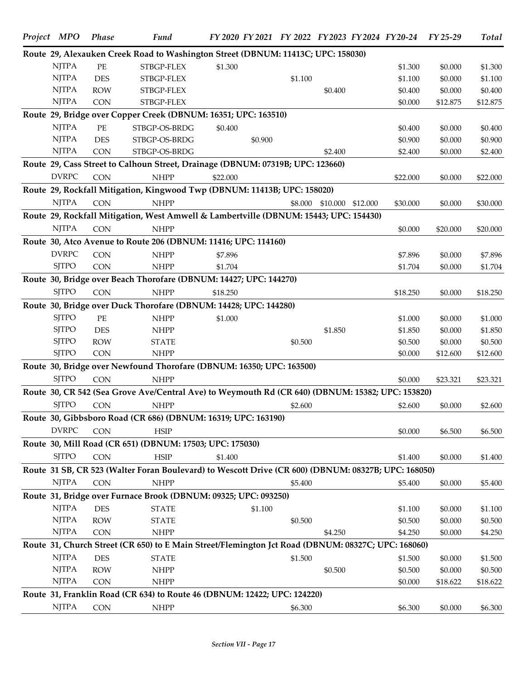| Project MPO  | <b>Phase</b>             | <b>Fund</b>                                                                                         |          |         |         |          |          | FY 2020 FY 2021 FY 2022 FY 2023 FY 2024 FY 20-24 FY 25-29 |          | <b>Total</b> |
|--------------|--------------------------|-----------------------------------------------------------------------------------------------------|----------|---------|---------|----------|----------|-----------------------------------------------------------|----------|--------------|
|              |                          | Route 29, Alexauken Creek Road to Washington Street (DBNUM: 11413C; UPC: 158030)                    |          |         |         |          |          |                                                           |          |              |
| <b>NJTPA</b> | $PE$                     | STBGP-FLEX                                                                                          | \$1.300  |         |         |          |          | \$1.300                                                   | \$0.000  | \$1.300      |
| <b>NJTPA</b> | <b>DES</b>               | STBGP-FLEX                                                                                          |          |         | \$1.100 |          |          | \$1.100                                                   | \$0.000  | \$1.100      |
| <b>NJTPA</b> | <b>ROW</b>               | STBGP-FLEX                                                                                          |          |         |         | \$0.400  |          | \$0.400                                                   | \$0.000  | \$0.400      |
| <b>NJTPA</b> | <b>CON</b>               | STBGP-FLEX                                                                                          |          |         |         |          |          | \$0.000                                                   | \$12.875 | \$12.875     |
|              |                          | Route 29, Bridge over Copper Creek (DBNUM: 16351; UPC: 163510)                                      |          |         |         |          |          |                                                           |          |              |
| <b>NJTPA</b> | PE                       | STBGP-OS-BRDG                                                                                       | \$0.400  |         |         |          |          | \$0.400                                                   | \$0.000  | \$0.400      |
| <b>NJTPA</b> | <b>DES</b>               | STBGP-OS-BRDG                                                                                       |          | \$0.900 |         |          |          | \$0.900                                                   | \$0.000  | \$0.900      |
| <b>NJTPA</b> | <b>CON</b>               | STBGP-OS-BRDG                                                                                       |          |         |         | \$2.400  |          | \$2.400                                                   | \$0.000  | \$2.400      |
|              |                          | Route 29, Cass Street to Calhoun Street, Drainage (DBNUM: 07319B; UPC: 123660)                      |          |         |         |          |          |                                                           |          |              |
| <b>DVRPC</b> | <b>CON</b>               | <b>NHPP</b>                                                                                         | \$22,000 |         |         |          |          | \$22.000                                                  | \$0.000  | \$22.000     |
|              |                          | Route 29, Rockfall Mitigation, Kingwood Twp (DBNUM: 11413B; UPC: 158020)                            |          |         |         |          |          |                                                           |          |              |
| <b>NJTPA</b> | <b>CON</b>               | <b>NHPP</b>                                                                                         |          |         | \$8.000 | \$10.000 | \$12.000 | \$30.000                                                  | \$0.000  | \$30.000     |
|              |                          | Route 29, Rockfall Mitigation, West Amwell & Lambertville (DBNUM: 15443; UPC: 154430)               |          |         |         |          |          |                                                           |          |              |
| <b>NJTPA</b> | <b>CON</b>               | <b>NHPP</b>                                                                                         |          |         |         |          |          | \$0.000                                                   | \$20.000 | \$20.000     |
|              |                          | Route 30, Atco Avenue to Route 206 (DBNUM: 11416; UPC: 114160)                                      |          |         |         |          |          |                                                           |          |              |
| <b>DVRPC</b> |                          |                                                                                                     |          |         |         |          |          |                                                           |          |              |
| <b>SJTPO</b> | <b>CON</b><br><b>CON</b> | <b>NHPP</b><br><b>NHPP</b>                                                                          | \$7.896  |         |         |          |          | \$7.896<br>\$1.704                                        | \$0.000  | \$7.896      |
|              |                          |                                                                                                     | \$1.704  |         |         |          |          |                                                           | \$0.000  | \$1.704      |
|              |                          | Route 30, Bridge over Beach Thorofare (DBNUM: 14427; UPC: 144270)                                   |          |         |         |          |          |                                                           |          |              |
| <b>SJTPO</b> | CON                      | <b>NHPP</b>                                                                                         | \$18,250 |         |         |          |          | \$18.250                                                  | \$0.000  | \$18.250     |
|              |                          | Route 30, Bridge over Duck Thorofare (DBNUM: 14428; UPC: 144280)                                    |          |         |         |          |          |                                                           |          |              |
| <b>SJTPO</b> | PE                       | <b>NHPP</b>                                                                                         | \$1.000  |         |         |          |          | \$1.000                                                   | \$0.000  | \$1.000      |
| <b>SJTPO</b> | <b>DES</b>               | <b>NHPP</b>                                                                                         |          |         |         | \$1.850  |          | \$1.850                                                   | \$0.000  | \$1.850      |
| <b>SJTPO</b> | <b>ROW</b>               | <b>STATE</b>                                                                                        |          |         | \$0.500 |          |          | \$0.500                                                   | \$0.000  | \$0.500      |
| <b>SJTPO</b> | <b>CON</b>               | <b>NHPP</b>                                                                                         |          |         |         |          |          | \$0.000                                                   | \$12.600 | \$12.600     |
|              |                          | Route 30, Bridge over Newfound Thorofare (DBNUM: 16350; UPC: 163500)                                |          |         |         |          |          |                                                           |          |              |
| <b>SITPO</b> | <b>CON</b>               | <b>NHPP</b>                                                                                         |          |         |         |          |          | \$0.000                                                   | \$23.321 | \$23.321     |
|              |                          | Route 30, CR 542 (Sea Grove Ave/Central Ave) to Weymouth Rd (CR 640) (DBNUM: 15382; UPC: 153820)    |          |         |         |          |          |                                                           |          |              |
| <b>SJTPO</b> | CON                      | <b>NHPP</b>                                                                                         |          |         | \$2.600 |          |          | \$2.600                                                   | \$0.000  | \$2.600      |
|              |                          | Route 30, Gibbsboro Road (CR 686) (DBNUM: 16319; UPC: 163190)                                       |          |         |         |          |          |                                                           |          |              |
| <b>DVRPC</b> | <b>CON</b>               | <b>HSIP</b>                                                                                         |          |         |         |          |          | \$0.000                                                   | \$6.500  | \$6.500      |
|              |                          | Route 30, Mill Road (CR 651) (DBNUM: 17503; UPC: 175030)                                            |          |         |         |          |          |                                                           |          |              |
| <b>SJTPO</b> | <b>CON</b>               | <b>HSIP</b>                                                                                         | \$1.400  |         |         |          |          | \$1.400                                                   | \$0.000  | \$1.400      |
|              |                          | Route 31 SB, CR 523 (Walter Foran Boulevard) to Wescott Drive (CR 600) (DBNUM: 08327B; UPC: 168050) |          |         |         |          |          |                                                           |          |              |
| <b>NJTPA</b> | <b>CON</b>               | <b>NHPP</b>                                                                                         |          |         | \$5.400 |          |          | \$5.400                                                   | \$0.000  | \$5.400      |
|              |                          |                                                                                                     |          |         |         |          |          |                                                           |          |              |
|              |                          | Route 31, Bridge over Furnace Brook (DBNUM: 09325; UPC: 093250)                                     |          |         |         |          |          |                                                           |          |              |
| <b>NJTPA</b> | <b>DES</b>               | <b>STATE</b>                                                                                        |          | \$1.100 |         |          |          | \$1.100                                                   | \$0.000  | \$1.100      |
| <b>NJTPA</b> | <b>ROW</b>               | <b>STATE</b>                                                                                        |          |         | \$0.500 |          |          | \$0.500                                                   | \$0.000  | \$0.500      |
| <b>NJTPA</b> | <b>CON</b>               | <b>NHPP</b>                                                                                         |          |         |         | \$4.250  |          | \$4.250                                                   | \$0.000  | \$4.250      |
|              |                          | Route 31, Church Street (CR 650) to E Main Street/Flemington Jct Road (DBNUM: 08327C; UPC: 168060)  |          |         |         |          |          |                                                           |          |              |
| <b>NJTPA</b> | <b>DES</b>               | <b>STATE</b>                                                                                        |          |         | \$1.500 |          |          | \$1.500                                                   | \$0.000  | \$1.500      |
| <b>NJTPA</b> | <b>ROW</b>               | <b>NHPP</b>                                                                                         |          |         |         | \$0.500  |          | \$0.500                                                   | \$0.000  | \$0.500      |
| <b>NJTPA</b> | <b>CON</b>               | <b>NHPP</b>                                                                                         |          |         |         |          |          | \$0.000                                                   | \$18.622 | \$18.622     |
|              |                          | Route 31, Franklin Road (CR 634) to Route 46 (DBNUM: 12422; UPC: 124220)                            |          |         |         |          |          |                                                           |          |              |
| <b>NJTPA</b> | CON                      | <b>NHPP</b>                                                                                         |          |         | \$6.300 |          |          | \$6.300                                                   | \$0.000  | \$6.300      |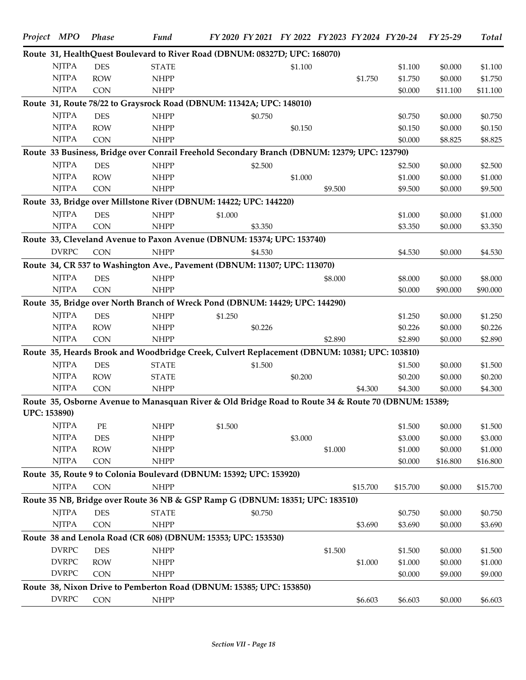|                     | Project MPO  | <b>Phase</b> | <b>Fund</b>                                                                                         | FY 2020 FY 2021 FY 2022 FY 2023 FY 2024 FY 20-24 FY 25-29 |         |         |          |          |          | <b>Total</b> |
|---------------------|--------------|--------------|-----------------------------------------------------------------------------------------------------|-----------------------------------------------------------|---------|---------|----------|----------|----------|--------------|
|                     |              |              | Route 31, HealthQuest Boulevard to River Road (DBNUM: 08327D; UPC: 168070)                          |                                                           |         |         |          |          |          |              |
|                     | <b>NJTPA</b> | <b>DES</b>   | <b>STATE</b>                                                                                        |                                                           | \$1.100 |         |          | \$1.100  | \$0.000  | \$1.100      |
|                     | <b>NJTPA</b> | <b>ROW</b>   | <b>NHPP</b>                                                                                         |                                                           |         |         | \$1.750  | \$1.750  | \$0.000  | \$1.750      |
|                     | <b>NJTPA</b> | <b>CON</b>   | <b>NHPP</b>                                                                                         |                                                           |         |         |          | \$0.000  | \$11.100 | \$11.100     |
|                     |              |              | Route 31, Route 78/22 to Graysrock Road (DBNUM: 11342A; UPC: 148010)                                |                                                           |         |         |          |          |          |              |
|                     | <b>NJTPA</b> | <b>DES</b>   | <b>NHPP</b>                                                                                         | \$0.750                                                   |         |         |          | \$0.750  | \$0.000  | \$0.750      |
|                     | <b>NJTPA</b> | <b>ROW</b>   | <b>NHPP</b>                                                                                         |                                                           | \$0.150 |         |          | \$0.150  | \$0.000  | \$0.150      |
|                     | <b>NJTPA</b> | CON          | <b>NHPP</b>                                                                                         |                                                           |         |         |          | \$0.000  | \$8.825  | \$8.825      |
|                     |              |              | Route 33 Business, Bridge over Conrail Freehold Secondary Branch (DBNUM: 12379; UPC: 123790)        |                                                           |         |         |          |          |          |              |
|                     | <b>NJTPA</b> | <b>DES</b>   | <b>NHPP</b>                                                                                         | \$2.500                                                   |         |         |          | \$2.500  | \$0.000  | \$2.500      |
|                     | <b>NJTPA</b> | <b>ROW</b>   | <b>NHPP</b>                                                                                         |                                                           | \$1.000 |         |          | \$1.000  | \$0.000  | \$1.000      |
|                     | <b>NJTPA</b> | <b>CON</b>   | <b>NHPP</b>                                                                                         |                                                           |         | \$9.500 |          | \$9.500  | \$0.000  | \$9.500      |
|                     |              |              | Route 33, Bridge over Millstone River (DBNUM: 14422; UPC: 144220)                                   |                                                           |         |         |          |          |          |              |
|                     | <b>NJTPA</b> | <b>DES</b>   | <b>NHPP</b>                                                                                         | \$1.000                                                   |         |         |          | \$1.000  | \$0.000  | \$1.000      |
|                     | <b>NJTPA</b> | <b>CON</b>   | <b>NHPP</b>                                                                                         | \$3.350                                                   |         |         |          | \$3.350  | \$0.000  | \$3.350      |
|                     |              |              | Route 33, Cleveland Avenue to Paxon Avenue (DBNUM: 15374; UPC: 153740)                              |                                                           |         |         |          |          |          |              |
|                     | <b>DVRPC</b> | <b>CON</b>   | <b>NHPP</b>                                                                                         | \$4.530                                                   |         |         |          | \$4.530  | \$0.000  | \$4.530      |
|                     |              |              | Route 34, CR 537 to Washington Ave., Pavement (DBNUM: 11307; UPC: 113070)                           |                                                           |         |         |          |          |          |              |
|                     | <b>NJTPA</b> | <b>DES</b>   | <b>NHPP</b>                                                                                         |                                                           |         | \$8.000 |          | \$8.000  | \$0.000  | \$8.000      |
|                     | <b>NJTPA</b> | <b>CON</b>   | <b>NHPP</b>                                                                                         |                                                           |         |         |          | \$0.000  | \$90.000 | \$90.000     |
|                     |              |              | Route 35, Bridge over North Branch of Wreck Pond (DBNUM: 14429; UPC: 144290)                        |                                                           |         |         |          |          |          |              |
|                     | <b>NJTPA</b> | <b>DES</b>   | <b>NHPP</b>                                                                                         | \$1.250                                                   |         |         |          | \$1.250  | \$0.000  | \$1.250      |
|                     | <b>NJTPA</b> | <b>ROW</b>   | <b>NHPP</b>                                                                                         | \$0.226                                                   |         |         |          | \$0.226  | \$0.000  | \$0.226      |
|                     | <b>NJTPA</b> | CON          | <b>NHPP</b>                                                                                         |                                                           |         | \$2.890 |          | \$2.890  | \$0.000  | \$2.890      |
|                     |              |              | Route 35, Heards Brook and Woodbridge Creek, Culvert Replacement (DBNUM: 10381; UPC: 103810)        |                                                           |         |         |          |          |          |              |
|                     | <b>NJTPA</b> | <b>DES</b>   | <b>STATE</b>                                                                                        | \$1.500                                                   |         |         |          | \$1.500  | \$0.000  | \$1.500      |
|                     | <b>NJTPA</b> | <b>ROW</b>   | <b>STATE</b>                                                                                        |                                                           | \$0.200 |         |          | \$0.200  | \$0.000  | \$0.200      |
|                     | <b>NJTPA</b> | CON          | <b>NHPP</b>                                                                                         |                                                           |         |         | \$4.300  | \$4.300  | \$0.000  | \$4.300      |
|                     |              |              | Route 35, Osborne Avenue to Manasquan River & Old Bridge Road to Route 34 & Route 70 (DBNUM: 15389; |                                                           |         |         |          |          |          |              |
| <b>UPC: 153890)</b> |              |              |                                                                                                     |                                                           |         |         |          |          |          |              |
|                     | <b>NJTPA</b> | PE           | <b>NHPP</b>                                                                                         | \$1.500                                                   |         |         |          | \$1.500  | \$0.000  | \$1.500      |
|                     | <b>NJTPA</b> | <b>DES</b>   | <b>NHPP</b>                                                                                         |                                                           | \$3.000 |         |          | \$3.000  | \$0.000  | \$3.000      |
|                     | <b>NJTPA</b> | <b>ROW</b>   | <b>NHPP</b>                                                                                         |                                                           |         | \$1.000 |          | \$1.000  | \$0.000  | \$1.000      |
|                     | <b>NJTPA</b> | CON          | <b>NHPP</b>                                                                                         |                                                           |         |         |          | \$0.000  | \$16.800 | \$16.800     |
|                     |              |              | Route 35, Route 9 to Colonia Boulevard (DBNUM: 15392; UPC: 153920)                                  |                                                           |         |         |          |          |          |              |
|                     | <b>NJTPA</b> | CON          | <b>NHPP</b>                                                                                         |                                                           |         |         | \$15.700 | \$15.700 | \$0.000  | \$15.700     |
|                     |              |              | Route 35 NB, Bridge over Route 36 NB & GSP Ramp G (DBNUM: 18351; UPC: 183510)                       |                                                           |         |         |          |          |          |              |
|                     | <b>NJTPA</b> | <b>DES</b>   | <b>STATE</b>                                                                                        | \$0.750                                                   |         |         |          | \$0.750  | \$0.000  | \$0.750      |
|                     | <b>NJTPA</b> | CON          | <b>NHPP</b>                                                                                         |                                                           |         |         | \$3.690  | \$3.690  | \$0.000  | \$3.690      |
|                     |              |              | Route 38 and Lenola Road (CR 608) (DBNUM: 15353; UPC: 153530)                                       |                                                           |         |         |          |          |          |              |
|                     | <b>DVRPC</b> | <b>DES</b>   | <b>NHPP</b>                                                                                         |                                                           |         | \$1.500 |          | \$1.500  | \$0.000  | \$1.500      |
|                     | <b>DVRPC</b> | <b>ROW</b>   | <b>NHPP</b>                                                                                         |                                                           |         |         | \$1.000  | \$1.000  | \$0.000  | \$1.000      |
|                     | <b>DVRPC</b> | <b>CON</b>   | <b>NHPP</b>                                                                                         |                                                           |         |         |          | \$0.000  | \$9.000  | \$9.000      |
|                     |              |              | Route 38, Nixon Drive to Pemberton Road (DBNUM: 15385; UPC: 153850)                                 |                                                           |         |         |          |          |          |              |
|                     | <b>DVRPC</b> | CON          | <b>NHPP</b>                                                                                         |                                                           |         |         | \$6.603  | \$6.603  | \$0.000  | \$6.603      |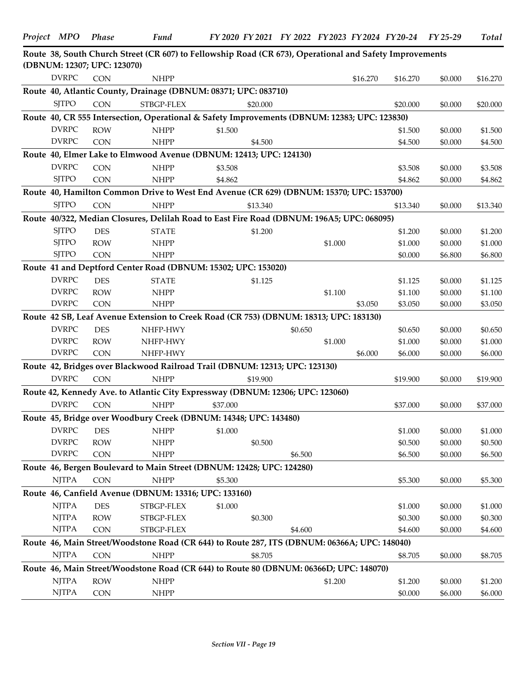| (DBNUM: 12307; UPC: 123070) |            | Route 38, South Church Street (CR 607) to Fellowship Road (CR 673), Operational and Safety Improvements |          |          |         |         |          |          |         |          |
|-----------------------------|------------|---------------------------------------------------------------------------------------------------------|----------|----------|---------|---------|----------|----------|---------|----------|
| <b>DVRPC</b>                | <b>CON</b> | <b>NHPP</b>                                                                                             |          |          |         |         | \$16.270 | \$16.270 | \$0.000 | \$16.270 |
|                             |            | Route 40, Atlantic County, Drainage (DBNUM: 08371; UPC: 083710)                                         |          |          |         |         |          |          |         |          |
| <b>SJTPO</b>                | <b>CON</b> | STBGP-FLEX                                                                                              |          | \$20.000 |         |         |          | \$20.000 | \$0.000 | \$20.000 |
|                             |            | Route 40, CR 555 Intersection, Operational & Safety Improvements (DBNUM: 12383; UPC: 123830)            |          |          |         |         |          |          |         |          |
| <b>DVRPC</b>                | <b>ROW</b> | <b>NHPP</b>                                                                                             | \$1.500  |          |         |         |          | \$1.500  | \$0.000 | \$1.500  |
| <b>DVRPC</b>                | <b>CON</b> | <b>NHPP</b>                                                                                             |          | \$4.500  |         |         |          | \$4.500  | \$0.000 | \$4.500  |
|                             |            | Route 40, Elmer Lake to Elmwood Avenue (DBNUM: 12413; UPC: 124130)                                      |          |          |         |         |          |          |         |          |
| <b>DVRPC</b>                | <b>CON</b> | <b>NHPP</b>                                                                                             | \$3.508  |          |         |         |          | \$3.508  | \$0.000 | \$3.508  |
| <b>SJTPO</b>                | <b>CON</b> | <b>NHPP</b>                                                                                             | \$4.862  |          |         |         |          | \$4.862  | \$0.000 | \$4.862  |
|                             |            | Route 40, Hamilton Common Drive to West End Avenue (CR 629) (DBNUM: 15370; UPC: 153700)                 |          |          |         |         |          |          |         |          |
| <b>SJTPO</b>                | <b>CON</b> | <b>NHPP</b>                                                                                             |          | \$13.340 |         |         |          | \$13.340 | \$0.000 | \$13.340 |
|                             |            | Route 40/322, Median Closures, Delilah Road to East Fire Road (DBNUM: 196A5; UPC: 068095)               |          |          |         |         |          |          |         |          |
| <b>SJTPO</b>                | <b>DES</b> | $\ensuremath{\mathsf{STATE}}$                                                                           |          | \$1.200  |         |         |          | \$1.200  | \$0.000 | \$1.200  |
| <b>SJTPO</b>                | <b>ROW</b> | <b>NHPP</b>                                                                                             |          |          |         | \$1.000 |          | \$1.000  | \$0.000 | \$1.000  |
| <b>SJTPO</b>                | <b>CON</b> | <b>NHPP</b>                                                                                             |          |          |         |         |          | \$0.000  | \$6.800 | \$6.800  |
|                             |            | Route 41 and Deptford Center Road (DBNUM: 15302; UPC: 153020)                                           |          |          |         |         |          |          |         |          |
| <b>DVRPC</b>                | <b>DES</b> | <b>STATE</b>                                                                                            |          | \$1.125  |         |         |          | \$1.125  | \$0.000 | \$1.125  |
| <b>DVRPC</b>                | <b>ROW</b> | <b>NHPP</b>                                                                                             |          |          |         | \$1.100 |          | \$1.100  | \$0.000 | \$1.100  |
| <b>DVRPC</b>                | <b>CON</b> | <b>NHPP</b>                                                                                             |          |          |         |         | \$3.050  | \$3.050  | \$0.000 | \$3.050  |
|                             |            | Route 42 SB, Leaf Avenue Extension to Creek Road (CR 753) (DBNUM: 18313; UPC: 183130)                   |          |          |         |         |          |          |         |          |
| <b>DVRPC</b>                | <b>DES</b> | NHFP-HWY                                                                                                |          |          | \$0.650 |         |          | \$0.650  | \$0.000 | \$0.650  |
| <b>DVRPC</b>                | <b>ROW</b> | NHFP-HWY                                                                                                |          |          |         | \$1.000 |          | \$1.000  | \$0.000 | \$1.000  |
| <b>DVRPC</b>                | <b>CON</b> | NHFP-HWY                                                                                                |          |          |         |         | \$6.000  | \$6.000  | \$0.000 | \$6.000  |
|                             |            | Route 42, Bridges over Blackwood Railroad Trail (DBNUM: 12313; UPC: 123130)                             |          |          |         |         |          |          |         |          |
| <b>DVRPC</b>                | <b>CON</b> | <b>NHPP</b>                                                                                             |          | \$19.900 |         |         |          | \$19.900 | \$0.000 | \$19.900 |
|                             |            | Route 42, Kennedy Ave. to Atlantic City Expressway (DBNUM: 12306; UPC: 123060)                          |          |          |         |         |          |          |         |          |
| <b>DVRPC</b>                | <b>CON</b> | <b>NHPP</b>                                                                                             | \$37.000 |          |         |         |          | \$37.000 | \$0.000 | \$37.000 |
|                             |            | Route 45, Bridge over Woodbury Creek (DBNUM: 14348; UPC: 143480)                                        |          |          |         |         |          |          |         |          |
| DVRPC DES                   |            | NHPP                                                                                                    | \$1.000  |          |         |         |          | \$1.000  | \$0.000 | \$1.000  |
| <b>DVRPC</b>                | <b>ROW</b> | <b>NHPP</b>                                                                                             |          | \$0.500  |         |         |          | \$0.500  | \$0.000 | \$0.500  |
| <b>DVRPC</b>                | <b>CON</b> | <b>NHPP</b>                                                                                             |          |          | \$6.500 |         |          | \$6.500  | \$0.000 | \$6.500  |
|                             |            | Route 46, Bergen Boulevard to Main Street (DBNUM: 12428; UPC: 124280)                                   |          |          |         |         |          |          |         |          |
| <b>NJTPA</b>                | <b>CON</b> | <b>NHPP</b>                                                                                             | \$5.300  |          |         |         |          | \$5.300  | \$0.000 | \$5.300  |
|                             |            | Route 46, Canfield Avenue (DBNUM: 13316; UPC: 133160)                                                   |          |          |         |         |          |          |         |          |
| <b>NJTPA</b>                | <b>DES</b> | STBGP-FLEX                                                                                              | \$1.000  |          |         |         |          | \$1.000  | \$0.000 | \$1.000  |
| <b>NJTPA</b>                | <b>ROW</b> | ${\large\rm STBGP\mbox{-}FLEX}$                                                                         |          | \$0.300  |         |         |          | \$0.300  | \$0.000 | \$0.300  |
| <b>NJTPA</b>                | CON        | STBGP-FLEX                                                                                              |          |          | \$4.600 |         |          | \$4.600  | \$0.000 | \$4.600  |
|                             |            | Route 46, Main Street/Woodstone Road (CR 644) to Route 287, ITS (DBNUM: 06366A; UPC: 148040)            |          |          |         |         |          |          |         |          |
| <b>NJTPA</b>                | <b>CON</b> | <b>NHPP</b>                                                                                             |          | \$8.705  |         |         |          | \$8.705  | \$0.000 | \$8.705  |
|                             |            | Route 46, Main Street/Woodstone Road (CR 644) to Route 80 (DBNUM: 06366D; UPC: 148070)                  |          |          |         |         |          |          |         |          |
| <b>NJTPA</b>                | <b>ROW</b> | <b>NHPP</b>                                                                                             |          |          |         | \$1.200 |          | \$1.200  | \$0.000 | \$1.200  |
| <b>NJTPA</b>                | CON        | <b>NHPP</b>                                                                                             |          |          |         |         |          | \$0.000  | \$6.000 | \$6.000  |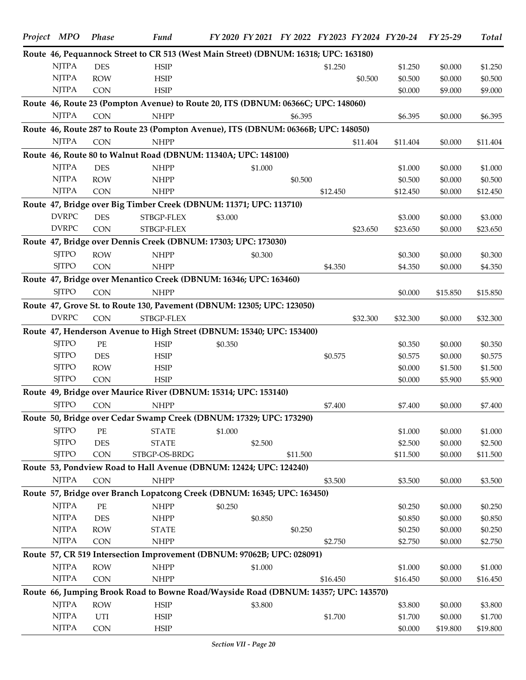| Project MPO  | <b>Phase</b> | <b>Fund</b>                                                                          | FY 2020 FY 2021 FY 2022 FY 2023 FY 2024 FY 20-24 FY 25-29 |          |          |          |          |          | <b>Total</b> |
|--------------|--------------|--------------------------------------------------------------------------------------|-----------------------------------------------------------|----------|----------|----------|----------|----------|--------------|
|              |              | Route 46, Pequannock Street to CR 513 (West Main Street) (DBNUM: 16318; UPC: 163180) |                                                           |          |          |          |          |          |              |
| <b>NJTPA</b> | <b>DES</b>   | <b>HSIP</b>                                                                          |                                                           |          | \$1.250  |          | \$1.250  | \$0.000  | \$1.250      |
| <b>NJTPA</b> | <b>ROW</b>   | <b>HSIP</b>                                                                          |                                                           |          |          | \$0.500  | \$0.500  | \$0.000  | \$0.500      |
| <b>NJTPA</b> | <b>CON</b>   | <b>HSIP</b>                                                                          |                                                           |          |          |          | \$0.000  | \$9.000  | \$9.000      |
|              |              | Route 46, Route 23 (Pompton Avenue) to Route 20, ITS (DBNUM: 06366C; UPC: 148060)    |                                                           |          |          |          |          |          |              |
| <b>NJTPA</b> | CON          | <b>NHPP</b>                                                                          |                                                           | \$6.395  |          |          | \$6.395  | \$0.000  | \$6.395      |
|              |              | Route 46, Route 287 to Route 23 (Pompton Avenue), ITS (DBNUM: 06366B; UPC: 148050)   |                                                           |          |          |          |          |          |              |
| <b>NJTPA</b> | CON          | <b>NHPP</b>                                                                          |                                                           |          |          | \$11.404 | \$11.404 | \$0.000  | \$11.404     |
|              |              | Route 46, Route 80 to Walnut Road (DBNUM: 11340A; UPC: 148100)                       |                                                           |          |          |          |          |          |              |
| <b>NJTPA</b> | <b>DES</b>   | <b>NHPP</b>                                                                          | \$1.000                                                   |          |          |          | \$1.000  | \$0.000  | \$1.000      |
| <b>NJTPA</b> | <b>ROW</b>   | <b>NHPP</b>                                                                          |                                                           | \$0.500  |          |          | \$0.500  | \$0.000  | \$0.500      |
| <b>NJTPA</b> | <b>CON</b>   | <b>NHPP</b>                                                                          |                                                           |          | \$12.450 |          | \$12.450 | \$0.000  | \$12.450     |
|              |              | Route 47, Bridge over Big Timber Creek (DBNUM: 11371; UPC: 113710)                   |                                                           |          |          |          |          |          |              |
| <b>DVRPC</b> | <b>DES</b>   | STBGP-FLEX                                                                           | \$3.000                                                   |          |          |          | \$3.000  | \$0.000  | \$3.000      |
| <b>DVRPC</b> | <b>CON</b>   | STBGP-FLEX                                                                           |                                                           |          |          | \$23.650 | \$23.650 | \$0.000  | \$23.650     |
|              |              | Route 47, Bridge over Dennis Creek (DBNUM: 17303; UPC: 173030)                       |                                                           |          |          |          |          |          |              |
| <b>SJTPO</b> | <b>ROW</b>   | <b>NHPP</b>                                                                          | \$0.300                                                   |          |          |          | \$0.300  | \$0.000  | \$0.300      |
| <b>SJTPO</b> | <b>CON</b>   | <b>NHPP</b>                                                                          |                                                           |          | \$4.350  |          | \$4.350  | \$0.000  | \$4.350      |
|              |              |                                                                                      |                                                           |          |          |          |          |          |              |
| <b>SJTPO</b> |              | Route 47, Bridge over Menantico Creek (DBNUM: 16346; UPC: 163460)                    |                                                           |          |          |          |          |          |              |
|              | <b>CON</b>   | <b>NHPP</b>                                                                          |                                                           |          |          |          | \$0.000  | \$15.850 | \$15.850     |
|              |              | Route 47, Grove St. to Route 130, Pavement (DBNUM: 12305; UPC: 123050)               |                                                           |          |          |          |          |          |              |
| <b>DVRPC</b> | CON          | STBGP-FLEX                                                                           |                                                           |          |          | \$32.300 | \$32.300 | \$0.000  | \$32.300     |
|              |              | Route 47, Henderson Avenue to High Street (DBNUM: 15340; UPC: 153400)                |                                                           |          |          |          |          |          |              |
| <b>SJTPO</b> | PE           | <b>HSIP</b>                                                                          | \$0.350                                                   |          |          |          | \$0.350  | \$0.000  | \$0.350      |
| <b>SJTPO</b> | <b>DES</b>   | <b>HSIP</b>                                                                          |                                                           |          | \$0.575  |          | \$0.575  | \$0.000  | \$0.575      |
| <b>SJTPO</b> | <b>ROW</b>   | <b>HSIP</b>                                                                          |                                                           |          |          |          | \$0.000  | \$1.500  | \$1.500      |
| <b>SJTPO</b> | CON          | <b>HSIP</b>                                                                          |                                                           |          |          |          | \$0.000  | \$5.900  | \$5.900      |
|              |              | Route 49, Bridge over Maurice River (DBNUM: 15314; UPC: 153140)                      |                                                           |          |          |          |          |          |              |
| <b>SJTPO</b> | CON          | <b>NHPP</b>                                                                          |                                                           |          | \$7.400  |          | \$7.400  | \$0.000  | \$7.400      |
|              |              | Route 50, Bridge over Cedar Swamp Creek (DBNUM: 17329; UPC: 173290)                  |                                                           |          |          |          |          |          |              |
| <b>SJTPO</b> | PE           | <b>STATE</b>                                                                         | \$1.000                                                   |          |          |          | \$1.000  | \$0.000  | \$1.000      |
| <b>SJTPO</b> | <b>DES</b>   | <b>STATE</b>                                                                         | \$2.500                                                   |          |          |          | \$2.500  | \$0.000  | \$2.500      |
| <b>SJTPO</b> | CON          | STBGP-OS-BRDG                                                                        |                                                           | \$11.500 |          |          | \$11.500 | \$0.000  | \$11.500     |
|              |              | Route 53, Pondview Road to Hall Avenue (DBNUM: 12424; UPC: 124240)                   |                                                           |          |          |          |          |          |              |
| <b>NJTPA</b> | CON          | <b>NHPP</b>                                                                          |                                                           |          | \$3.500  |          | \$3.500  | \$0.000  | \$3.500      |
|              |              | Route 57, Bridge over Branch Lopatcong Creek (DBNUM: 16345; UPC: 163450)             |                                                           |          |          |          |          |          |              |
| <b>NJTPA</b> | $PE$         | <b>NHPP</b>                                                                          | \$0.250                                                   |          |          |          | \$0.250  | \$0.000  | \$0.250      |
| <b>NJTPA</b> | <b>DES</b>   | <b>NHPP</b>                                                                          | \$0.850                                                   |          |          |          | \$0.850  | \$0.000  | \$0.850      |
| <b>NJTPA</b> | <b>ROW</b>   | <b>STATE</b>                                                                         |                                                           | \$0.250  |          |          | \$0.250  | \$0.000  | \$0.250      |
| <b>NJTPA</b> | CON          | <b>NHPP</b>                                                                          |                                                           |          | \$2.750  |          | \$2.750  | \$0.000  | \$2.750      |
|              |              | Route 57, CR 519 Intersection Improvement (DBNUM: 97062B; UPC: 028091)               |                                                           |          |          |          |          |          |              |
| <b>NJTPA</b> | <b>ROW</b>   | <b>NHPP</b>                                                                          | \$1.000                                                   |          |          |          | \$1.000  | \$0.000  | \$1.000      |
| <b>NJTPA</b> | CON          | <b>NHPP</b>                                                                          |                                                           |          | \$16.450 |          | \$16.450 | \$0.000  | \$16.450     |
|              |              | Route 66, Jumping Brook Road to Bowne Road/Wayside Road (DBNUM: 14357; UPC: 143570)  |                                                           |          |          |          |          |          |              |
| <b>NJTPA</b> | <b>ROW</b>   | <b>HSIP</b>                                                                          | \$3.800                                                   |          |          |          | \$3.800  | \$0.000  | \$3.800      |
| <b>NJTPA</b> | UTI          | <b>HSIP</b>                                                                          |                                                           |          | \$1.700  |          | \$1.700  | \$0.000  | \$1.700      |
| <b>NJTPA</b> | CON          | <b>HSIP</b>                                                                          |                                                           |          |          |          | \$0.000  | \$19.800 | \$19.800     |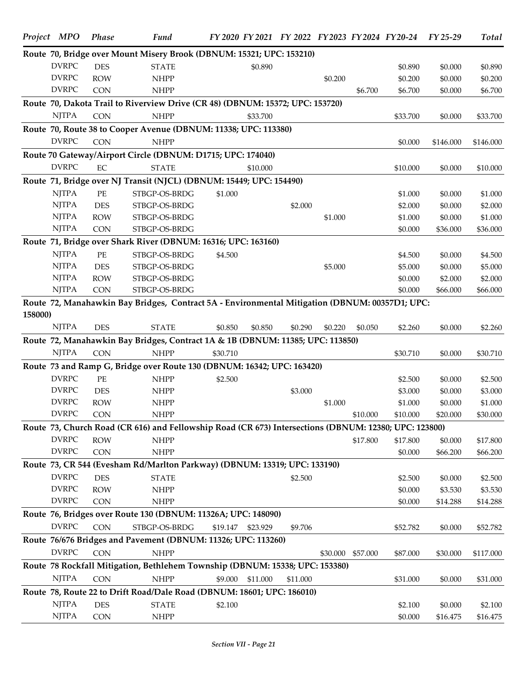|         | Project MPO  | <b>Phase</b> | Fund                                                                                                  |          |                   |          |         |                   | FY 2020 FY 2021 FY 2022 FY 2023 FY 2024 FY 20-24 FY 25-29 |           | <b>Total</b> |
|---------|--------------|--------------|-------------------------------------------------------------------------------------------------------|----------|-------------------|----------|---------|-------------------|-----------------------------------------------------------|-----------|--------------|
|         |              |              | Route 70, Bridge over Mount Misery Brook (DBNUM: 15321; UPC: 153210)                                  |          |                   |          |         |                   |                                                           |           |              |
|         | <b>DVRPC</b> | <b>DES</b>   | <b>STATE</b>                                                                                          |          | \$0.890           |          |         |                   | \$0.890                                                   | \$0.000   | \$0.890      |
|         | <b>DVRPC</b> | <b>ROW</b>   | <b>NHPP</b>                                                                                           |          |                   |          | \$0.200 |                   | \$0.200                                                   | \$0.000   | \$0.200      |
|         | <b>DVRPC</b> | <b>CON</b>   | <b>NHPP</b>                                                                                           |          |                   |          |         | \$6.700           | \$6.700                                                   | \$0.000   | \$6.700      |
|         |              |              | Route 70, Dakota Trail to Riverview Drive (CR 48) (DBNUM: 15372; UPC: 153720)                         |          |                   |          |         |                   |                                                           |           |              |
|         | <b>NJTPA</b> | <b>CON</b>   | <b>NHPP</b>                                                                                           |          | \$33.700          |          |         |                   | \$33.700                                                  | \$0.000   | \$33.700     |
|         |              |              | Route 70, Route 38 to Cooper Avenue (DBNUM: 11338; UPC: 113380)                                       |          |                   |          |         |                   |                                                           |           |              |
|         | <b>DVRPC</b> | <b>CON</b>   | <b>NHPP</b>                                                                                           |          |                   |          |         |                   | \$0.000                                                   | \$146.000 | \$146.000    |
|         |              |              | Route 70 Gateway/Airport Circle (DBNUM: D1715; UPC: 174040)                                           |          |                   |          |         |                   |                                                           |           |              |
|         | <b>DVRPC</b> | EC           | <b>STATE</b>                                                                                          |          | \$10.000          |          |         |                   | \$10.000                                                  | \$0.000   | \$10.000     |
|         |              |              | Route 71, Bridge over NJ Transit (NJCL) (DBNUM: 15449; UPC: 154490)                                   |          |                   |          |         |                   |                                                           |           |              |
|         | <b>NJTPA</b> | $PE$         | STBGP-OS-BRDG                                                                                         | \$1.000  |                   |          |         |                   | \$1.000                                                   | \$0.000   | \$1.000      |
|         | <b>NJTPA</b> | <b>DES</b>   | STBGP-OS-BRDG                                                                                         |          |                   | \$2.000  |         |                   | \$2.000                                                   | \$0.000   | \$2.000      |
|         | <b>NJTPA</b> | <b>ROW</b>   | STBGP-OS-BRDG                                                                                         |          |                   |          | \$1.000 |                   | \$1.000                                                   | \$0.000   | \$1.000      |
|         | <b>NJTPA</b> | CON          | STBGP-OS-BRDG                                                                                         |          |                   |          |         |                   | \$0.000                                                   | \$36.000  | \$36.000     |
|         |              |              | Route 71, Bridge over Shark River (DBNUM: 16316; UPC: 163160)                                         |          |                   |          |         |                   |                                                           |           |              |
|         | <b>NJTPA</b> | $PE$         | STBGP-OS-BRDG                                                                                         | \$4.500  |                   |          |         |                   | \$4.500                                                   | \$0.000   | \$4.500      |
|         | <b>NJTPA</b> | DES          | STBGP-OS-BRDG                                                                                         |          |                   |          | \$5.000 |                   | \$5.000                                                   | \$0.000   | \$5.000      |
|         | <b>NJTPA</b> | <b>ROW</b>   | STBGP-OS-BRDG                                                                                         |          |                   |          |         |                   | \$0.000                                                   | \$2.000   | \$2.000      |
|         | <b>NJTPA</b> | CON          | STBGP-OS-BRDG                                                                                         |          |                   |          |         |                   | \$0.000                                                   | \$66.000  | \$66.000     |
|         |              |              | Route 72, Manahawkin Bay Bridges, Contract 5A - Environmental Mitigation (DBNUM: 00357D1; UPC:        |          |                   |          |         |                   |                                                           |           |              |
| 158000) |              |              |                                                                                                       |          |                   |          |         |                   |                                                           |           |              |
|         | <b>NJTPA</b> | <b>DES</b>   | <b>STATE</b>                                                                                          | \$0.850  | \$0.850           | \$0.290  | \$0.220 | \$0.050           | \$2.260                                                   | \$0.000   | \$2.260      |
|         |              |              | Route 72, Manahawkin Bay Bridges, Contract 1A & 1B (DBNUM: 11385; UPC: 113850)                        |          |                   |          |         |                   |                                                           |           |              |
|         | <b>NJTPA</b> | <b>CON</b>   | <b>NHPP</b>                                                                                           | \$30.710 |                   |          |         |                   | \$30.710                                                  | \$0.000   | \$30.710     |
|         |              |              | Route 73 and Ramp G, Bridge over Route 130 (DBNUM: 16342; UPC: 163420)                                |          |                   |          |         |                   |                                                           |           |              |
|         | <b>DVRPC</b> | PE           | <b>NHPP</b>                                                                                           | \$2.500  |                   |          |         |                   | \$2.500                                                   | \$0.000   | \$2.500      |
|         | <b>DVRPC</b> | <b>DES</b>   | <b>NHPP</b>                                                                                           |          |                   | \$3.000  |         |                   | \$3.000                                                   | \$0.000   | \$3.000      |
|         | <b>DVRPC</b> | <b>ROW</b>   | <b>NHPP</b>                                                                                           |          |                   |          | \$1.000 |                   | \$1.000                                                   | \$0.000   | \$1.000      |
|         | <b>DVRPC</b> | <b>CON</b>   | <b>NHPP</b>                                                                                           |          |                   |          |         | \$10.000          | \$10.000                                                  | \$20.000  | \$30.000     |
|         |              |              | Route 73, Church Road (CR 616) and Fellowship Road (CR 673) Intersections (DBNUM: 12380; UPC: 123800) |          |                   |          |         |                   |                                                           |           |              |
|         | <b>DVRPC</b> | <b>ROW</b>   | <b>NHPP</b>                                                                                           |          |                   |          |         | \$17.800          | \$17.800                                                  | \$0.000   | \$17.800     |
|         | <b>DVRPC</b> | <b>CON</b>   | <b>NHPP</b>                                                                                           |          |                   |          |         |                   | \$0.000                                                   | \$66.200  | \$66.200     |
|         |              |              | Route 73, CR 544 (Evesham Rd/Marlton Parkway) (DBNUM: 13319; UPC: 133190)                             |          |                   |          |         |                   |                                                           |           |              |
|         | <b>DVRPC</b> | <b>DES</b>   | <b>STATE</b>                                                                                          |          |                   | \$2.500  |         |                   | \$2.500                                                   | \$0.000   | \$2.500      |
|         | <b>DVRPC</b> | <b>ROW</b>   | <b>NHPP</b>                                                                                           |          |                   |          |         |                   | \$0.000                                                   | \$3.530   | \$3.530      |
|         | <b>DVRPC</b> | <b>CON</b>   | <b>NHPP</b>                                                                                           |          |                   |          |         |                   | \$0.000                                                   | \$14.288  | \$14.288     |
|         |              |              | Route 76, Bridges over Route 130 (DBNUM: 11326A; UPC: 148090)                                         |          |                   |          |         |                   |                                                           |           |              |
|         | <b>DVRPC</b> | CON          | STBGP-OS-BRDG                                                                                         |          | \$19.147 \$23.929 | \$9.706  |         |                   | \$52.782                                                  | \$0.000   | \$52.782     |
|         |              |              | Route 76/676 Bridges and Pavement (DBNUM: 11326; UPC: 113260)                                         |          |                   |          |         |                   |                                                           |           |              |
|         | <b>DVRPC</b> | <b>CON</b>   | <b>NHPP</b>                                                                                           |          |                   |          |         | \$30.000 \$57.000 | \$87.000                                                  | \$30.000  | \$117.000    |
|         |              |              | Route 78 Rockfall Mitigation, Bethlehem Township (DBNUM: 15338; UPC: 153380)                          |          |                   |          |         |                   |                                                           |           |              |
|         | <b>NJTPA</b> | <b>CON</b>   | <b>NHPP</b>                                                                                           | \$9.000  | \$11.000          | \$11.000 |         |                   | \$31.000                                                  | \$0.000   | \$31.000     |
|         |              |              | Route 78, Route 22 to Drift Road/Dale Road (DBNUM: 18601; UPC: 186010)                                |          |                   |          |         |                   |                                                           |           |              |
|         | <b>NJTPA</b> | <b>DES</b>   | <b>STATE</b>                                                                                          | \$2.100  |                   |          |         |                   | \$2.100                                                   | \$0.000   | \$2.100      |
|         | <b>NJTPA</b> | <b>CON</b>   | <b>NHPP</b>                                                                                           |          |                   |          |         |                   | \$0.000                                                   | \$16.475  | \$16.475     |
|         |              |              |                                                                                                       |          |                   |          |         |                   |                                                           |           |              |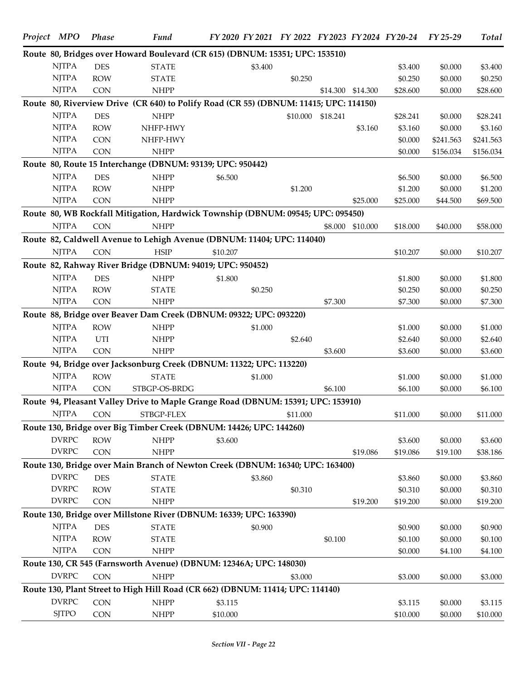| Project MPO                  | <b>Phase</b> | <b>Fund</b>                                                                           |          |         |          |                   |                   | FY 2020 FY 2021 FY 2022 FY 2023 FY 2024 FY 20-24 | FY 25-29  | <b>Total</b> |
|------------------------------|--------------|---------------------------------------------------------------------------------------|----------|---------|----------|-------------------|-------------------|--------------------------------------------------|-----------|--------------|
|                              |              | Route 80, Bridges over Howard Boulevard (CR 615) (DBNUM: 15351; UPC: 153510)          |          |         |          |                   |                   |                                                  |           |              |
| <b>NJTPA</b>                 | <b>DES</b>   | <b>STATE</b>                                                                          |          | \$3.400 |          |                   |                   | \$3.400                                          | \$0.000   | \$3.400      |
| <b>NJTPA</b>                 | <b>ROW</b>   | <b>STATE</b>                                                                          |          |         | \$0.250  |                   |                   | \$0.250                                          | \$0.000   | \$0.250      |
| <b>NJTPA</b>                 | <b>CON</b>   | <b>NHPP</b>                                                                           |          |         |          |                   | \$14.300 \$14.300 | \$28.600                                         | \$0.000   | \$28.600     |
|                              |              | Route 80, Riverview Drive (CR 640) to Polify Road (CR 55) (DBNUM: 11415; UPC: 114150) |          |         |          |                   |                   |                                                  |           |              |
| <b>NJTPA</b>                 | <b>DES</b>   | <b>NHPP</b>                                                                           |          |         |          | \$10.000 \$18.241 |                   | \$28.241                                         | \$0.000   | \$28.241     |
| <b>NJTPA</b>                 | <b>ROW</b>   | NHFP-HWY                                                                              |          |         |          |                   | \$3.160           | \$3.160                                          | \$0.000   | \$3.160      |
| <b>NJTPA</b>                 | CON          | NHFP-HWY                                                                              |          |         |          |                   |                   | \$0.000                                          | \$241.563 | \$241.563    |
| <b>NJTPA</b>                 | CON          | <b>NHPP</b>                                                                           |          |         |          |                   |                   | \$0.000                                          | \$156.034 | \$156.034    |
|                              |              | Route 80, Route 15 Interchange (DBNUM: 93139; UPC: 950442)                            |          |         |          |                   |                   |                                                  |           |              |
| <b>NJTPA</b>                 | <b>DES</b>   | <b>NHPP</b>                                                                           | \$6.500  |         |          |                   |                   | \$6.500                                          | \$0.000   | \$6.500      |
| <b>NJTPA</b>                 | <b>ROW</b>   | <b>NHPP</b>                                                                           |          |         | \$1.200  |                   |                   | \$1.200                                          | \$0.000   | \$1.200      |
| <b>NJTPA</b>                 | CON          | <b>NHPP</b>                                                                           |          |         |          |                   | \$25.000          | \$25.000                                         | \$44.500  | \$69.500     |
|                              |              | Route 80, WB Rockfall Mitigation, Hardwick Township (DBNUM: 09545; UPC: 095450)       |          |         |          |                   |                   |                                                  |           |              |
| <b>NJTPA</b>                 | <b>CON</b>   | <b>NHPP</b>                                                                           |          |         |          |                   | \$8.000 \$10.000  | \$18.000                                         | \$40.000  | \$58.000     |
|                              |              | Route 82, Caldwell Avenue to Lehigh Avenue (DBNUM: 11404; UPC: 114040)                |          |         |          |                   |                   |                                                  |           |              |
| <b>NJTPA</b>                 | <b>CON</b>   | $\operatorname{HSIP}$                                                                 | \$10.207 |         |          |                   |                   | \$10.207                                         | \$0.000   | \$10.207     |
|                              |              | Route 82, Rahway River Bridge (DBNUM: 94019; UPC: 950452)                             |          |         |          |                   |                   |                                                  |           |              |
| <b>NJTPA</b>                 | <b>DES</b>   | <b>NHPP</b>                                                                           | \$1.800  |         |          |                   |                   | \$1.800                                          | \$0.000   | \$1.800      |
| <b>NJTPA</b>                 | <b>ROW</b>   | <b>STATE</b>                                                                          |          | \$0.250 |          |                   |                   | \$0.250                                          | \$0.000   | \$0.250      |
| <b>NJTPA</b>                 | <b>CON</b>   | <b>NHPP</b>                                                                           |          |         |          | \$7.300           |                   | \$7.300                                          | \$0.000   | \$7.300      |
|                              |              | Route 88, Bridge over Beaver Dam Creek (DBNUM: 09322; UPC: 093220)                    |          |         |          |                   |                   |                                                  |           |              |
| <b>NJTPA</b>                 |              |                                                                                       |          |         |          |                   |                   |                                                  |           |              |
|                              | <b>ROW</b>   | <b>NHPP</b>                                                                           |          | \$1.000 |          |                   |                   | \$1.000                                          | \$0.000   | \$1.000      |
| <b>NJTPA</b><br><b>NJTPA</b> | UTI          | <b>NHPP</b>                                                                           |          |         | \$2.640  |                   |                   | \$2.640                                          | \$0.000   | \$2.640      |
|                              | <b>CON</b>   | <b>NHPP</b>                                                                           |          |         |          | \$3.600           |                   | \$3.600                                          | \$0.000   | \$3.600      |
|                              |              | Route 94, Bridge over Jacksonburg Creek (DBNUM: 11322; UPC: 113220)                   |          |         |          |                   |                   |                                                  |           |              |
| <b>NJTPA</b>                 | <b>ROW</b>   | <b>STATE</b>                                                                          |          | \$1.000 |          |                   |                   | \$1.000                                          | \$0.000   | \$1.000      |
| <b>NJTPA</b>                 | CON          | STBGP-OS-BRDG                                                                         |          |         |          | \$6.100           |                   | \$6.100                                          | \$0.000   | \$6.100      |
|                              |              | Route 94, Pleasant Valley Drive to Maple Grange Road (DBNUM: 15391; UPC: 153910)      |          |         |          |                   |                   |                                                  |           |              |
| <b>NJTPA</b>                 | CON          | STBGP-FLEX                                                                            |          |         | \$11.000 |                   |                   | \$11.000                                         | \$0.000   | \$11.000     |
|                              |              | Route 130, Bridge over Big Timber Creek (DBNUM: 14426; UPC: 144260)                   |          |         |          |                   |                   |                                                  |           |              |
| <b>DVRPC</b>                 | <b>ROW</b>   | <b>NHPP</b>                                                                           | \$3.600  |         |          |                   |                   | \$3.600                                          | \$0.000   | \$3.600      |
| <b>DVRPC</b>                 | CON          | <b>NHPP</b>                                                                           |          |         |          |                   | \$19.086          | \$19.086                                         | \$19.100  | \$38.186     |
|                              |              | Route 130, Bridge over Main Branch of Newton Creek (DBNUM: 16340; UPC: 163400)        |          |         |          |                   |                   |                                                  |           |              |
| <b>DVRPC</b>                 | <b>DES</b>   | <b>STATE</b>                                                                          |          | \$3.860 |          |                   |                   | \$3.860                                          | \$0.000   | \$3.860      |
| <b>DVRPC</b>                 | <b>ROW</b>   | <b>STATE</b>                                                                          |          |         | \$0.310  |                   |                   | \$0.310                                          | \$0.000   | \$0.310      |
| <b>DVRPC</b>                 | <b>CON</b>   | <b>NHPP</b>                                                                           |          |         |          |                   | \$19.200          | \$19.200                                         | \$0.000   | \$19.200     |
|                              |              | Route 130, Bridge over Millstone River (DBNUM: 16339; UPC: 163390)                    |          |         |          |                   |                   |                                                  |           |              |
| <b>NJTPA</b>                 | <b>DES</b>   | <b>STATE</b>                                                                          |          | \$0.900 |          |                   |                   | \$0.900                                          | \$0.000   | \$0.900      |
| <b>NJTPA</b>                 | <b>ROW</b>   | <b>STATE</b>                                                                          |          |         |          | \$0.100           |                   | \$0.100                                          | \$0.000   | \$0.100      |
| <b>NJTPA</b>                 | CON          | <b>NHPP</b>                                                                           |          |         |          |                   |                   | \$0.000                                          | \$4.100   | \$4.100      |
|                              |              | Route 130, CR 545 (Farnsworth Avenue) (DBNUM: 12346A; UPC: 148030)                    |          |         |          |                   |                   |                                                  |           |              |
| <b>DVRPC</b>                 | CON          | <b>NHPP</b>                                                                           |          |         | \$3.000  |                   |                   | \$3.000                                          | \$0.000   | \$3.000      |
|                              |              | Route 130, Plant Street to High Hill Road (CR 662) (DBNUM: 11414; UPC: 114140)        |          |         |          |                   |                   |                                                  |           |              |
| <b>DVRPC</b>                 | CON          | <b>NHPP</b>                                                                           | \$3.115  |         |          |                   |                   | \$3.115                                          | \$0.000   | \$3.115      |
| <b>SJTPO</b>                 | CON          | <b>NHPP</b>                                                                           | \$10.000 |         |          |                   |                   | \$10.000                                         | \$0.000   | \$10.000     |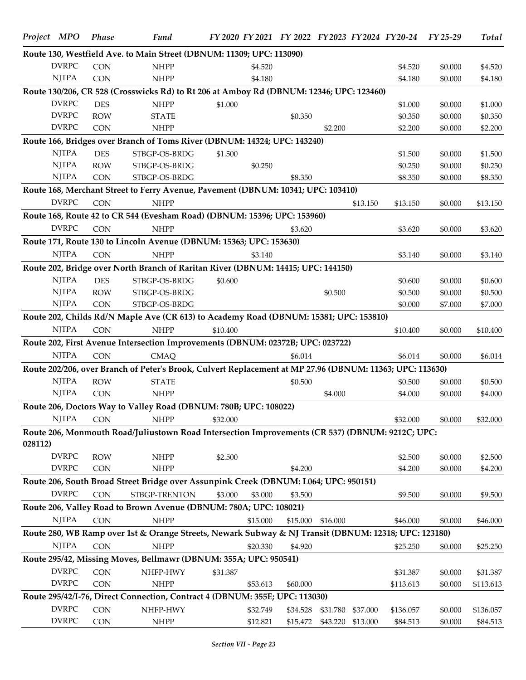|         | Project MPO  | <b>Phase</b> | Fund                                                                                                     |          |          |          |                   |          | FY 2020 FY 2021 FY 2022 FY 2023 FY 2024 FY 20-24 FY 25-29 |         | <b>Total</b> |
|---------|--------------|--------------|----------------------------------------------------------------------------------------------------------|----------|----------|----------|-------------------|----------|-----------------------------------------------------------|---------|--------------|
|         |              |              | Route 130, Westfield Ave. to Main Street (DBNUM: 11309; UPC: 113090)                                     |          |          |          |                   |          |                                                           |         |              |
|         | <b>DVRPC</b> | <b>CON</b>   | <b>NHPP</b>                                                                                              |          | \$4.520  |          |                   |          | \$4.520                                                   | \$0.000 | \$4.520      |
|         | <b>NJTPA</b> | <b>CON</b>   | <b>NHPP</b>                                                                                              |          | \$4.180  |          |                   |          | \$4.180                                                   | \$0.000 | \$4.180      |
|         |              |              | Route 130/206, CR 528 (Crosswicks Rd) to Rt 206 at Amboy Rd (DBNUM: 12346; UPC: 123460)                  |          |          |          |                   |          |                                                           |         |              |
|         | <b>DVRPC</b> | <b>DES</b>   | <b>NHPP</b>                                                                                              | \$1.000  |          |          |                   |          | \$1.000                                                   | \$0.000 | \$1.000      |
|         | <b>DVRPC</b> | <b>ROW</b>   | <b>STATE</b>                                                                                             |          |          | \$0.350  |                   |          | \$0.350                                                   | \$0.000 | \$0.350      |
|         | <b>DVRPC</b> | <b>CON</b>   | <b>NHPP</b>                                                                                              |          |          |          | \$2.200           |          | \$2.200                                                   | \$0.000 | \$2.200      |
|         |              |              | Route 166, Bridges over Branch of Toms River (DBNUM: 14324; UPC: 143240)                                 |          |          |          |                   |          |                                                           |         |              |
|         | <b>NJTPA</b> | <b>DES</b>   | STBGP-OS-BRDG                                                                                            | \$1.500  |          |          |                   |          | \$1.500                                                   | \$0.000 | \$1.500      |
|         | <b>NJTPA</b> | <b>ROW</b>   | STBGP-OS-BRDG                                                                                            |          | \$0.250  |          |                   |          | \$0.250                                                   | \$0.000 | \$0.250      |
|         | <b>NJTPA</b> | <b>CON</b>   | STBGP-OS-BRDG                                                                                            |          |          | \$8.350  |                   |          | \$8.350                                                   | \$0.000 | \$8.350      |
|         |              |              | Route 168, Merchant Street to Ferry Avenue, Pavement (DBNUM: 10341; UPC: 103410)                         |          |          |          |                   |          |                                                           |         |              |
|         | <b>DVRPC</b> | <b>CON</b>   | <b>NHPP</b>                                                                                              |          |          |          |                   | \$13.150 | \$13.150                                                  | \$0.000 | \$13.150     |
|         |              |              | Route 168, Route 42 to CR 544 (Evesham Road) (DBNUM: 15396; UPC: 153960)                                 |          |          |          |                   |          |                                                           |         |              |
|         | <b>DVRPC</b> | <b>CON</b>   | <b>NHPP</b>                                                                                              |          |          | \$3.620  |                   |          | \$3.620                                                   | \$0.000 | \$3.620      |
|         |              |              | Route 171, Route 130 to Lincoln Avenue (DBNUM: 15363; UPC: 153630)                                       |          |          |          |                   |          |                                                           |         |              |
|         | <b>NJTPA</b> | <b>CON</b>   | <b>NHPP</b>                                                                                              |          | \$3.140  |          |                   |          | \$3.140                                                   | \$0.000 | \$3.140      |
|         |              |              | Route 202, Bridge over North Branch of Raritan River (DBNUM: 14415; UPC: 144150)                         |          |          |          |                   |          |                                                           |         |              |
|         | <b>NJTPA</b> | <b>DES</b>   | STBGP-OS-BRDG                                                                                            | \$0.600  |          |          |                   |          | \$0.600                                                   | \$0.000 | \$0.600      |
|         | <b>NJTPA</b> | <b>ROW</b>   | STBGP-OS-BRDG                                                                                            |          |          |          | \$0.500           |          | \$0.500                                                   | \$0.000 | \$0.500      |
|         | <b>NJTPA</b> | <b>CON</b>   | STBGP-OS-BRDG                                                                                            |          |          |          |                   |          | \$0.000                                                   | \$7.000 | \$7.000      |
|         |              |              | Route 202, Childs Rd/N Maple Ave (CR 613) to Academy Road (DBNUM: 15381; UPC: 153810)                    |          |          |          |                   |          |                                                           |         |              |
|         | <b>NJTPA</b> | <b>CON</b>   | <b>NHPP</b>                                                                                              | \$10.400 |          |          |                   |          | \$10.400                                                  | \$0.000 | \$10.400     |
|         |              |              | Route 202, First Avenue Intersection Improvements (DBNUM: 02372B; UPC: 023722)                           |          |          |          |                   |          |                                                           |         |              |
|         | <b>NJTPA</b> | <b>CON</b>   | <b>CMAO</b>                                                                                              |          |          | \$6.014  |                   |          | \$6.014                                                   | \$0.000 | \$6.014      |
|         |              |              | Route 202/206, over Branch of Peter's Brook, Culvert Replacement at MP 27.96 (DBNUM: 11363; UPC: 113630) |          |          |          |                   |          |                                                           |         |              |
|         | <b>NJTPA</b> | <b>ROW</b>   | <b>STATE</b>                                                                                             |          |          | \$0.500  |                   |          | \$0.500                                                   | \$0.000 | \$0.500      |
|         | <b>NJTPA</b> | <b>CON</b>   | <b>NHPP</b>                                                                                              |          |          |          | \$4.000           |          | \$4.000                                                   | \$0.000 | \$4.000      |
|         |              |              | Route 206, Doctors Way to Valley Road (DBNUM: 780B; UPC: 108022)                                         |          |          |          |                   |          |                                                           |         |              |
|         | <b>NJTPA</b> | <b>CON</b>   | <b>NHPP</b>                                                                                              | \$32.000 |          |          |                   |          | \$32.000                                                  | \$0.000 | \$32.000     |
|         |              |              | Route 206, Monmouth Road/Juliustown Road Intersection Improvements (CR 537) (DBNUM: 9212C; UPC:          |          |          |          |                   |          |                                                           |         |              |
| 028112) |              |              |                                                                                                          |          |          |          |                   |          |                                                           |         |              |
|         | <b>DVRPC</b> | <b>ROW</b>   | <b>NHPP</b>                                                                                              | \$2.500  |          |          |                   |          | \$2.500                                                   | \$0.000 | \$2.500      |
|         | <b>DVRPC</b> | <b>CON</b>   | <b>NHPP</b>                                                                                              |          |          | \$4.200  |                   |          | \$4.200                                                   | \$0.000 | \$4.200      |
|         |              |              | Route 206, South Broad Street Bridge over Assunpink Creek (DBNUM: L064; UPC: 950151)                     |          |          |          |                   |          |                                                           |         |              |
|         | <b>DVRPC</b> | <b>CON</b>   | STBGP-TRENTON                                                                                            | \$3.000  | \$3.000  | \$3.500  |                   |          | \$9.500                                                   | \$0.000 | \$9.500      |
|         |              |              | Route 206, Valley Road to Brown Avenue (DBNUM: 780A; UPC: 108021)                                        |          |          |          |                   |          |                                                           |         |              |
|         | <b>NJTPA</b> | <b>CON</b>   | <b>NHPP</b>                                                                                              |          | \$15.000 | \$15.000 | \$16.000          |          | \$46.000                                                  | \$0.000 | \$46.000     |
|         |              |              | Route 280, WB Ramp over 1st & Orange Streets, Newark Subway & NJ Transit (DBNUM: 12318; UPC: 123180)     |          |          |          |                   |          |                                                           |         |              |
|         | <b>NJTPA</b> | <b>CON</b>   | <b>NHPP</b>                                                                                              |          | \$20.330 | \$4.920  |                   |          | \$25.250                                                  | \$0.000 | \$25.250     |
|         |              |              | Route 295/42, Missing Moves, Bellmawr (DBNUM: 355A; UPC: 950541)                                         |          |          |          |                   |          |                                                           |         |              |
|         | <b>DVRPC</b> | <b>CON</b>   | NHFP-HWY                                                                                                 | \$31.387 |          |          |                   |          | \$31.387                                                  | \$0.000 | \$31.387     |
|         | <b>DVRPC</b> | CON          | <b>NHPP</b>                                                                                              |          | \$53.613 | \$60.000 |                   |          | \$113.613                                                 | \$0.000 | \$113.613    |
|         |              |              | Route 295/42/I-76, Direct Connection, Contract 4 (DBNUM: 355E; UPC: 113030)                              |          |          |          |                   |          |                                                           |         |              |
|         | <b>DVRPC</b> | <b>CON</b>   | NHFP-HWY                                                                                                 |          | \$32.749 | \$34.528 | \$31.780          | \$37.000 | \$136.057                                                 | \$0.000 | \$136.057    |
|         | <b>DVRPC</b> | CON          | <b>NHPP</b>                                                                                              |          | \$12.821 |          | \$15.472 \$43.220 | \$13.000 | \$84.513                                                  | \$0.000 | \$84.513     |